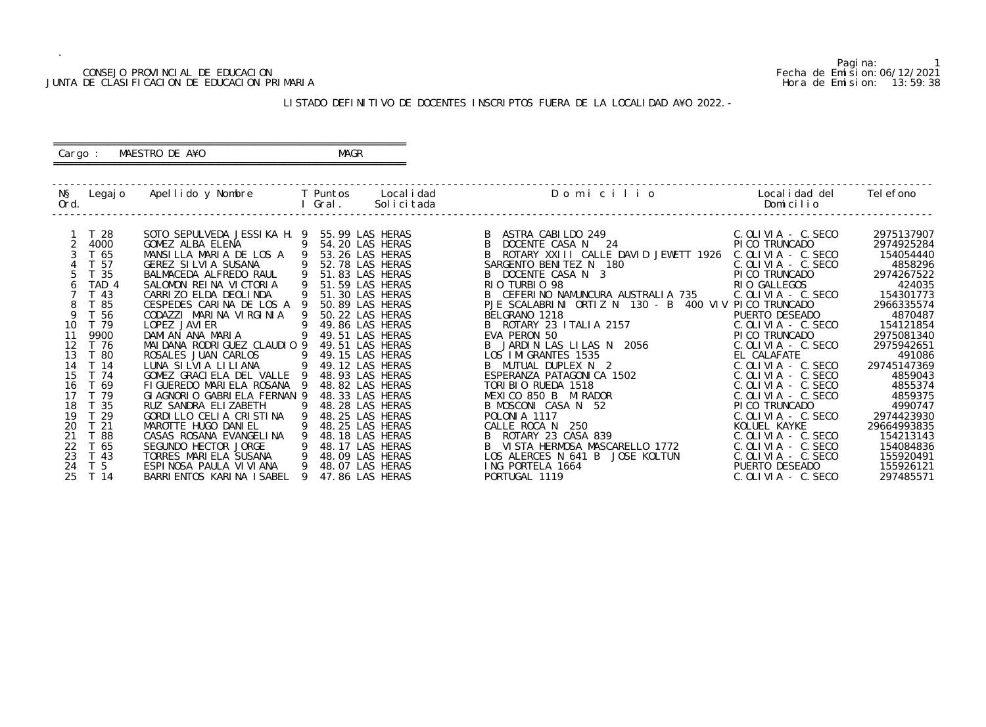### CONSEJO PROVINCIAL DE EDUCACION Fecha de Emision:06/12/2021 JUNTA DE CLASIFICACION DE EDUCACION PRIMARIA Hora de Emision: 13:59:38

## ========================================================== Cargo : MAESTRO DE A¥O **MAGR**

## LISTADO DEFINITIVO DE DOCENTES INSCRIPTOS FUERA DE LA LOCALIDAD A¥O 2022.-

==========================================================

| NŞ<br>Ord. | Legaj o               | Apellido y Nombre                              |     | <b>T</b> Puntos<br>Gral. | Local i dad<br>Solicitada          | Domicilio                                            | Local i dad del<br>Domicilio          | Tel efono                 |
|------------|-----------------------|------------------------------------------------|-----|--------------------------|------------------------------------|------------------------------------------------------|---------------------------------------|---------------------------|
|            | T 28                  | SOTO SEPULVEDA JESSIKA H. 9                    |     |                          | 55.99 LAS HERAS                    | ASTRA CABILDO 249                                    | $C.$ OLIVIA - $C.$ SECO               | 2975137907                |
|            | 4000                  | GOMEZ ALBA ELENA                               | - 9 |                          | 54.20 LAS HERAS                    | DOCENTE CASA N 24                                    | PI CO TRUNCADO                        | 2974925284                |
|            | T 65                  | MANSILLA MARIA DE LOS A                        |     |                          | 53.26 LAS HERAS                    | ROTARY XXIII CALLE DAVID JEWETT 1926                 | $C.$ OLIVIA - $C.$ SECO               | 154054440                 |
|            | T 57                  | GEREZ SILVIA SUSANA                            |     |                          | 52.78 LAS HERAS                    | SARGENTO BENITEZ N 180                               | $C.$ OLIVIA - $C.$ SECO               | 4858296                   |
|            | T 35                  | BALMACEDA ALFREDO RAUL                         |     |                          | 51.83 LAS HERAS                    | B DOCENTE CASA N 3                                   | PI CO TRUNCADO                        | 2974267522                |
|            | TAD 4                 | SALOMON REINA VICTORIA                         | -9  |                          | 51.59 LAS HERAS                    | RIO TURBIO 98                                        | RIO GALLEGOS                          | 424035                    |
|            | T 43                  | CARRIZO ELDA DEOLINDA                          |     |                          | 51.30 LAS HERAS                    | B CEFERINO NAMUNCURA AUSTRALIA 735                   | $C.$ OLIVIA - $C.$ SECO               | 154301773                 |
| 8          | T 85                  | CESPEDES CARINA DE LOS A 9                     |     |                          | 50.89 LAS HERAS                    | PJE SCALABRINI ORTIZ N 130 - B 400 VIV PICO TRUNCADO |                                       | 2966335574                |
| 9          | T 56                  | CODAZZI MARINA VIRGINIA                        |     |                          | 50.22 LAS HERAS                    | BELGRANO 1218                                        | PUERTO DESEADO                        | 4870487                   |
| 10         | T 79                  | LOPEZ JAVI ER                                  |     |                          | 49.86 LAS HERAS                    | B ROTARY 23 ITALIA 2157                              | $C.$ OLIVIA - $C.$ SECO               | 154121854                 |
| 11         | 9900                  | DAMIAN ANA MARIA                               |     |                          | 49.51 LAS HERAS                    | EVA PERON 50                                         | PI CO TRUNCADO                        | 2975081340                |
| 12         | T 76                  | MAI DANA RODRI GUEZ CLAUDIO 9                  |     |                          | 49.51 LAS HERAS                    | B JARDIN LAS LILAS N 2056                            | $C.$ OLIVIA - $C.$ SECO               | 2975942651                |
| 13         | T 80                  | ROSALES JUAN CARLOS                            |     |                          | 49.15 LAS HERAS                    | LOS IMIGRANTES 1535                                  | EL CALAFATE                           | 491086                    |
| 14         | T 14                  | LUNA SILVIA LILIANA                            |     |                          | 49.12 LAS HERAS                    | B MUTUAL DUPLEX N 2                                  | $C.$ OLIVIA - $C.$ SECO               | 29745147369               |
| 15         | T 74                  | GOMEZ GRACIELA DEL VALLE                       |     |                          | 48.93 LAS HERAS                    | ESPERANZA PATAGONICA 1502                            | C. OLIVIA - C. SECO                   | 4859043                   |
| 16         | T 69                  | FIGUEREDO MARIELA ROSANA                       |     |                          | 48.82 LAS HERAS                    | TORIBIO RUEDA 1518                                   | $C.$ OLIVIA - $C.$ SECO               | 4855374                   |
| 17         | T 79                  | GLAGNORLO GABRIELA FERNAN 9                    |     |                          | 48.33 LAS HERAS                    | MEXICO 850 B MIRADOR                                 | $C.$ OLIVIA - $C.$ SECO               | 4859375                   |
| 18<br>19   | T 35                  | RUZ SANDRA ELIZABETH                           |     |                          | 48.28 LAS HERAS                    | B MOSCONI CASA N 52                                  | PI CO TRUNCADO                        | 4990747                   |
| 20         | 29<br>T <sub>21</sub> | GORDILLO CELIA CRISTINA<br>MAROTTE HUGO DANIEL |     |                          | 48.25 LAS HERAS<br>48.25 LAS HERAS | POLONIA 1117<br>CALLE ROCA N<br>250                  | $C.$ OLIVIA - C. SECO<br>KOLUEL KAYKE | 2974423930<br>29664993835 |
| 21         | T 88                  | CASAS ROSANA EVANGELINA                        |     |                          | 48.18 LAS HERAS                    | ROTARY 23 CASA 839                                   | C. OLIVIA - C. SECO                   | 154213143                 |
| 22         | T 65                  | SEGUNDO HECTOR JORGE                           | 9   |                          | 48.17 LAS HERAS                    | VISTA HERMOSA MASCARELLO 1772                        | $C.$ OLIVIA - $C.$ SECO               | 154084836                 |
| 23         | T 43                  | TORRES MARIELA SUSANA                          | -9  |                          | 48.09 LAS HERAS                    | LOS ALERCES N 641 B<br>JOSE KOLTUN                   | $C.$ OLIVIA - $C.$ SECO               | 155920491                 |
| 24         | T <sub>5</sub>        | ESPINOSA PAULA VI VI ANA                       |     |                          | 48.07 LAS HERAS                    | ING PORTELA 1664                                     | PUERTO DESEADO                        | 155926121                 |
| 25         | T 14                  | BARRI ENTOS KARI NA I SABEL                    |     |                          | 47.86 LAS HERAS                    | PORTUGAL 1119                                        | $C.$ OLIVIA - C. SECO                 | 297485571                 |
|            |                       |                                                |     |                          |                                    |                                                      |                                       |                           |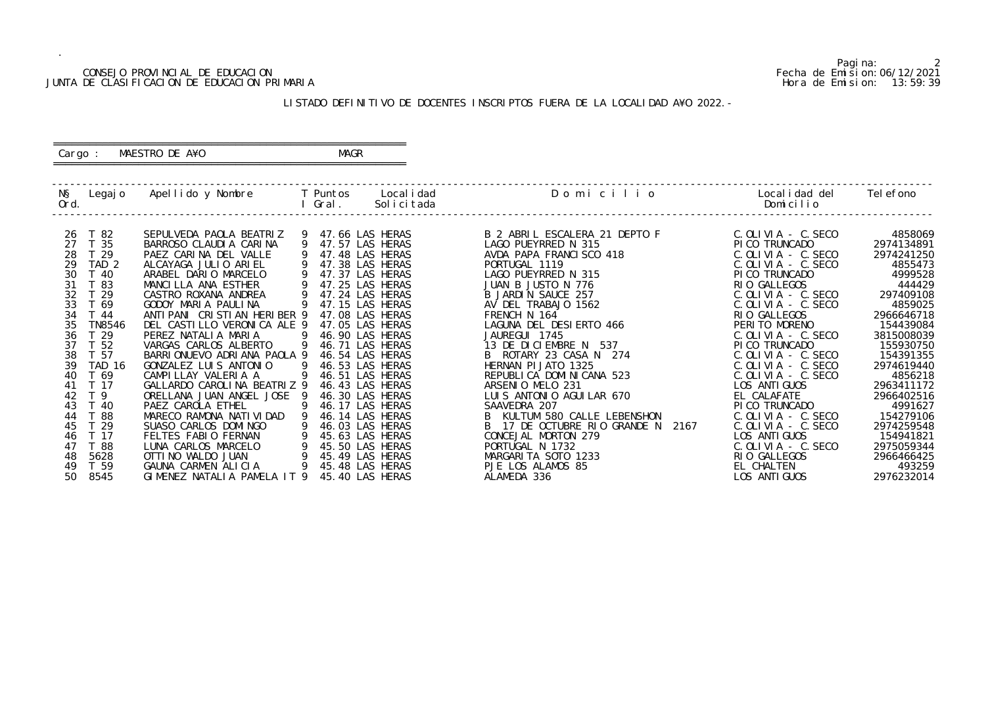## CONSEJO PROVINCIAL DE EDUCACION Fecha de Emision:06/12/2021 JUNTA DE CLASIFICACION DE EDUCACION PRIMARIA Hora de Emision: 13:59:39

## ========================================================== Cargo : MAESTRO DE A¥O **MAGR**

## LISTADO DEFINITIVO DE DOCENTES INSCRIPTOS FUERA DE LA LOCALIDAD A¥O 2022.-

==========================================================

| NŞ<br>Legaj o<br>Ord.             | Apellido y Nombre                                            | T Puntos<br>Gral. | Local i dad<br>Solicitada          | Domicilio                                            | Local i dad del<br>Domicilio                       | Tel efono               |
|-----------------------------------|--------------------------------------------------------------|-------------------|------------------------------------|------------------------------------------------------|----------------------------------------------------|-------------------------|
| T 82<br>26<br>T 35<br>27          | SEPULVEDA PAOLA BEATRIZ<br>BARROSO CLAUDI A CARINA<br>9      |                   | 47.66 LAS HERAS<br>47.57 LAS HERAS | B 2 ABRIL ESCALERA 21 DEPTO F<br>LAGO PUEYRRED N 315 | $C.$ OLIVIA - $C.$ SECO<br>PI CO TRUNCADO          | 4858069<br>2974134891   |
| 28<br>T <sub>29</sub>             | PAEZ CARINA DEL VALLE                                        |                   | 47.48 LAS HERAS                    | AVDA PAPA FRANCISCO 418                              | $C.$ OLIVIA - $C.$ SECO                            | 2974241250              |
| 29<br>TAD <sub>2</sub>            | ALCAYAGA JULIO ARIEL                                         |                   | 47.38 LAS HERAS                    | PORTUGAL 1119                                        | $C.$ OLIVIA - $C.$ SECO                            | 4855473                 |
| 30<br>T 40                        | ARABEL DARIO MARCELO                                         |                   | 47.37 LAS HERAS                    | LAGO PUEYRRED N 315                                  | PI CO TRUNCADO                                     | 4999528                 |
| 31<br>T 83                        | MANCILLA ANA ESTHER                                          |                   | 47.25 LAS HERAS                    | JUAN B JUSTO N 776                                   | RIO GALLEGOS                                       | 444429                  |
| 32<br>29                          | CASTRO ROXANA ANDREA                                         |                   | 47.24 LAS HERAS                    | B JARDIN SAUCE 257                                   | $C.$ OLIVIA - $C.$ SECO                            | 297409108               |
| 33<br>T 69                        | GODOY MARIA PAULINA                                          |                   | 47.15 LAS HERAS                    | AV DEL TRABAJO 1562                                  | $C.$ OLIVIA - $C.$ SECO                            | 4859025                 |
| 34<br>T 44                        | ANTI PANI CRISTIAN HERIBER 9                                 |                   | 47.08 LAS HERAS                    | FRENCH N 164                                         | RIO GALLEGOS                                       | 2966646718              |
| 35<br>TN8546                      | DEL CASTILLO VERONICA ALE 9                                  |                   | 47.05 LAS HERAS                    | LAGUNA DEL DESIERTO 466                              | PERITO MORENO                                      | 154439084               |
| 36<br>T 29                        | PEREZ NATALIA MARIA                                          |                   | 46.90 LAS HERAS                    | JAUREGUI 1745                                        | $C.$ OLIVIA - C. SECO                              | 3815008039              |
| T 52<br>37                        | VARGAS CARLOS ALBERTO                                        |                   | 46.71 LAS HERAS                    | 13 DE DICIEMBRE N<br>537                             | PI CO TRUNCADO                                     | 155930750               |
| 38<br>T 57<br><b>TAD 16</b><br>39 | BARRI ONUEVO ADRI ANA PAOLA 9<br>GONZALEZ LUIS ANTONIO<br>-9 |                   | 46.54 LAS HERAS<br>46.53 LAS HERAS | B ROTARY 23 CASA N 274<br>HERNAN PI JATO 1325        | $C.$ OLIVIA - $C.$ SECO<br>$C.$ OLIVIA - $C.$ SECO | 154391355<br>2974619440 |
| T 69<br>40                        | CAMPILLAY VALERIA A                                          |                   | 46.51 LAS HERAS                    | REPUBLICA DOMINICANA 523                             | $C.$ OLIVIA - $C.$ SECO                            | 4856218                 |
| T 17<br>41                        | GALLARDO CAROLINA BEATRIZ 9                                  |                   | 46.43 LAS HERAS                    | ARSENIO MELO 231                                     | LOS ANTI GUOS                                      | 2963411172              |
| T <sub>9</sub><br>42              | ORELLANA JUAN ANGEL JOSE 9                                   |                   | 46.30 LAS HERAS                    | LUIS ANTONIO AGUILAR 670                             | EL CALAFATE                                        | 2966402516              |
| 43<br>T 40                        | PAEZ CAROLA ETHEL                                            |                   | 46.17 LAS HERAS                    | SAAVEDRA 207                                         | PI CO TRUNCADO                                     | 4991627                 |
| 88<br>44                          | MARECO RAMONA NATI VI DAD                                    |                   | 46.14 LAS HERAS                    | KULTUM 580 CALLE LEBENSHON                           | $C.$ OLIVIA - $C.$ SECO                            | 154279106               |
| 29<br>45                          | SUASO CARLOS DOMINGO                                         |                   | 46.03 LAS HERAS                    | B 17 DE OCTUBRE RIO GRANDE N<br>2167                 | $C.$ OLIVIA - $C.$ SECO                            | 2974259548              |
| T 17<br>46                        | FELTES FABIO FERNAN                                          |                   | 45.63 LAS HERAS                    | CONCEJAL MORTON 279                                  | LOS ANTI GUOS                                      | 154941821               |
| T 88<br>47                        | LUNA CARLOS MARCELO                                          |                   | 45.50 LAS HERAS                    | PORTUGAL N 1732                                      | $C.$ OLIVIA - C. SECO                              | 2975059344              |
| 5628<br>48                        | OTTI NO WALDO JUAN                                           |                   | 45.49 LAS HERAS                    | MARGARITA SOTO 1233                                  | RIO GALLEGOS                                       | 2966466425              |
| T 59<br>49                        | GAUNA CARMEN ALICIA                                          |                   | 45.48 LAS HERAS                    | PJE LOS ALAMOS 85                                    | EL CHALTEN                                         | 493259                  |
| 50<br>8545                        | GIMENEZ NATALIA PAMELA IT 9                                  |                   | 45.40 LAS HERAS                    | ALAMEDA 336                                          | LOS ANTI GUOS                                      | 2976232014              |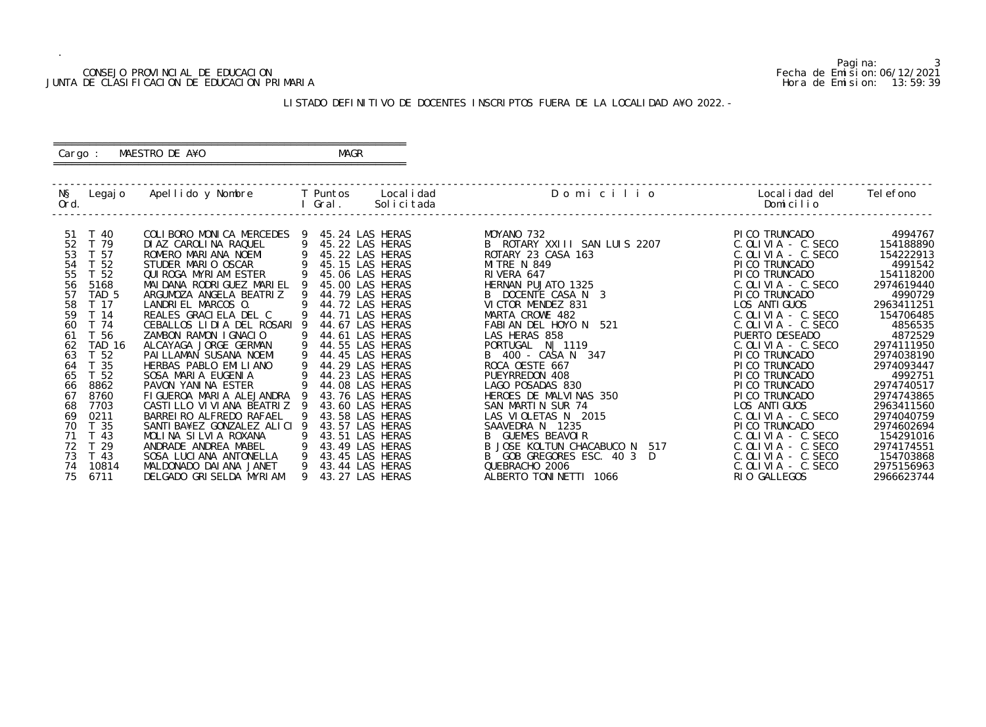## CONSEJO PROVINCIAL DE EDUCACION Fecha de Emision:06/12/2021 JUNTA DE CLASIFICACION DE EDUCACION PRIMARIA Hora de Emision: 13:59:39

## ========================================================== Cargo : MAESTRO DE A¥O **MAGR**

## LISTADO DEFINITIVO DE DOCENTES INSCRIPTOS FUERA DE LA LOCALIDAD A¥O 2022.-

==========================================================

| NŞ<br>Ord. | Legaj o         | Apellido y Nombre            |   | T Puntos<br>Gral. | Local i dad<br>Solicitada | Domicilio                     | Local i dad del<br>Domicilio | Tel efono  |
|------------|-----------------|------------------------------|---|-------------------|---------------------------|-------------------------------|------------------------------|------------|
|            |                 |                              |   |                   |                           |                               |                              |            |
| -51        | T 40            | COLIBORO MONICA MERCEDES 9   |   |                   | 45.24 LAS HERAS           | MOYANO 732                    | PI CO TRUNCADO               | 4994767    |
| 52         | T 79            | DI AZ CAROLINA RAQUEL        |   |                   | 45.22 LAS HERAS           | B ROTARY XXIII SAN LUIS 2207  | $C.$ OLIVIA - $C.$ SECO      | 154188890  |
| 53         | T 57            | ROMERO MARIANA NOEMI         |   |                   | 45.22 LAS HERAS           | ROTARY 23 CASA 163            | $C.$ OLIVIA - $C.$ SECO      | 154222913  |
| 54         | T 52            | STUDER MARIO OSCAR           |   |                   | 45.15 LAS HERAS           | <b>MITRE N 849</b>            | PI CO TRUNCADO               | 4991542    |
| 55         | T 52            | QUI ROGA MYRI AM ESTER       |   |                   | 45.06 LAS HERAS           | RIVERA 647                    | PI CO TRUNCADO               | 154118200  |
| 56         | 5168            | MAI DANA RODRI GUEZ MARI EL  |   |                   | 45.00 LAS HERAS           | HERNAN PUJATO 1325            | $C.$ OLIVIA - $C.$ SECO      | 2974619440 |
| 57         | TAD 5           | ARGUMOZA ANGELA BEATRIZ      |   |                   | 44.79 LAS HERAS           | B DOCENTE CASA N 3            | PICO TRUNCADO                | 4990729    |
| 58         | T 17            | LANDRIEL MARCOS O.           |   |                   | 44.72 LAS HERAS           | VICTOR MENDEZ 831             | LOS ANTI GUOS                | 2963411251 |
| 59         | T 14            | REALES GRACIELA DEL C        | 9 |                   | 44.71 LAS HERAS           | MARTA CROWE 482               | $C.$ OLIVIA - $C.$ SECO      | 154706485  |
| 60         | T 74            | CEBALLOS LIDIA DEL ROSARI 9  |   |                   | 44.67 LAS HERAS           | FABIAN DEL HOYO N 521         | $C.$ OLIVIA - C. SECO        | 4856535    |
| 61         | T 56            | ZAMBON RAMON IGNACIO         |   |                   | 44.61 LAS HERAS           | LAS HERAS 858                 | PUERTO DESEADO               | 4872529    |
| 62         | TAD 16          | ALCAYAGA JORGE GERMAN        |   |                   | 44.55 LAS HERAS           | PORTUGAL N   1119             | $C.$ OLIVIA - $C.$ SECO      | 2974111950 |
| 63         | T <sub>52</sub> | PAI LLAMAN SUSANA NOEMI      |   |                   | 44.45 LAS HERAS           | B 400 - CASA N 347            | PI CO TRUNCADO               | 2974038190 |
| 64         | T <sub>35</sub> | HERBAS PABLO EMILIANO        |   |                   | 44.29 LAS HERAS           | ROCA OESTE 667                | PI CO TRUNCADO               | 2974093447 |
| 65         | T 52            | SOSA MARIA EUGENIA           |   |                   | 44.23 LAS HERAS           | PUEYRREDON 408                | PI CO TRUNCADO               | 4992751    |
| 66         | 8862            | PAVON YANINA ESTER           |   |                   | 44.08 LAS HERAS           | LAGO POSADAS 830              | PI CO TRUNCADO               | 2974740517 |
| 67         | 8760            | FIGUEROA MARIA ALEJANDRA     |   |                   | 43.76 LAS HERAS           | HEROES DE MALVINAS 350        | PI CO TRUNCADO               | 2974743865 |
| 68         | 7703            | CASTILLO VI VI ANA BEATRIZ   |   |                   | 43.60 LAS HERAS           | SAN MARTIN SUR 74             | LOS ANTI GUOS                | 2963411560 |
| 69         | 0211            | BARREI RO ALFREDO RAFAEL     |   |                   | 43.58 LAS HERAS           | LAS VIOLETAS N 2015           | $C.$ OLIVIA - $C.$ SECO      | 2974040759 |
| 70         | T 35            | SANTI BA¥EZ GONZALEZ ALICI 9 |   |                   | 43.57 LAS HERAS           | SAAVEDRA N 1235               | PI CO TRUNCADO               | 2974602694 |
| 71         | T 43            | MOLINA SILVIA ROXANA         |   |                   | 43.51 LAS HERAS           | B GUEMES BEAVOLR              | $C.$ OLIVIA - $C.$ SECO      | 154291016  |
| 72         | T <sub>29</sub> | ANDRADE ANDREA MABEL         | 9 |                   | 43.49 LAS HERAS           | B JOSE KOLTUN CHACABUCO N 517 | $C.$ OLIVIA - $C.$ SECO      | 2974174551 |
| 73         | T <sub>43</sub> | SOSA LUCIANA ANTONELLA       | 9 |                   | 43.45 LAS HERAS           | B GOB GREGORES ESC. 40 3 D    | $C.$ OLIVIA - $C.$ SECO      | 154703868  |
| 74         | 10814           | MALDONADO DAI ANA JANET      | 9 |                   | 43.44 LAS HERAS           | QUEBRACHO 2006                | $C.$ OLIVIA - $C.$ SECO      | 2975156963 |
| 75         | 6711            | DELGADO GRISELDA MYRIAM      |   |                   | 43.27 LAS HERAS           | ALBERTO TONINETTI 1066        | RIO GALLEGOS                 | 2966623744 |
|            |                 |                              |   |                   |                           |                               |                              |            |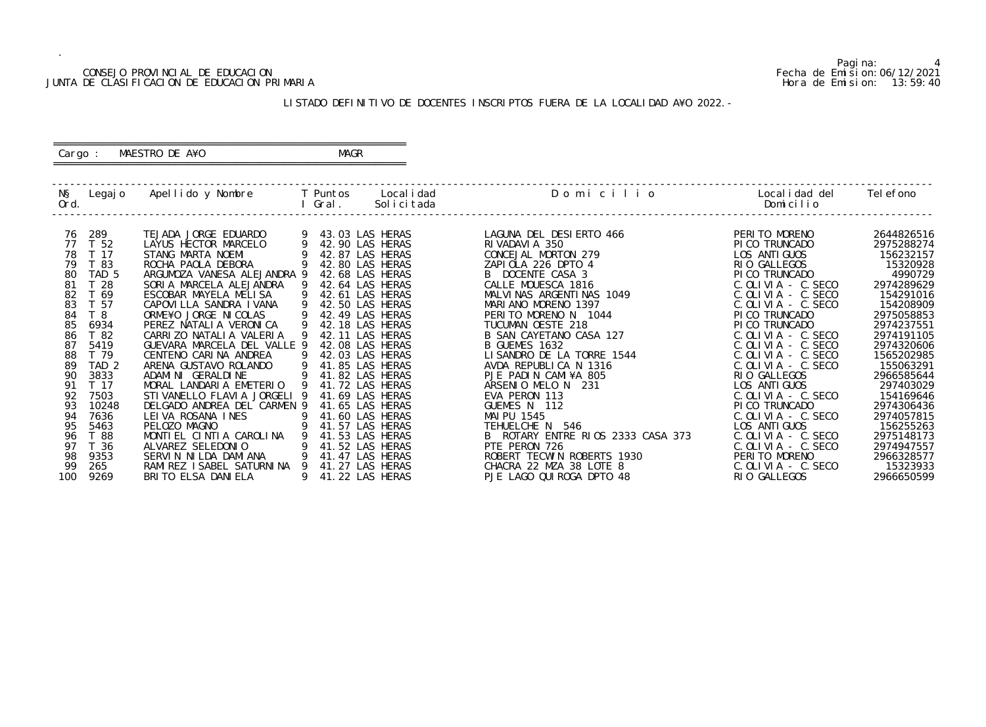## CONSEJO PROVINCIAL DE EDUCACION Fecha de Emision:06/12/2021 JUNTA DE CLASIFICACION DE EDUCACION PRIMARIA Hora de Emision: 13:59:40

## ========================================================== Cargo : MAESTRO DE A¥O **MAGR**

## LISTADO DEFINITIVO DE DOCENTES INSCRIPTOS FUERA DE LA LOCALIDAD A¥O 2022.-

==========================================================

| NŞ<br>Ord.                                                                                                                             |                                                                                                                                                                                                                        | Legajo Apellido y Nombre     T Puntos   Localidad                                                                                                                                                                                                                                                                                                                                                                                                                                                                                                                                                 |                                                           | I Gral. | Solicitada                                                                                                                                                                                                                                                                                                                                                                                                                                        | Domicilio                                                                                                                                                                                                                                                                                                                                                                                                                                                                                                                                | Localidad del<br>Domicilio                                                                                                                                                                                                                                                                                                                                                                                                                                                                                         | Tel efono                                                                                                                                                                                                                                                                                                          |
|----------------------------------------------------------------------------------------------------------------------------------------|------------------------------------------------------------------------------------------------------------------------------------------------------------------------------------------------------------------------|---------------------------------------------------------------------------------------------------------------------------------------------------------------------------------------------------------------------------------------------------------------------------------------------------------------------------------------------------------------------------------------------------------------------------------------------------------------------------------------------------------------------------------------------------------------------------------------------------|-----------------------------------------------------------|---------|---------------------------------------------------------------------------------------------------------------------------------------------------------------------------------------------------------------------------------------------------------------------------------------------------------------------------------------------------------------------------------------------------------------------------------------------------|------------------------------------------------------------------------------------------------------------------------------------------------------------------------------------------------------------------------------------------------------------------------------------------------------------------------------------------------------------------------------------------------------------------------------------------------------------------------------------------------------------------------------------------|--------------------------------------------------------------------------------------------------------------------------------------------------------------------------------------------------------------------------------------------------------------------------------------------------------------------------------------------------------------------------------------------------------------------------------------------------------------------------------------------------------------------|--------------------------------------------------------------------------------------------------------------------------------------------------------------------------------------------------------------------------------------------------------------------------------------------------------------------|
| 76<br>77<br>78<br>79<br>80<br>81<br>82<br>83<br>84<br>85<br>86<br>87<br>88<br>89<br>90<br>91<br>92<br>93<br>94<br>95<br>96<br>97<br>98 | 289<br>T 52<br>T 17<br>T 83<br>TAD <sub>5</sub><br>T <sub>28</sub><br>T 69<br>T 57<br>T 8<br>6934<br>T 82<br>5419<br>T 79<br>TAD <sub>2</sub><br>3833<br>T 17<br>7503<br>10248<br>7636<br>5463<br>T 88<br>T 36<br>9353 | TEJADA JORGE EDUARDO<br>LAYUS HECTOR MARCELO<br>STANG MARTA NOEMI<br>ROCHA PAOLA DEBORA<br>ARGUMOZA VANESA ALEJANDRA 9<br>SORIA MARCELA ALEJANDRA<br>ESCOBAR MAYELA MELISA<br>CAPOVI LLA SANDRA I VANA<br>ORME¥O JORGE NICOLAS<br>PEREZ NATALIA VERONICA<br>CARRIZO NATALIA VALERIA<br>GUEVARA MARCELA DEL VALLE 9<br>CENTENO CARINA ANDREA<br>ARENA GUSTAVO ROLANDO<br>ADAMINI GERALDINE<br>MORAL LANDARIA EMETERIO<br>STI VANELLO FLAVI A JORGELI 9<br>DELGADO ANDREA DEL CARMEN 9<br>LEIVA ROSANA INES<br>PELOZO MAGNO<br>MONTIEL CINTIA CAROLINA<br>ALVAREZ SELEDONIO<br>SERVIN NILDA DAMIANA | -9<br>9<br>- 9<br>- 9<br>-9<br>- 9<br>9<br>$\overline{9}$ |         | 43.03 LAS HERAS<br>42.90 LAS HERAS<br>42.87 LAS HERAS<br>42.80 LAS HERAS<br>42.68 LAS HERAS<br>42.64 LAS HERAS<br>42.61 LAS HERAS<br>42.50 LAS HERAS<br>42.49 LAS HERAS<br>42.18 LAS HERAS<br>42.11 LAS HERAS<br>42.08 LAS HERAS<br>42.03 LAS HERAS<br>41.85 LAS HERAS<br>41.82 LAS HERAS<br>41.72 LAS HERAS<br>41.69 LAS HERAS<br>41.65 LAS HERAS<br>41.60 LAS HERAS<br>41.57 LAS HERAS<br>41.53 LAS HERAS<br>41.52 LAS HERAS<br>41.47 LAS HERAS | LAGUNA DEL DESIERTO 466<br>RI VADAVI A 350<br>CONCEJAL MORTON 279<br>ZAPIOLA 226 DPTO 4<br>B DOCENTE CASA 3<br>CALLE MOUESCA 1816<br>MALVINAS ARGENTINAS 1049<br>MARIANO MORENO 1397<br>PERITO MORENO N 1044<br>TUCUMAN OESTE 218<br>B SAN CAYETANO CASA 127<br>B GUEMES 1632<br>LISANDRO DE LA TORRE 1544<br>AVDA REPUBLICA N 1316<br>PJE PADIN CAMI¥A 805<br>ARSENIO MELO N 231<br>EVA PERON 113<br>GUEMES N 112<br>MAI PU 1545<br>TEHUELCHE N 546<br>B ROTARY ENTRE RIOS 2333 CASA 373<br>PTE PERON 726<br>ROBERT TECWIN ROBERTS 1930 | PERITO MORENO<br>PI CO TRUNCADO<br>LOS ANTI GUOS<br>RIO GALLEGOS<br>PI CO TRUNCADO<br>$C.$ OLIVIA - $C.$ SECO<br>$C.$ OLIVIA - $C.$ SECO<br>$C.$ OLIVIA - $C.$ SECO<br>PI CO TRUNCADO<br>PI CO TRUNCADO<br>$C.$ OLIVIA - $C.$ SECO<br>$C.$ OLIVIA - $C.$ SECO<br>$C.$ OLIVIA - $C.$ SECO<br>$C.$ OLIVIA - $C.$ SECO<br>RIO GALLEGOS<br>LOS ANTI GUOS<br>$C.$ OLIVIA - $C.$ SECO<br>PI CO TRUNCADO<br>$C.$ OLIVIA - C. SECO<br>LOS ANTI GUOS<br>$C.$ OLIVIA - $C.$ SECO<br>$C.$ OLIVIA - $C.$ SECO<br>PERITO MORENO | 2644826516<br>2975288274<br>156232157<br>15320928<br>4990729<br>2974289629<br>154291016<br>154208909<br>2975058853<br>2974237551<br>2974191105<br>2974320606<br>1565202985<br>155063291<br>2966585644<br>297403029<br>154169646<br>2974306436<br>2974057815<br>156255263<br>2975148173<br>2974947557<br>2966328577 |
| 99<br>100                                                                                                                              | 265<br>9269                                                                                                                                                                                                            | RAMIREZ ISABEL SATURNINA 9<br>BRITO ELSA DANIELA                                                                                                                                                                                                                                                                                                                                                                                                                                                                                                                                                  |                                                           |         | 41.27 LAS HERAS<br>9 41.22 LAS HERAS                                                                                                                                                                                                                                                                                                                                                                                                              | CHACRA 22 MZA 38 LOTE 8<br>PJE LAGO QUI ROGA DPTO 48                                                                                                                                                                                                                                                                                                                                                                                                                                                                                     | $C.$ OLIVIA - $C.$ SECO<br>RIO GALLEGOS                                                                                                                                                                                                                                                                                                                                                                                                                                                                            | 15323933<br>2966650599                                                                                                                                                                                                                                                                                             |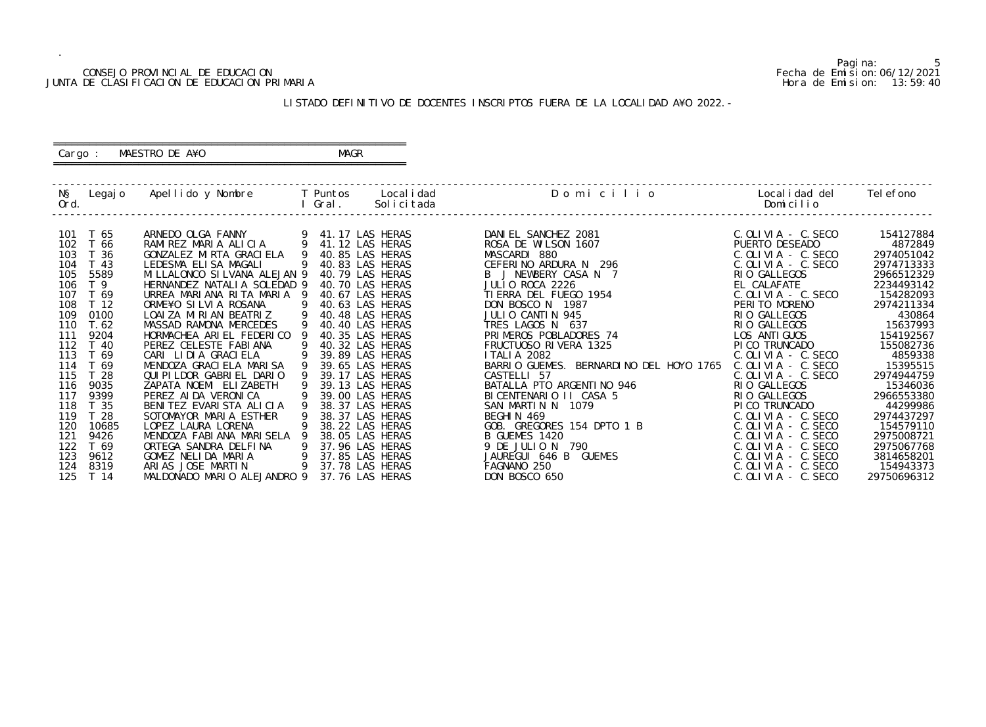### CONSEJO PROVINCIAL DE EDUCACION Fecha de Emision:06/12/2021 JUNTA DE CLASIFICACION DE EDUCACION PRIMARIA Hora de Emision: 13:59:40

 ========================================================== Cargo : MAESTRO DE A¥O **MAGR** 

## LISTADO DEFINITIVO DE DOCENTES INSCRIPTOS FUERA DE LA LOCALIDAD A¥O 2022.-

==========================================================

| NŞ<br>Ord. | Legaj o         | Apellido y Nombre             |     | T Puntos<br>Gral. | Local i dad<br>Solicitada | Domicilio                               | Local i dad del<br>Domicilio | Tel efono   |
|------------|-----------------|-------------------------------|-----|-------------------|---------------------------|-----------------------------------------|------------------------------|-------------|
|            |                 |                               |     |                   |                           |                                         |                              |             |
| 101        | T 65            | ARNEDO OLGA FANNY             | -9  |                   | 9 41.17 LAS HERAS         | DANIEL SANCHEZ 2081                     | $C.$ OLIVIA - $C.$ SECO      | 154127884   |
| 102        | T 66            | RAMIREZ MARIA ALICIA          |     |                   | 41.12 LAS HERAS           | ROSA DE WILSON 1607                     | PUERTO DESEADO               | 4872849     |
| 103        | T 36            | GONZALEZ MIRTA GRACIELA       |     |                   | 40.85 LAS HERAS           | MASCARDI 880                            | $C.$ OLIVIA - $C.$ SECO      | 2974051042  |
| 104        | T 43            | LEDESMA ELISA MAGALI          |     |                   | 40.83 LAS HERAS           | CEFERINO ARDURA N 296                   | $C.$ OLIVIA - C. SECO        | 2974713333  |
| 105        | 5589            | MI LLALONCO SI LVANA ALEJAN 9 |     |                   | 40.79 LAS HERAS           | B J NEWBERY CASA N 7                    | RIO GALLEGOS                 | 2966512329  |
| 106        | T <sub>9</sub>  | HERNANDEZ NATALIA SOLEDAD 9   |     |                   | 40.70 LAS HERAS           | JULIO ROCA 2226                         | EL CALAFATE                  | 2234493142  |
| 107        | T 69            | URREA MARIANA RITA MARIA      | - 9 |                   | 40.67 LAS HERAS           | TI ERRA DEL FUEGO 1954                  | $C.$ OLIVIA - $C.$ SECO      | 154282093   |
| 108        | T 12            | ORME¥O SILVIA ROSANA          |     |                   | 40.63 LAS HERAS           | DON BOSCO N 1987                        | PERITO MORENO                | 2974211334  |
| 109        | 0100            | LOAI ZA MIRIAN BEATRIZ        | 9   |                   | 40.48 LAS HERAS           | JULIO CANTIN 945                        | RIO GALLEGOS                 | 430864      |
| 110        | T. 62           | MASSAD RAMONA MERCEDES        |     |                   | 40.40 LAS HERAS           | TRES LAGOS N 637                        | RIO GALLEGOS                 | 15637993    |
| 111        | 9204            | HORMACHEA ARIEL FEDERICO      |     |                   | 40.35 LAS HERAS           | PRIMEROS POBLADORES 74                  | LOS ANTI GUOS                | 154192567   |
| 112        | T 40            | PEREZ CELESTE FABIANA         |     |                   | 40.32 LAS HERAS           | FRUCTUOSO RIVERA 1325                   | PI CO TRUNCADO               | 155082736   |
| 113        | T 69            | CARI LIDIA GRACIELA           |     |                   | 39.89 LAS HERAS           | <b>ITALIA 2082</b>                      | $C.$ OLIVIA - $C.$ SECO      | 4859338     |
| 114        | T 69            | MENDOZA GRACI ELA MARI SA     |     |                   | 39.65 LAS HERAS           | BARRIO GUEMES. BERNARDINO DEL HOYO 1765 | C. OLIVIA - C. SECO          | 15395515    |
| 115        | T 28            | QUI PI LDOR GABRI EL DARIO    |     |                   | 39.17 LAS HERAS           | CASTELLI 57                             | $C.$ OLIVIA - $C.$ SECO      | 2974944759  |
| 116        | 9035            | ZAPATA NOEMI ELIZABETH        |     |                   | 39.13 LAS HERAS           | BATALLA PTO ARGENTINO 946               | RIO GALLEGOS                 | 15346036    |
| 117        | 9399            | PEREZ AI DA VERONI CA         |     |                   | 39.00 LAS HERAS           | BICENTENARIO II CASA 5                  | RIO GALLEGOS                 | 2966553380  |
| 118        | T <sub>35</sub> | BENITEZ EVARISTA ALICIA       |     |                   | 38.37 LAS HERAS           | SAN MARTIN N 1079                       | PI CO TRUNCADO               | 44299986    |
| 119        | T <sub>28</sub> | SOTOMAYOR MARIA ESTHER        |     |                   | 38.37 LAS HERAS           | BEGHIN 469                              | $C.$ OLIVIA - $C.$ SECO      | 2974437297  |
| 120        | 10685           | LOPEZ LAURA LORENA            |     |                   | 38.22 LAS HERAS           | GOB. GREGORES 154 DPTO 1 B              | $C.$ OLIVIA - $C.$ SECO      | 154579110   |
| 121        | 9426            | MENDOZA FABIANA MARISELA      |     |                   | 38.05 LAS HERAS           | B GUEMES 1420                           | $C.$ OLIVIA - $C.$ SECO      | 2975008721  |
| 122        | T 69            | ORTEGA SANDRA DELFINA         | 9   |                   | 37.96 LAS HERAS           | 9 DE JULIO N 790                        | C. OLIVIA - C. SECO          | 2975067768  |
| 123        | 9612            | GOMEZ NELIDA MARIA            | 9   |                   | 37.85 LAS HERAS           | JAUREGUI 646 B<br>GUEMES                | $C.$ OLIVIA - C. SECO        | 3814658201  |
| 124        | 8319            | ARIAS JOSE MARTIN             | 9   |                   | 37.78 LAS HERAS           | FAGNANO 250                             | $C.$ OLIVIA - C. SECO        | 154943373   |
| 125        | T 14            | MALDONADO MARIO ALEJANDRO 9   |     |                   | 37.76 LAS HERAS           | DON BOSCO 650                           | $C.$ OLIVIA - $C.$ SECO      | 29750696312 |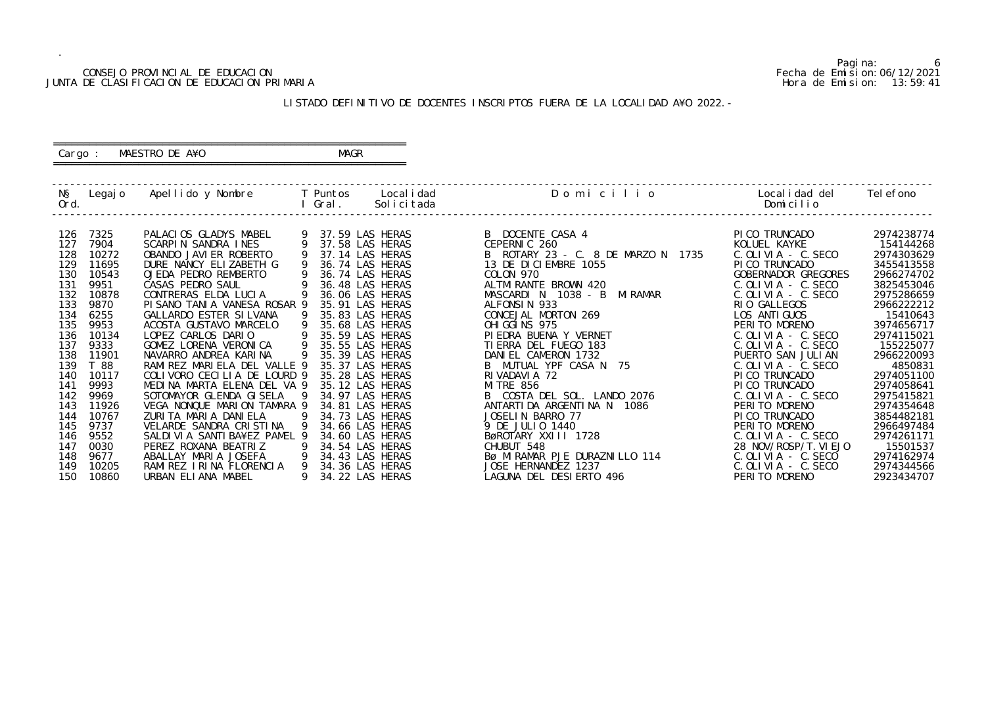## CONSEJO PROVINCIAL DE EDUCACION Fecha de Emision:06/12/2021 JUNTA DE CLASIFICACION DE EDUCACION PRIMARIA Hora de Emision: 13:59:41

## ========================================================== Cargo : MAESTRO DE A¥O **MAGR**

## LISTADO DEFINITIVO DE DOCENTES INSCRIPTOS FUERA DE LA LOCALIDAD A¥O 2022.-

==========================================================

| NŞ<br>Ord. | Legaj o | Apellido y Nombre              |   | T Puntos<br>Gral. | Local i dad<br>Solicitada | Domicilio                          | Local i dad del<br>Domicilio             | Tel efono  |
|------------|---------|--------------------------------|---|-------------------|---------------------------|------------------------------------|------------------------------------------|------------|
| 126        | 7325    | PALACIOS GLADYS MABEL          |   |                   | 37.59 LAS HERAS           | B DOCENTE CASA 4                   | PI CO TRUNCADO                           | 2974238774 |
| 127        | 7904    | SCARPIN SANDRA INES            |   |                   | 37.58 LAS HERAS           | CEPERNIC 260                       | KOLUEL KAYKE                             | 154144268  |
| 128        | 10272   | OBANDO JAVIER ROBERTO          |   |                   | 37.14 LAS HERAS           | B ROTARY 23 - C. 8 DE MARZO N 1735 | $C.$ OLIVIA - $C.$ SECO                  | 2974303629 |
| 129        | 11695   | DURE NANCY ELIZABETH G         |   |                   | 36.74 LAS HERAS           | 13 DE DI CI EMBRE 1055             | PI CO TRUNCADO                           | 3455413558 |
| 130        | 10543   | OJEDA PEDRO REMBERTO           |   |                   | 36.74 LAS HERAS           | COLON 970                          | GOBERNADOR GREGORES                      | 2966274702 |
| 131        | 9951    | CASAS PEDRO SAUL               |   |                   | 36.48 LAS HERAS           | ALTMI RANTE BROWN 420              | $C.$ OLIVIA - $C.$ SECO                  | 3825453046 |
| 132        | 10878   | CONTRERAS ELDA LUCIA           |   |                   | 36.06 LAS HERAS           | MI RAMAR<br>MASCARDI N 1038 - B    | $C.$ OLIVIA - $C.$ SECO                  | 2975286659 |
| 133        | 9870    | PISANO TANIA VANESA ROSAR 9    |   |                   | 35.91 LAS HERAS           | ALFONSIN 933                       | RIO GALLEGOS                             | 2966222212 |
| 134        | 6255    | GALLARDO ESTER SI LVANA        |   |                   | 35.83 LAS HERAS           | CONCEJAL MORTON 269                | LOS ANTI GUOS                            | 15410643   |
| 135        | 9953    | ACOSTA GUSTAVO MARCELO         |   |                   | 35.68 LAS HERAS           | OHI GGI NS 975                     | PERITO MORENO                            | 3974656717 |
| 136        | 10134   | LOPEZ CARLOS DARIO             |   |                   | 35.59 LAS HERAS           | PI EDRA BUENA Y VERNET             | $C.$ OLIVIA - $C.$ SECO                  | 2974115021 |
| 137        | 9333    | GOMEZ LORENA VERONICA          |   |                   | 35.55 LAS HERAS           | TI ERRA DEL FUEGO 183              | $C.$ OLIVIA - $C.$ SECO                  | 155225077  |
| 138        | 11901   | NAVARRO ANDREA KARINA          |   |                   | 35.39 LAS HERAS           | DANIEL CAMERON 1732                | PUERTO SAN JULIAN                        | 2966220093 |
| 139        | T 88    | RAMIREZ MARIELA DEL VALLE 9    |   |                   | 35.37 LAS HERAS           | B MUTUAL YPF CASA N 75             | $C.$ OLIVIA - $C.$ SECO                  | 4850831    |
| 140        | 10117   | COLIVORO CECILIA DE LOURD 9    |   |                   | 35.28 LAS HERAS           | RIVADAVIA 72                       | PI CO TRUNCADO                           | 2974051100 |
| 141        | 9993    | MEDINA MARTA ELENA DEL VA 9    |   |                   | 35.12 LAS HERAS           | <b>MI TRE 856</b>                  | PI CO TRUNCADO                           | 2974058641 |
| 142        | 9969    | SOTOMAYOR GLENDA GI SELA       |   |                   | 34.97 LAS HERAS           | B COSTA DEL SOL. LANDO 2076        | $C.$ OLIVIA - $C.$ SECO                  | 2975415821 |
| 143        | 11926   | VEGA NONQUE MARION TAMARA 9    |   |                   | 34.81 LAS HERAS           | ANTARTIDA ARGENTINA N 1086         | PERITO MORENO                            | 2974354648 |
| 144        | 10767   | ZURITA MARIA DANIELA           |   |                   | 34.73 LAS HERAS           | JOSELIN BARRO 77                   | PI CO TRUNCADO                           | 3854482181 |
| 145        | 9737    | VELARDE SANDRA CRISTINA        |   |                   | 34.66 LAS HERAS           | 9 DE JULIO 1440                    | PERITO MORENO                            | 2966497484 |
| 146        | 9552    | SALDI VI A SANTI BA¥EZ PAMEL 9 |   |                   | 34.60 LAS HERAS           | BøROTARY XXIII 1728                | $C.$ OLIVIA - $C.$ SECO                  | 2974261171 |
| 147        | 0030    | PEREZ ROXANA BEATRIZ           |   |                   | 34.54 LAS HERAS           | CHUBUT 548                         | 28 NOV/ROSP/T. VI EJO                    | 15501537   |
| 148        | 9677    | ABALLAY MARIA JOSEFA           |   |                   | 34.43 LAS HERAS           | BØ MIRAMAR PJE DURAZNILLO 114      | $C.$ OLIVIA - $C.$ SECO                  | 2974162974 |
| 149        | 10205   | RAMIREZ IRINA FLORENCIA        | 9 |                   | 34.36 LAS HERAS           | JOSE HERNANDEZ 1237                | $C.$ OLIVIA - $C.$ SECO<br>PERITO MORENO | 2974344566 |
| 150        | 10860   | URBAN ELIANA MABEL             |   |                   | 34.22 LAS HERAS           | LAGUNA DEL DESIERTO 496            |                                          | 2923434707 |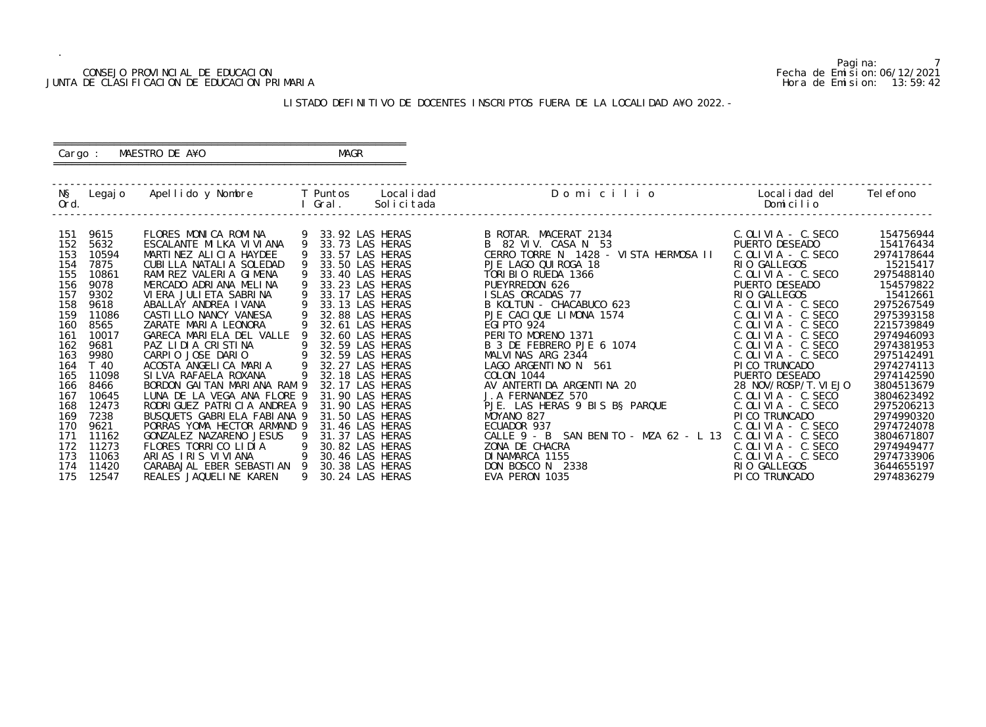## CONSEJO PROVINCIAL DE EDUCACION Fecha de Emision:06/12/2021 JUNTA DE CLASIFICACION DE EDUCACION PRIMARIA Hora de Emision: 13:59:42

 ========================================================== Cargo : MAESTRO DE A¥O **MAGR** 

## LISTADO DEFINITIVO DE DOCENTES INSCRIPTOS FUERA DE LA LOCALIDAD A¥O 2022.-

==========================================================

| NŞ<br>Ord. |               | Legajo Apellido y Nombre                                         |   | <b>Example T</b> Puntos<br>Gral. | Local i dad<br>Solicitada          | Domicilio                                 | Local i dad del<br>Domicilio     | Tel efono                |
|------------|---------------|------------------------------------------------------------------|---|----------------------------------|------------------------------------|-------------------------------------------|----------------------------------|--------------------------|
| 151        | 9615          | FLORES MONICA ROMINA                                             |   |                                  | 33.92 LAS HERAS                    | B ROTAR. MACERAT 2134                     | $C.$ OLIVIA - $C.$ SECO          | 154756944                |
| 152        | 5632          | ESCALANTE MILKA VI VI ANA                                        | 9 |                                  | 33.73 LAS HERAS                    | B 82 VIV. CASA N 53                       | PUERTO DESEADO                   | 154176434                |
| 153        | 10594         | MARTINEZ ALICIA HAYDEE                                           |   |                                  | 33.57 LAS HERAS                    | CERRO TORRE N 1428 - VISTA HERMOSA II     | $C.$ OLIVIA - $C.$ SECO          | 2974178644               |
| 154        | 7875          | CUBILLA NATALIA SOLEDAD                                          |   |                                  | 33.50 LAS HERAS                    | PJE LAGO QUI ROGA 18                      | RIO GALLEGOS                     | 15215417                 |
| 155        | 10861         | RAMI REZ VALERIA GIMENA                                          |   |                                  | 33.40 LAS HERAS                    | TORIBIO RUEDA 1366                        | $C.$ OLIVIA - $C.$ SECO          | 2975488140               |
| 156        | 9078          | MERCADO ADRIANA MELINA                                           |   |                                  | 33.23 LAS HERAS                    | PUEYRREDON 626                            | PUERTO DESEADO                   | 154579822                |
| 157        | 9302          | VI ERA JULI ETA SABRI NA                                         |   |                                  | 33.17 LAS HERAS                    | ISLAS ORCADAS 77                          | RIO GALLEGOS                     | 15412661                 |
| 158        | 9618          | ABALLAY ANDREA IVANA                                             |   |                                  | 33.13 LAS HERAS                    | B KOLTUN - CHACABUCO 623                  | $C.$ OLIVIA - $C.$ SECO          | 2975267549               |
| 159        | 11086         | CASTILLO NANCY VANESA                                            |   |                                  | 32.88 LAS HERAS                    | PJE CACIQUE LIMONA 1574                   | $C.$ OLIVIA - $C.$ SECO          | 2975393158               |
| 160        | 8565          | ZARATE MARIA LEONORA                                             |   |                                  | 32.61 LAS HERAS                    | <b>EGI PTO 924</b>                        | $C.$ OLIVIA - $C.$ SECO          | 2215739849               |
| 161        | 10017         | GARECA MARIELA DEL VALLE                                         |   |                                  | 32.60 LAS HERAS                    | PERITO MORENO 1371                        | $C.$ OLIVIA - $C.$ SECO          | 2974946093               |
| 162        | 9681          | PAZ LIDIA CRISTINA                                               | 9 |                                  | 32.59 LAS HERAS                    | B 3 DE FEBRERO PJE 6 1074                 | $C.$ OLIVIA - $C.$ SECO          | 2974381953               |
| 163        | 9980          | $\overline{9}$<br>CARPIO JOSE DARIO                              |   |                                  | 32.59 LAS HERAS                    | MALVINAS ARG 2344                         | $C.$ OLIVIA - $C.$ SECO          | 2975142491               |
| 164<br>165 | T 40<br>11098 | $\overline{9}$<br>ACOSTA ANGELICA MARIA<br>SI LVA RAFAELA ROXANA |   |                                  | 32.27 LAS HERAS<br>32.18 LAS HERAS | LAGO ARGENTINO N 561<br><b>COLON 1044</b> | PI CO TRUNCADO<br>PUERTO DESEADO | 2974274113<br>2974142590 |
| 166        | 8466          | BORDON GAI TAN MARI ANA RAM 9                                    |   |                                  | 32.17 LAS HERAS                    | AV ANTERTIDA ARGENTINA 20                 | 28 NOV/ROSP/T. VI EJO            | 3804513679               |
| 167        | 10645         | LUNA DE LA VEGA ANA FLORE 9                                      |   |                                  | 31.90 LAS HERAS                    | J. A FERNANDEZ 570                        | $C.$ OLIVIA - $C.$ SECO          | 3804623492               |
| 168        | 12473         | RODRI GUEZ PATRI CI A ANDREA 9                                   |   |                                  | 31.90 LAS HERAS                    | PJE. LAS HERAS 9 BIS B§ PARQUE            | $C.$ OLIVIA - $C.$ SECO          | 2975206213               |
| 169        | 7238          | BUSQUETS GABRIELA FABIANA 9                                      |   |                                  | 31.50 LAS HERAS                    | MOYANO 827                                | PI CO TRUNCADO                   | 2974990320               |
| 170        | 9621          | PORRAS YOMA HECTOR ARMAND 9                                      |   |                                  | 31.46 LAS HERAS                    | ECUADOR 937                               | $C.$ OLIVIA - $C.$ SECO          | 2974724078               |
| 171        | 11162         | GONZALEZ NAZARENO JESUS                                          |   |                                  | 31.37 LAS HERAS                    | CALLE 9 - B SAN BENITO - MZA 62 - L 13    | $C.$ OLIVIA - $C.$ SECO          | 3804671807               |
| 172        | 11273         | FLORES TORRICO LIDIA                                             | 9 |                                  | 30.82 LAS HERAS                    | ZONA DE CHACRA                            | $C.$ OLIVIA - $C.$ SECO          | 2974949477               |
| 173        | 11063         | ARIAS IRIS VIVIANA                                               |   |                                  | 30.46 LAS HERAS                    | DI NAMARCA 1155                           | $C.$ OLIVIA - $C.$ SECO          | 2974733906               |
| 174        | 11420         | CARABAJAL EBER SEBASTIAN 9                                       |   |                                  | 30.38 LAS HERAS                    | DON BOSCO N 2338                          | RIO GALLEGOS                     | 3644655197               |
| 175        | 12547         | REALES JAQUELINE KAREN                                           | 9 |                                  | 30.24 LAS HERAS                    | EVA PERON 1035                            | PICO TRUNCADO                    | 2974836279               |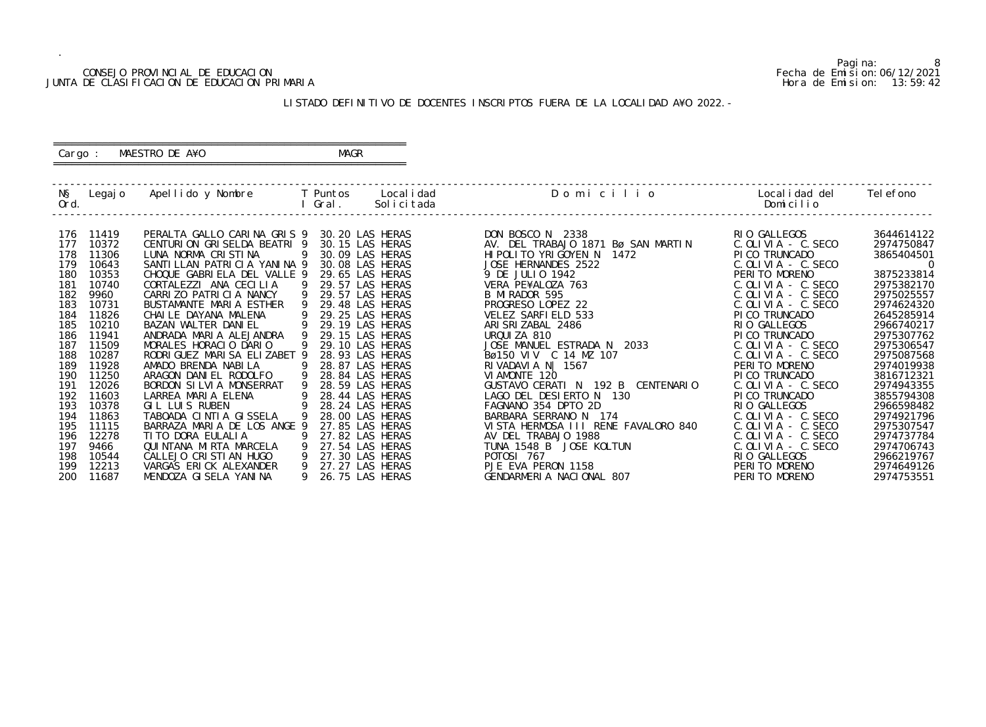## CONSEJO PROVINCIAL DE EDUCACION Fecha de Emision:06/12/2021 JUNTA DE CLASIFICACION DE EDUCACION PRIMARIA Hora de Emision: 13:59:42

## ========================================================== Cargo : MAESTRO DE A¥O **MAGR**

## LISTADO DEFINITIVO DE DOCENTES INSCRIPTOS FUERA DE LA LOCALIDAD A¥O 2022.-

==========================================================

| NŞ<br>Ord. | Legaj o        | Apellido y Nombre T Puntos Localidad                                       |     | I Gral. | Solicitada      | Domicilio                                              | Localidad del<br>Domicilio              | Tel efono      |
|------------|----------------|----------------------------------------------------------------------------|-----|---------|-----------------|--------------------------------------------------------|-----------------------------------------|----------------|
|            |                |                                                                            |     |         |                 |                                                        |                                         | 3644614122     |
| 176<br>177 | 11419<br>10372 | PERALTA GALLO CARINA GRIS 9 30.20 LAS HERAS<br>CENTURION GRISELDA BEATRI 9 |     |         | 30.15 LAS HERAS | DON BOSCO N 2338<br>AV. DEL TRABAJO 1871 Bø SAN MARTIN | RIO GALLEGOS<br>$C.$ OLIVIA - $C.$ SECO | 2974750847     |
| 178        | 11306          | LUNA NORMA CRISTINA                                                        | - 9 |         | 30.09 LAS HERAS | HI POLITO YRI GOYEN N<br>1472                          | PICO TRUNCADO                           | 3865404501     |
| 179        | 10643          | SANTILLAN PATRICIA YANINA 9                                                |     |         | 30.08 LAS HERAS | JOSE HERNANDES 2522                                    | $C.$ OLIVIA - $C.$ SECO                 | $\overline{0}$ |
| 180        | 10353          | CHOQUE GABRIELA DEL VALLE 9                                                |     |         | 29.65 LAS HERAS | 9 DE JULIO 1942                                        | PERITO MORENO                           | 3875233814     |
| 181        | 10740          | CORTALEZZI ANA CECILIA                                                     | - 9 |         | 29.57 LAS HERAS | VERA PE¥ALOZA 763                                      | $C.$ OLIVIA - $C.$ SECO                 | 2975382170     |
| 182        | 9960           | CARRIZO PATRICIA NANCY                                                     | 9   |         | 29.57 LAS HERAS | B MI RADOR 595                                         | $C.$ OLIVIA - $C.$ SECO                 | 2975025557     |
| 183        | 10731          | BUSTAMANTE MARIA ESTHER                                                    | -9  |         | 29.48 LAS HERAS | PROGRESO LOPEZ 22                                      | $C.$ OLIVIA - $C.$ SECO                 | 2974624320     |
| 184        | 11826          | CHAILE DAYANA MALENA                                                       | 9   |         | 29.25 LAS HERAS | VELEZ SARFIELD 533                                     | PI CO TRUNCADO                          | 2645285914     |
| 185        | 10210          | BAZAN WALTER DANIEL                                                        | 9   |         | 29.19 LAS HERAS | ARI SRI ZABAL 2486                                     | RIO GALLEGOS                            | 2966740217     |
| 186        | 11941          | ANDRADA MARIA ALEJANDRA                                                    |     |         | 29.15 LAS HERAS | URQUIZA 810                                            | PI CO TRUNCADO                          | 2975307762     |
| 187        | 11509          | MORALES HORACIO DARIO                                                      | 9   |         | 29.10 LAS HERAS | JOSE MANUEL ESTRADA N 2033                             | $C.$ OLIVIA - $C.$ SECO                 | 2975306547     |
| 188        | 10287          | RODRI GUEZ MARI SA ELIZABET 9                                              |     |         | 28.93 LAS HERAS | Bø150 VIV C 14 MZ 107                                  | $C.$ OLIVIA - $C.$ SECO                 | 2975087568     |
| 189        | 11928          | AMADO BRENDA NABILA                                                        | 9   |         | 28.87 LAS HERAS | RIVADAVIA N  1567                                      | PERITO MORENO                           | 2974019938     |
| 190        | 11250          | ARAGON DANIEL RODOLFO                                                      | -9  |         | 28.84 LAS HERAS | VI AMONTE 120                                          | PICO TRUNCADO                           | 3816712321     |
| 191        | 12026          | BORDON SILVIA MONSERRAT                                                    | 9   |         | 28.59 LAS HERAS | GUSTAVO CERATI N 192 B CENTENARIO                      | $C.$ OLIVIA - $C.$ SECO                 | 2974943355     |
| 192        | 11603          | LARREA MARIA ELENA                                                         |     |         | 28.44 LAS HERAS | LAGO DEL DESIERTO N 130                                | PI CO TRUNCADO                          | 3855794308     |
| 193        | 10378          | $\overline{9}$<br>GIL LUIS RUBEN                                           |     |         | 28.24 LAS HERAS | FAGNANO 354 DPTO 2D                                    | RIO GALLEGOS                            | 2966598482     |
| 194        | 11863          | TABOADA CINTIA GISSELA                                                     |     |         | 28.00 LAS HERAS | BARBARA SERRANO N 174                                  | $C.$ OLIVIA - $C.$ SECO                 | 2974921796     |
| 195        | 11115          | BARRAZA MARIA DE LOS ANGE 9                                                |     |         | 27.85 LAS HERAS | VISTA HERMOSA III RENE FAVALORO 840                    | $C.$ OLIVIA - $C.$ SECO                 | 2975307547     |
| 196        | 12278          | TI TO DORA EULALIA                                                         | - 9 |         | 27.82 LAS HERAS | AV DEL TRABAJO 1988                                    | $C.$ OLIVIA - $C.$ SECO                 | 2974737784     |
| 197        | 9466           | $\overline{9}$<br>QUI NTANA MI RTA MARCELA                                 |     |         | 27.54 LAS HERAS | TUNA 1548 B JOSE KOLTUN                                | $C.$ OLIVIA - $C.$ SECO                 | 2974706743     |
| 198        | 10544          | CALLEJO CRISTIAN HUGO                                                      |     |         | 27.30 LAS HERAS | POTOSI 767                                             | RIO GALLEGOS                            | 2966219767     |
| 199        | 12213          | VARGAS ERICK ALEXANDER                                                     | 9   |         | 27.27 LAS HERAS | PJE EVA PERON 1158                                     | PERITO MORENO                           | 2974649126     |
| 200        | 11687          | MENDOZA GI SELA YANI NA                                                    | 9   |         | 26.75 LAS HERAS | GENDARMERIA NACIONAL 807                               | PERITO MORENO                           | 2974753551     |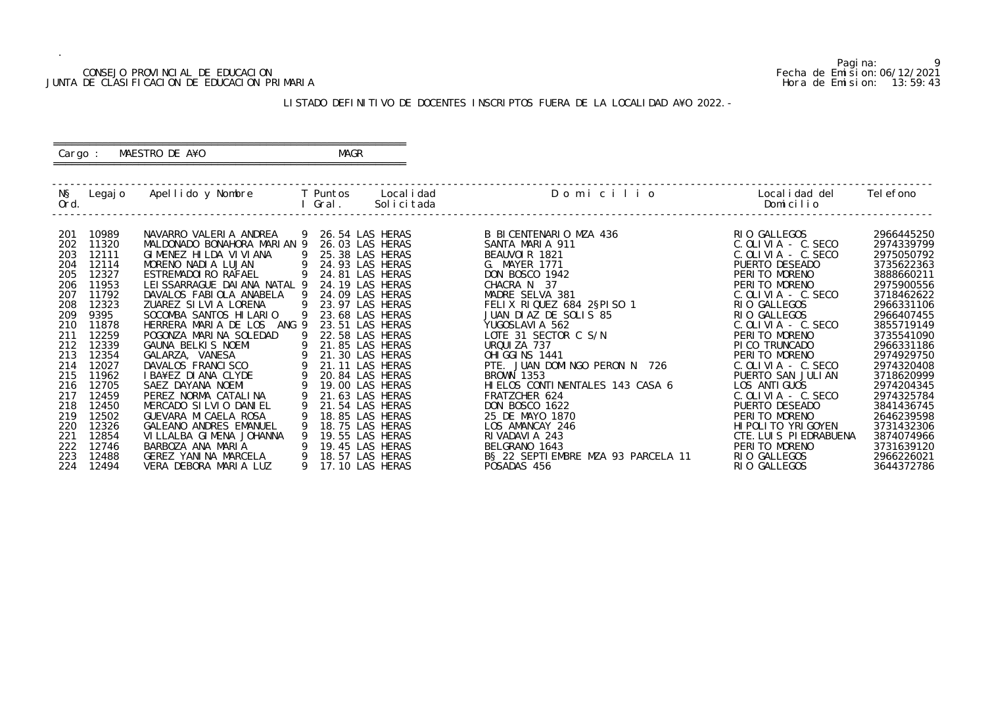## CONSEJO PROVINCIAL DE EDUCACION Fecha de Emision:06/12/2021 JUNTA DE CLASIFICACION DE EDUCACION PRIMARIA Hora de Emision: 13:59:43

## ========================================================== Cargo : MAESTRO DE A¥O **MAGR**

## LISTADO DEFINITIVO DE DOCENTES INSCRIPTOS FUERA DE LA LOCALIDAD A¥O 2022.-

==========================================================

| NŞ<br>Ord. | Legaj o        | Apellido y Nombre                                     |   | T Puntos<br>Gral. | Local i dad<br>Solicitada            | Domicilio                                            | Local i dad del<br>Domicilio             | Tel efono                |
|------------|----------------|-------------------------------------------------------|---|-------------------|--------------------------------------|------------------------------------------------------|------------------------------------------|--------------------------|
| 201<br>202 | 10989<br>11320 | NAVARRO VALERIA ANDREA<br>MALDONADO BONAHORA MARIAN 9 |   |                   | 9 26.54 LAS HERAS<br>26.03 LAS HERAS | B BICENTENARIO MZA 436<br>SANTA MARIA 911            | RIO GALLEGOS<br>$C.$ OLIVIA - $C.$ SECO  | 2966445250<br>2974339799 |
| 203        | 12111          | GIMENEZ HILDA VIVIANA                                 |   |                   | 25.38 LAS HERAS                      | BEAUVOIR 1821                                        | $C.$ OLIVIA - $C.$ SECO                  | 2975050792               |
| 204        | 12114          | MORENO NADIA LUJAN                                    | 9 |                   | 24.93 LAS HERAS                      | G. MAYER 1771                                        | PUERTO DESEADO                           | 3735622363               |
| 205<br>206 | 12327<br>11953 | ESTREMADOIRO RAFAEL<br>LEI SSARRAGUE DAI ANA NATAL 9  | 9 |                   | 24.81 LAS HERAS<br>24.19 LAS HERAS   | <b>DON BOSCO 1942</b><br>CHACRA N 37                 | PERITO MORENO<br>PERITO MORENO           | 3888660211<br>2975900556 |
| 207        | 11792          | DAVALOS FABIOLA ANABELA                               |   |                   | 24.09 LAS HERAS                      | MADRE SELVA 381                                      | $C.$ OLIVIA - $C.$ SECO                  | 3718462622               |
| 208        | 12323          | ZUAREZ SILVIA LORENA                                  | 9 |                   | 23.97 LAS HERAS                      | FELIX RIQUEZ 684 2§PISO 1                            | RIO GALLEGOS                             | 2966331106               |
| 209<br>210 | 9395<br>11878  | SOCOMBA SANTOS HILARIO<br>HERRERA MARIA DE LOS ANG 9  | 9 |                   | 23.68 LAS HERAS<br>23.51 LAS HERAS   | JUAN DIAZ DE SOLIS 85<br>YUGOSLAVI A 562             | RIO GALLEGOS<br>$C.$ OLIVIA - $C.$ SECO  | 2966407455<br>3855719149 |
| 211        | 12259          | POGONZA MARINA SOLEDAD                                | 9 |                   | 22.58 LAS HERAS                      | LOTE 31 SECTOR C S/N                                 | PERITO MORENO                            | 3735541090               |
| 212        | 12339          | GAUNA BELKIS NOEMI                                    | 9 |                   | 21.85 LAS HERAS                      | URQUIZA 737                                          | PI CO TRUNCADO                           | 2966331186               |
| 213<br>214 | 12354<br>12027 | GALARZA, VANESA<br>DAVALOS FRANCISCO                  | 9 |                   | 21.30 LAS HERAS<br>21.11 LAS HERAS   | OHI GGI NS 1441                                      | PERITO MORENO<br>$C.$ OLIVIA - $C.$ SECO | 2974929750<br>2974320408 |
| 215        | 11962          | IBA¥EZ DIANA CLYDE                                    | 9 |                   | 20.84 LAS HERAS                      | PTE. JUAN DOMINGO PERON N 726<br><b>BROWN 1353</b>   | PUERTO SAN JULIAN                        | 3718620999               |
| 216        | 12705          | SAEZ DAYANA NOEMI                                     |   |                   | 19.00 LAS HERAS                      | HIELOS CONTINENTALES 143 CASA 6                      | LOS ANTI GUOS                            | 2974204345               |
| 217        | 12459          | PEREZ NORMA CATALINA                                  |   |                   | 21.63 LAS HERAS                      | FRATZCHER 624                                        | $C.$ OLIVIA - $C.$ SECO                  | 2974325784               |
| 218<br>219 | 12450<br>12502 | MERCADO SILVIO DANIEL<br>GUEVARA MI CAELA ROSA        |   |                   | 21.54 LAS HERAS<br>18.85 LAS HERAS   | <b>DON BOSCO 1622</b><br>25 DE MAYO 1870             | PUERTO DESEADO<br>PERITO MORENO          | 3841436745<br>2646239598 |
| 220        | 12326          | <b>GALEANO ANDRES EMANUEL</b>                         |   |                   | 18.75 LAS HERAS                      | LOS AMANCAY 246                                      | HI POLI TO YRI GOYEN                     | 3731432306               |
| 221        | 12854          | VI LLALBA GI MENA JOHANNA                             |   |                   | 19.55 LAS HERAS                      | RIVADAVIA 243                                        | CTE. LUIS PIEDRABUENA                    | 3874074966               |
| 222        | 12746          | BARBOZA ANA MARIA<br>GEREZ YANINA MARCELA             |   |                   | 19.45 LAS HERAS<br>18.57 LAS HERAS   | BELGRANO 1643<br>B§ 22 SEPTI EMBRE MZA 93 PARCELA 11 | PERITO MORENO<br>RIO GALLEGOS            | 3731639120<br>2966226021 |
| 223<br>224 | 12488<br>12494 | VERA DEBORA MARIA LUZ                                 | 9 |                   | 17.10 LAS HERAS                      | POSADAS 456                                          | RIO GALLEGOS                             | 3644372786               |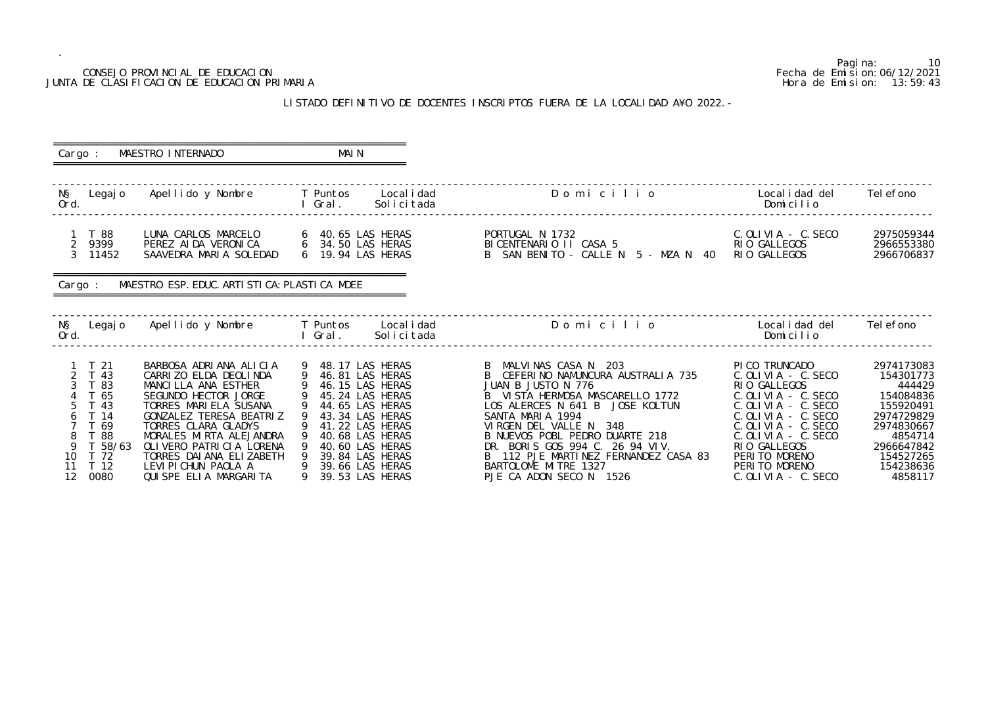## CONSEJO PROVINCIAL DE EDUCACION JUNTA DE CLASIFICACION DE EDUCACION PRIMARIA

.

## LISTADO DEFINITIVO DE DOCENTES INSCRIPTOS FUERA DE LA LOCALID

|                                                                                                                                         | CONSEJO PROVINCIAL DE EDUCACION<br>JUNTA DE CLASIFICACION DE EDUCACION PRIMARIA                                                                                                                                                                                                                                                                                                                                                                                                                                       |                                             |                                                                                                                                                                                              | LISTADO DEFINITIVO DE DOCENTES INSCRIPTOS FUERA DE LA LOCALIDAD A¥O 2022. -                                                                                                                                                                                                                                                                                            |                                                                                                                                                                                                                                                                                                        | Pagi na:<br>10<br>Fecha de Emi si on: 06/12/2021<br>Hora de Emision: 13:59:43                                                                         |
|-----------------------------------------------------------------------------------------------------------------------------------------|-----------------------------------------------------------------------------------------------------------------------------------------------------------------------------------------------------------------------------------------------------------------------------------------------------------------------------------------------------------------------------------------------------------------------------------------------------------------------------------------------------------------------|---------------------------------------------|----------------------------------------------------------------------------------------------------------------------------------------------------------------------------------------------|------------------------------------------------------------------------------------------------------------------------------------------------------------------------------------------------------------------------------------------------------------------------------------------------------------------------------------------------------------------------|--------------------------------------------------------------------------------------------------------------------------------------------------------------------------------------------------------------------------------------------------------------------------------------------------------|-------------------------------------------------------------------------------------------------------------------------------------------------------|
| Cargo :                                                                                                                                 | MAESTRO INTERNADO                                                                                                                                                                                                                                                                                                                                                                                                                                                                                                     | MAI N                                       |                                                                                                                                                                                              |                                                                                                                                                                                                                                                                                                                                                                        |                                                                                                                                                                                                                                                                                                        |                                                                                                                                                       |
| NŞ<br>Legaj o<br>Ord.                                                                                                                   | Apellido y Nombre                                                                                                                                                                                                                                                                                                                                                                                                                                                                                                     | T Puntos<br>Gral.                           | Local i dad<br>Solicitada                                                                                                                                                                    | Domicilio                                                                                                                                                                                                                                                                                                                                                              | Local i dad del<br>Domicilio                                                                                                                                                                                                                                                                           | Tel efono                                                                                                                                             |
| 1 T 88<br>$2^{\circ}$<br>9399<br>$\mathcal{S}$<br>11452                                                                                 | LUNA CARLOS MARCELO<br>PEREZ AI DA VERONI CA<br>SAAVEDRA MARIA SOLEDAD                                                                                                                                                                                                                                                                                                                                                                                                                                                | 6 19.94 LAS HERAS                           |                                                                                                                                                                                              | PORTUGAL N 1732<br>BICENTENARIO II CASA 5<br>B SAN BENITO - CALLE N 5 - MZA N 40                                                                                                                                                                                                                                                                                       | $C.$ OLIVIA - $C.$ SECO<br>RIO GALLEGOS<br>RIO GALLEGOS                                                                                                                                                                                                                                                | 2975059344<br>2966553380<br>2966706837                                                                                                                |
| Cargo :                                                                                                                                 | MAESTRO ESP. EDUC. ARTI STI CA: PLASTI CA MDEE                                                                                                                                                                                                                                                                                                                                                                                                                                                                        |                                             |                                                                                                                                                                                              |                                                                                                                                                                                                                                                                                                                                                                        |                                                                                                                                                                                                                                                                                                        |                                                                                                                                                       |
| NŞ<br>Legaj o<br>Ord.                                                                                                                   | Apellido y Nombre                                                                                                                                                                                                                                                                                                                                                                                                                                                                                                     | T Puntos<br>Gral.                           | Local i dad<br>Solicitada                                                                                                                                                                    | Domicilio                                                                                                                                                                                                                                                                                                                                                              | Local i dad del<br>Domicilio                                                                                                                                                                                                                                                                           | Tel efono                                                                                                                                             |
| $1 \quad T \quad 21$<br>2 T 43<br>-83<br>T 65<br>43<br>T 14<br>T 69<br>88<br>T 58/63<br>10<br>T 72<br>T 12<br>11<br>0000<br>$1^{\circ}$ | BARBOSA ADRIANA ALICIA<br>CARRIZO ELDA DEOLINDA<br>MANCILLA ANA ESTHER<br>SEGUNDO HECTOR JORGE<br>TORRES MARIELA SUSANA<br>GONZALEZ TERESA BEATRIZ<br>TORRES CLARA GLADYS<br>MORALES MIRTA ALEJANDRA<br>OLIVERO PATRICIA LORENA<br>TORRES DAI ANA ELIZABETH<br>LEVI PI CHUN PAOLA A<br>$[0.1]$ $[0.0]$ $[0.1]$ $[0.1]$ $[0.0]$ $[0.0]$ $[0.0]$ $[0.0]$ $[0.0]$ $[0.0]$ $[0.0]$ $[0.0]$ $[0.0]$ $[0.0]$ $[0.0]$ $[0.0]$ $[0.0]$ $[0.0]$ $[0.0]$ $[0.0]$ $[0.0]$ $[0.0]$ $[0.0]$ $[0.0]$ $[0.0]$ $[0.0]$ $[0.0]$ $[0.0$ | 9 48.17 LAS HERAS<br>9 46.81 LAS HERAS<br>9 | 46.15 LAS HERAS<br>45.24 LAS HERAS<br>44.65 LAS HERAS<br>43.34 LAS HERAS<br>41.22 LAS HERAS<br>40.68 LAS HERAS<br>40.60 LAS HERAS<br>39.84 LAS HERAS<br>39.66 LAS HERAS<br>$20E2 + AC$ HEDAC | B MALVINAS CASA N 203<br>CEFERINO NAMUNCURA AUSTRALIA 735<br>JUAN B JUSTO N 776<br>B VISTA HERMOSA MASCARELLO 1772<br>LOS ALERCES N 641 B JOSE KOLTUN<br>SANTA MARIA 1994<br>VIRGEN DEL VALLE N<br>-348<br>B NUEVOS POBL PEDRO DUARTE 218<br>DR. BORIS GOS 994 C. 26 94 VIV.<br>112 PJE MARTINEZ FERNANDEZ CASA 83<br>BARTOLOME MITRE 1327<br>DIE CA ADON CECO N. 1504 | PICO TRUNCADO<br>$C.$ OLIVIA - $C.$ SECO<br>RIO GALLEGOS<br>$C.$ OLIVIA - $C.$ SECO<br>$C.$ OLIVIA - $C.$ SECO<br>$C.$ OLIVIA - $C.$ SECO<br>$C.$ OLIVIA - $C.$ SECO<br>$C.$ OLIVIA - $C.$ SECO<br>RIO GALLEGOS<br>PERITO MORENO<br>PERITO MORENO<br>$\sim$ CFCO<br>$\cap$ $\cap$ $\cup$ $\cup$ $\cap$ | 2974173083<br>154301773<br>444429<br>154084836<br>155920491<br>2974729829<br>2974830667<br>4854714<br>2966647842<br>154527265<br>154238636<br>AOCO117 |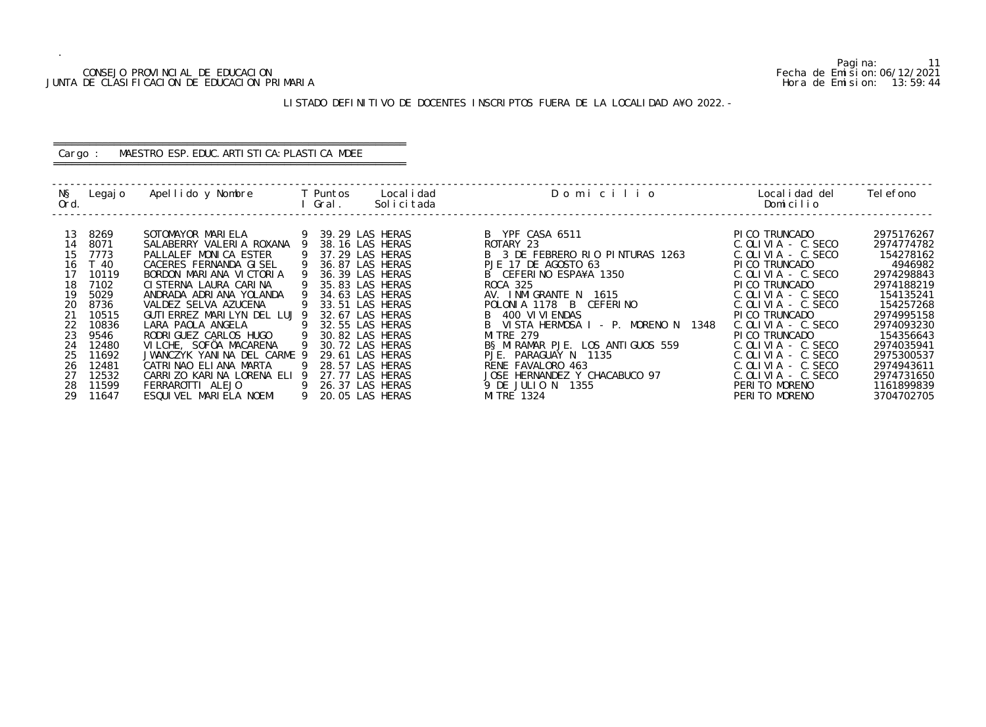## CONSEJO PROVINCIAL DE EDUCACION Fecha de Emision:06/12/2021 JUNTA DE CLASIFICACION DE EDUCACION PRIMARIA Hora de Emision: 13:59:44

## ========================================================== Cargo : MAESTRO ESP. EDUC. ARTISTICA: PLASTICA MDEE

## LISTADO DEFINITIVO DE DOCENTES INSCRIPTOS FUERA DE LA LOCALIDAD A¥O 2022.-

==========================================================

| NŞ<br>Ord. | Legaj o        | Apellido y Nombre                                     |                | T Puntos<br>Gral.                    | Local i dad<br>Solicitada | Domicilio                                                | Local i dad del<br>Domicilio                       | Tel efono                |
|------------|----------------|-------------------------------------------------------|----------------|--------------------------------------|---------------------------|----------------------------------------------------------|----------------------------------------------------|--------------------------|
| 13<br>14   | 8269<br>8071   | SOTOMAYOR MARIELA<br>SALABERRY VALERIA ROXANA 9       |                | 39.29 LAS HERAS<br>38.16 LAS HERAS   |                           | B YPF CASA 6511<br>ROTARY 23                             | PI CO TRUNCADO<br>$C.$ OLIVIA - $C.$ SECO          | 2975176267<br>2974774782 |
| 15<br>16   | 7773<br>T 40   | PALLALEF MONICA ESTER<br>CACERES FERNANDA GISEL       | - 9            | 37.29 LAS HERAS<br>36.87 LAS HERAS   |                           | B 3 DE FEBRERO RIO PINTURAS 1263<br>PJE 17 DE AGOSTO 63  | $C.$ OLIVIA - $C.$ SECO<br>PICO TRUNCADO           | 154278162<br>4946982     |
| 17<br>18   | 10119<br>7102  | BORDON MARIANA VICTORIA<br>CI STERNA LAURA CARINA     |                | 36.39 LAS HERAS<br>35.83 LAS HERAS   |                           | B CEFERINO ESPA¥A 1350<br>ROCA 325                       | $C.$ OLIVIA - $C.$ SECO<br>PICO TRUNCADO           | 2974298843<br>2974188219 |
| 19<br>20   | 5029<br>8736   | ANDRADA ADRIANA YOLANDA<br>VALDEZ SELVA AZUCENA       | -9             | 34.63 LAS HERAS<br>33.51 LAS HERAS   |                           | AV. INMIGRANTE N 1615<br>POLONIA 1178 B CEFERINO         | $C.$ OLIVIA - $C.$ SECO<br>$C.$ OLIVIA - $C.$ SECO | 154135241<br>154257268   |
| 21         | 10515          | GUTI ERREZ MARILYN DEL LUJ 9                          |                | 32.67 LAS HERAS                      |                           | B 400 VI VI ENDAS                                        | PICO TRUNCADO                                      | 2974995158               |
| 22<br>23   | 10836<br>9546  | LARA PAOLA ANGELA<br>RODRI GUEZ CARLOS HUGO           | $\overline{9}$ | 9 32.55 LAS HERAS<br>30.82 LAS HERAS |                           | B VISTA HERMOSA I - P. MORENO N 1348<br><b>MITRE 279</b> | $C.$ OLIVIA - $C.$ SECO<br>PICO TRUNCADO           | 2974093230<br>154356643  |
| 24<br>25   | 12480<br>11692 | VILCHE, SOFÖA MACARENA<br>JWANCZYK YANINA DEL CARME 9 |                | 30.72 LAS HERAS<br>29.61 LAS HERAS   |                           | BS MIRAMAR PJE. LOS ANTIGUOS 559<br>PJE. PARAGUAY N 1135 | $C.$ OLIVIA - $C.$ SECO<br>$C.$ OLIVIA - $C.$ SECO | 2974035941<br>2975300537 |
| 26<br>27   | 12481<br>12532 | CATRINAO ELIANA MARTA<br>CARRIZO KARINA LORENA ELI    | - 9<br>- 9     | 28.57 LAS HERAS<br>27.77 LAS HERAS   |                           | RENE FAVALORO 463<br>JOSE HERNANDEZ Y CHACABUCO 97       | $C.$ OLIVIA - $C.$ SECO<br>C. OLIVIA - C. SECO     | 2974943611<br>2974731650 |
| 28<br>29   | 11599<br>11647 | FERRAROTTI ALEJO<br>ESQUIVEL MARIELA NOEMI            | 9              | 9 26.37 LAS HERAS<br>20.05 LAS HERAS |                           | 9 DE JULIO N 1355<br>MI TRE 1324                         | PERITO MORENO<br>PERITO MORENO                     | 1161899839<br>3704702705 |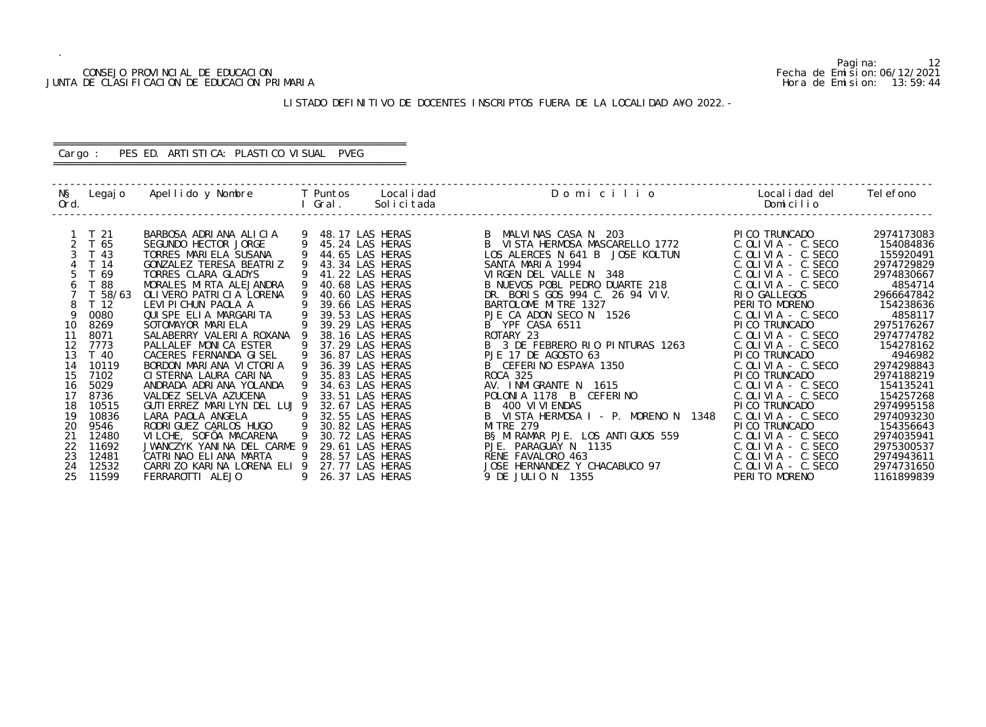## CONSEJO PROVINCIAL DE EDUCACION Fecha de Emision:06/12/2021 JUNTA DE CLASIFICACION DE EDUCACION PRIMARIA Hora de Emision: 13:59:44

## LISTADO DEFINITIVO DE DOCENTES INSCRIPTOS FUERA DE LA LOCALIDAD A¥O 2022.-

## ========================================================== Cargo : PES ED. ARTISTICA: PLASTICO VISUAL PVEG

==========================================================

| NŞ<br>Ord. | Legaj o         | Apellido y Nombre            |                | <b>Example T</b> Puntos<br>Gral. | Local i dad<br>Solicitada | Domicilio                            | Local i dad del<br>Domicilio | Tel efono  |
|------------|-----------------|------------------------------|----------------|----------------------------------|---------------------------|--------------------------------------|------------------------------|------------|
|            |                 |                              |                |                                  |                           |                                      |                              |            |
|            | T 21            | BARBOSA ADRIANA ALICIA       |                |                                  | 9 48.17 LAS HERAS         | B MALVINAS CASA N 203                | PI CO TRUNCADO               | 2974173083 |
|            | T 65            | SEGUNDO HECTOR JORGE         |                |                                  | 45.24 LAS HERAS           | B VISTA HERMOSA MASCARELLO 1772      | $C.$ OLIVIA - $C.$ SECO      | 154084836  |
|            | T 43            | TORRES MARIELA SUSANA        |                |                                  | 44.65 LAS HERAS           | LOS ALERCES N 641 B JOSE KOLTUN      | $C.$ OLIVIA - $C.$ SECO      | 155920491  |
|            | T 14            | GONZALEZ TERESA BEATRIZ      |                |                                  | 43.34 LAS HERAS           | SANTA MARIA 1994                     | $C.$ OLIVIA - $C.$ SECO      | 2974729829 |
| 5          | T 69            | TORRES CLARA GLADYS          |                |                                  | 41.22 LAS HERAS           | VIRGEN DEL VALLE N 348               | $C.$ OLIVIA - $C.$ SECO      | 2974830667 |
|            | T 88            | MORALES MIRTA ALEJANDRA      |                |                                  | 40.68 LAS HERAS           | B NUEVOS POBL PEDRO DUARTE 218       | $C.$ OLIVIA - $C.$ SECO      | 4854714    |
|            | T 58/63         | OLI VERO PATRI CI A LORENA   |                |                                  | 40.60 LAS HERAS           | BORIS GOS 994 C. 26 94 VIV.<br>DR.   | RIO GALLEGOS                 | 2966647842 |
|            | T <sub>12</sub> | LEVI PI CHUN PAOLA A         |                |                                  | 39.66 LAS HERAS           | BARTOLOME MITRE 1327                 | PERITO MORENO                | 154238636  |
| 9          | 0080            | QUISPE ELIA MARGARITA        |                |                                  | 39.53 LAS HERAS           | PJE CA ADON SECO N 1526              | $C.$ OLIVIA - $C.$ SECO      | 4858117    |
| 10         | 8269            | SOTOMAYOR MARIELA            |                |                                  | 39.29 LAS HERAS           | B YPF CASA 6511                      | PI CO TRUNCADO               | 2975176267 |
| 11         | 8071            | SALABERRY VALERIA ROXANA     |                |                                  | 38.16 LAS HERAS           | ROTARY 23                            | $C.$ OLIVIA - $C.$ SECO      | 2974774782 |
| 12         | 7773            | PALLALEF MONICA ESTER        |                |                                  | 37.29 LAS HERAS           | B 3 DE FEBRERO RIO PINTURAS 1263     | $C.$ OLIVIA - $C.$ SECO      | 154278162  |
| 13         | T 40            | CACERES FERNANDA GISEL       |                |                                  | 36.87 LAS HERAS           | PJE 17 DE AGOSTO 63                  | PI CO TRUNCADO               | 4946982    |
| 14         | 10119           | BORDON MARIANA VICTORIA      | 9              |                                  | 36.39 LAS HERAS           | B CEFERINO ESPA¥A 1350               | $C.$ OLIVIA - $C.$ SECO      | 2974298843 |
| 15         | 7102            | CI STERNA LAURA CARINA       |                |                                  | 35.83 LAS HERAS           | <b>ROCA 325</b>                      | PI CO TRUNCADO               | 2974188219 |
| 16         | 5029            | ANDRADA ADRIANA YOLANDA      |                |                                  | 34.63 LAS HERAS           | AV. INMIGRANTE N 1615                | $C.$ OLIVIA - $C.$ SECO      | 154135241  |
| 17         | 8736            | VALDEZ SELVA AZUCENA         |                |                                  | 33.51 LAS HERAS           | POLONIA 1178 B CEFERINO              | $C.$ OLIVIA - $C.$ SECO      | 154257268  |
| 18         | 10515           | GUTI ERREZ MARILYN DEL LUJ 9 |                |                                  | 32.67 LAS HERAS           | B 400 VI VI ENDAS                    | PI CO TRUNCADO               | 2974995158 |
| 19         | 10836           | LARA PAOLA ANGELA            |                |                                  | 32.55 LAS HERAS           | B VISTA HERMOSA I - P. MORENO N 1348 | $C.$ OLIVIA - $C.$ SECO      | 2974093230 |
| 20         | 9546            | RODRI GUEZ CARLOS HUGO       | $\overline{9}$ |                                  | 30.82 LAS HERAS           | <b>MI TRE 279</b>                    | PI CO TRUNCADO               | 154356643  |
| 21         | 12480           | VILCHE, SOFÖA MACARENA       | -9             |                                  | 30.72 LAS HERAS           | BS MIRAMAR PJE. LOS ANTIGUOS 559     | $C.$ OLIVIA - $C.$ SECO      | 2974035941 |
| 22         | 11692           | JWANCZYK YANINA DEL CARME 9  |                |                                  | 29.61 LAS HERAS           | PJE. PARAGUAY N 1135                 | $C.$ OLIVIA - $C.$ SECO      | 2975300537 |
| 23         | 12481           | CATRINAO ELIANA MARTA        | -9             |                                  | 28.57 LAS HERAS           | RENE FAVALORO 463                    | $C.$ OLIVIA - $C.$ SECO      | 2974943611 |
| 24         | 12532           | CARRIZO KARINA LORENA ELI 9  |                |                                  | 27.77 LAS HERAS           | JOSE HERNANDEZ Y CHACABUCO 97        | $C.$ OLIVIA - $C.$ SECO      | 2974731650 |
| 25         | 11599           | FERRAROTTI ALEJO             | 9              |                                  | 26.37 LAS HERAS           | 9 DE JULIO N 1355                    | PERITO MORENO                | 1161899839 |

Pagina: 12<br>Fecha de Emision: 06/12/2021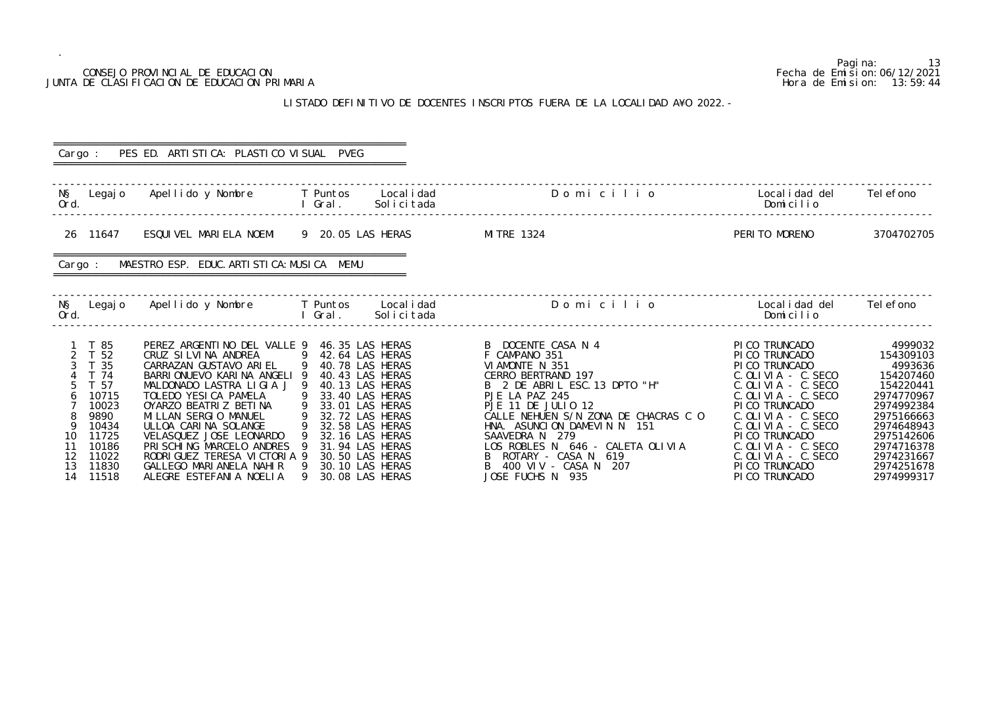|                                                                                                                                                                     | CONSEJO PROVINCIAL DE EDUCACION<br>JUNTA DE CLASIFICACION DE EDUCACION PRIMARIA                                                                                                                                                                                                                                                                                                                                        |                                                                                                                                                                      |                                                                          |                                                                                                                                                                                                                                                                                                                                                                 |                                                                                                                                                                                                                                                                                                                | Pagi na:<br>13<br>Fecha de Emi si on: 06/12/2021<br>Hora de Emision: 13:59:44                                                                                                           |
|---------------------------------------------------------------------------------------------------------------------------------------------------------------------|------------------------------------------------------------------------------------------------------------------------------------------------------------------------------------------------------------------------------------------------------------------------------------------------------------------------------------------------------------------------------------------------------------------------|----------------------------------------------------------------------------------------------------------------------------------------------------------------------|--------------------------------------------------------------------------|-----------------------------------------------------------------------------------------------------------------------------------------------------------------------------------------------------------------------------------------------------------------------------------------------------------------------------------------------------------------|----------------------------------------------------------------------------------------------------------------------------------------------------------------------------------------------------------------------------------------------------------------------------------------------------------------|-----------------------------------------------------------------------------------------------------------------------------------------------------------------------------------------|
|                                                                                                                                                                     |                                                                                                                                                                                                                                                                                                                                                                                                                        |                                                                                                                                                                      |                                                                          | LISTADO DEFINITIVO DE DOCENTES INSCRIPTOS FUERA DE LA LOCALIDAD A¥O 2022. -                                                                                                                                                                                                                                                                                     |                                                                                                                                                                                                                                                                                                                |                                                                                                                                                                                         |
|                                                                                                                                                                     | PES ED. ARTI STI CA: PLASTI CO VI SUAL PVEG                                                                                                                                                                                                                                                                                                                                                                            |                                                                                                                                                                      |                                                                          |                                                                                                                                                                                                                                                                                                                                                                 |                                                                                                                                                                                                                                                                                                                |                                                                                                                                                                                         |
| Cargo :                                                                                                                                                             |                                                                                                                                                                                                                                                                                                                                                                                                                        |                                                                                                                                                                      |                                                                          |                                                                                                                                                                                                                                                                                                                                                                 |                                                                                                                                                                                                                                                                                                                |                                                                                                                                                                                         |
| NŞ<br>Legaj o<br>Ord.                                                                                                                                               | Apellido y Nombre                                                                                                                                                                                                                                                                                                                                                                                                      | <b>Example T</b> Puntos<br>l Gral.                                                                                                                                   | Local i dad<br>Solicitada                                                | Domicilio                                                                                                                                                                                                                                                                                                                                                       | Localidad del<br>Domicilio                                                                                                                                                                                                                                                                                     | Tel efono                                                                                                                                                                               |
| 26 11647                                                                                                                                                            | ESQUIVEL MARIELA NOEMI                                                                                                                                                                                                                                                                                                                                                                                                 | 9 20.05 LAS HERAS                                                                                                                                                    |                                                                          | MI TRE 1324                                                                                                                                                                                                                                                                                                                                                     | PERITO MORENO                                                                                                                                                                                                                                                                                                  | 3704702705                                                                                                                                                                              |
| Cargo :                                                                                                                                                             | MAESTRO ESP. EDUC. ARTI STI CA: MUSI CA MEMU                                                                                                                                                                                                                                                                                                                                                                           |                                                                                                                                                                      |                                                                          |                                                                                                                                                                                                                                                                                                                                                                 |                                                                                                                                                                                                                                                                                                                |                                                                                                                                                                                         |
| NŞ<br>Legaj o<br>Ord.                                                                                                                                               | Apellido y Nombre                                                                                                                                                                                                                                                                                                                                                                                                      | <b>Example T</b> Puntos<br>I Gral.                                                                                                                                   | Local i dad<br>Solicitada                                                | Domicilio                                                                                                                                                                                                                                                                                                                                                       | Local i dad del<br>Domicilio                                                                                                                                                                                                                                                                                   | Tel efono                                                                                                                                                                               |
| T 85<br>T 52<br>3 T 35<br>T 74<br>T 57<br>10715<br>$\sigma$<br>10023<br>9890<br>10434<br>-9<br>11725<br>10<br>11<br>10186<br>12<br>11022<br>11830<br>13<br>14 11518 | PEREZ ARGENTINO DEL VALLE 9 46.35 LAS HERAS<br>CRUZ SI LVI NA ANDREA<br>CARRAZAN GUSTAVO ARIEL<br>BARRIONUEVO KARINA ANGELI<br>MALDONADO LASTRA LIGIA J 9 40.13 LAS HERAS<br>TOLEDO YESICA PAMELA<br>OYARZO BEATRIZ BETINA<br>MILLAN SERGIO MANUEL<br>ULLOA CARINA SOLANGE<br>VELASQUEZ JOSE LEONARDO<br>PRISCHING MARCELO ANDRES<br>RODRIGUEZ TERESA VICTORIA 9<br>GALLEGO MARIANELA NAHIR<br>ALEGRE ESTEFANIA NOELIA | 9 42.64 LAS HERAS<br>9 40.78 LAS HERAS<br>9 33.40 LAS HERAS<br>9 32.72 LAS HERAS<br>9 32.58 LAS HERAS<br>9 32.16 LAS HERAS<br>9 31.94 LAS HERAS<br>9 30.08 LAS HERAS | 40.43 LAS HERAS<br>33.01 LAS HERAS<br>30.50 LAS HERAS<br>30.10 LAS HERAS | B DOCENTE CASA N 4<br>F CAMPANO 351<br>VI AMONTE N 351<br>CERRO BERTRAND 197<br>B 2 DE ABRIL ESC. 13 DPTO "H"<br>PJE LA PAZ 245<br>PJE 11 DE JULIO 12<br>CALLE NEHUEN S/N ZONA DE CHACRAS C O<br>HNA. ASUNCION DAMEVIN N 151<br>SAAVEDRA N 279<br>LOS ROBLES N 646 - CALETA OLIVIA<br>ROTARY – CASA N 619<br>B<br>400 VIV - CASA N 207<br>B<br>JOSE FUCHS N 935 | PICO TRUNCADO<br>PI CO TRUNCADO<br>PI CO TRUNCADO<br>$C.$ OLIVIA - $C.$ SECO<br>C. OLIVIA - C. SECO<br>C. OLIVIA - C. SECO<br>PI CO TRUNCADO<br>$C.$ OLIVIA - $C.$ SECO<br>$C.$ OLIVIA - $C.$ SECO<br>PI CO TRUNCADO<br>$C.$ OLIVIA - $C.$ SECO<br>$C.$ OLIVIA - $C.$ SECO<br>PI CO TRUNCADO<br>PI CO TRUNCADO | 4999032<br>154309103<br>4993636<br>154207460<br>154220441<br>2974770967<br>2974992384<br>2975166663<br>2974648943<br>2975142606<br>2974716378<br>2974231667<br>2974251678<br>2974999317 |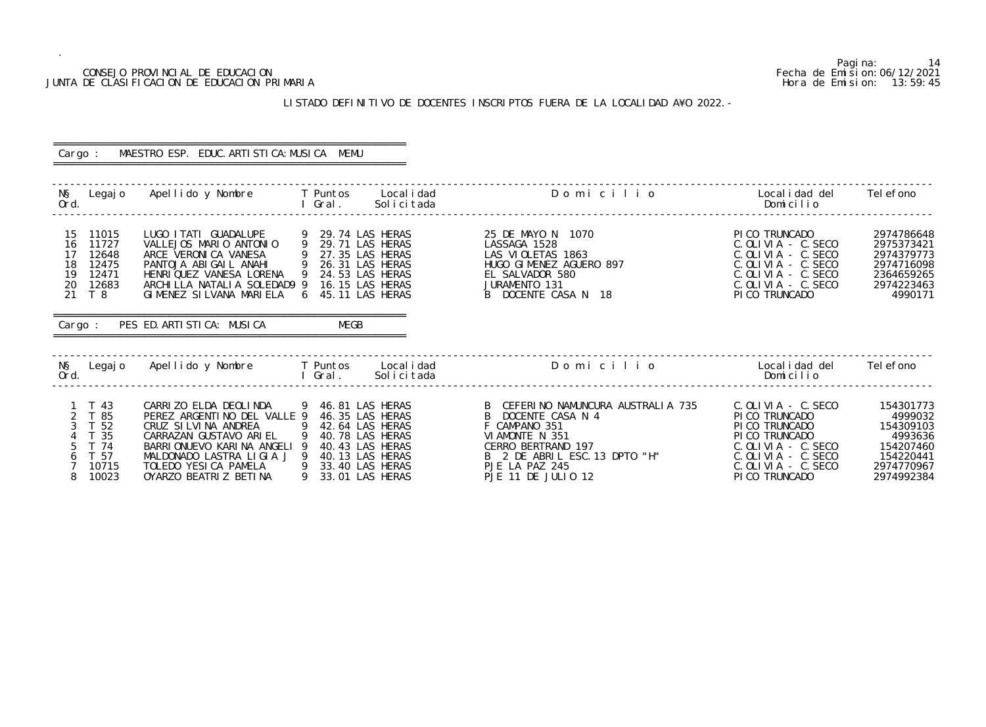## CONSEJO PROVINCIAL DE EDUCACION Fecha de Emision:06/12/2021 JUNTA DE CLASIFICACION DE EDUCACION PRIMARIA Hora de Emision: 13:59:45

## LISTADO DEFINITIVO DE DOCENTES INSCRIPTOS FUERA DE LA LOCALIDAD A¥O 2022.-

| Cargo :                                                                                                                              | MAESTRO ESP. EDUC. ARTI STI CA: MUSI CA MEMU                                                                                                                                                                                                                                                                                       |                                        |                                                                                                                                                                                            |                                                                                                                                                                        |                                                                                                    |
|--------------------------------------------------------------------------------------------------------------------------------------|------------------------------------------------------------------------------------------------------------------------------------------------------------------------------------------------------------------------------------------------------------------------------------------------------------------------------------|----------------------------------------|--------------------------------------------------------------------------------------------------------------------------------------------------------------------------------------------|------------------------------------------------------------------------------------------------------------------------------------------------------------------------|----------------------------------------------------------------------------------------------------|
| Ord.                                                                                                                                 | N§ Legajo Apellido y Nombre T Puntos Localidad<br><b>Example 20</b> Service Contract Contract Contract Contract Contract Contract Contract Contract Contract Contract Contract Contract Contract Contract Contract Contract Contract Contract Contract Contract Contract Contract Con                                              |                                        | Domicilio<br>Solicitada                                                                                                                                                                    | Localidad del<br>Domicilio                                                                                                                                             | Tel efono                                                                                          |
| 15 11015<br>11727<br>16<br>17<br>12648<br>18<br>12475<br>19<br>12471<br>20 12683<br>21<br>T 8                                        | LUGO ITATI GUADALUPE 9 29.74 LAS HERAS<br>VALLEJOS MARIO ANTONIO 9 29.71 LAS HERAS<br>ARCE VERONICA VANESA<br>PANTOJA ABIGAIL ANAHI 9 26.31 LAS HERAS<br>HENRIQUEZ VANESA LORENA 9 24.53 LAS HERAS<br>ARCHILLA NATALIA SOLEDAD9 9 16.15 LAS HERAS<br>GIMENEZ SILVANA MARIELA 6 45.11 LAS HERAS<br>Cargo: PES ED. ARTISTICA: MUSICA | MEGB                                   | 25 DE MAYO N 1070<br>LASSAGA 1528<br>LAS VIOLETAS 1863<br>HUGO GIMENEZ AGUERO 897<br>EL SALVADOR 580<br>JURAMENTO 131<br>B DOCENTE CASA N 18                                               | PICO TRUNCADO<br>$C.$ OLIVIA - $C.$ SECO<br>$C.$ OLIVIA - $C.$ SECO<br>$C.$ OLIVIA - $C.$ SECO<br>$C.$ OLIVIA - $C.$ SECO<br>C. OLIVIA - C. SECO<br>PICO TRUNCADO      | 2974786648<br>2975373421<br>2974379773<br>2974716098<br>2364659265<br>2974223463<br>4990171        |
| Ord.                                                                                                                                 | N§ Legajo Apellido y Nombre T Puntos Localidad                                                                                                                                                                                                                                                                                     | <b>Example 1 Gral</b> .                | Domicilio<br>Solicitada                                                                                                                                                                    | Localidad del<br>Domicilio                                                                                                                                             | Tel efono                                                                                          |
| $1 \quad T \quad 43$<br>2 T 85<br>$\mathcal{S}$<br>T 52<br>4 T 35<br>5<br>T 74<br>T 57<br>6<br>10715<br>$\overline{7}$<br>8<br>10023 | CARRIZO ELDA DEOLINDA<br>PEREZ ARGENTINO DEL VALLE 9 46.35 LAS HERAS<br>CRUZ SILVINA ANDREA<br>CARRAZAN GUSTAVO ARIEL 9 40.78 LAS HERAS<br>BARRIONUEVO KARINA ANGELI 9 40.43 LAS HERAS<br>MALDONADO LASTRA LIGIA J 9 40.13 LAS HERAS<br>TOLEDO YESICA PAMELA 9 33.40 LAS HERAS<br>OYARZO BEATRIZ BETINA 9 33.01 LAS HERAS          | 9 46.81 LAS HERAS<br>9 42.64 LAS HERAS | B CEFERINO NAMUNCURA AUSTRALIA 735<br>B DOCENTE CASA N 4<br>F CAMPANO 351<br>VIAMONTE N 351<br>CERRO BERTRAND 197<br>B 2 DE ABRIL ESC. 13 DPTO "H"<br>PJE LA PAZ 245<br>PJE 11 DE JULIO 12 | C. OLIVIA - C. SECO<br>PICO TRUNCADO<br>PICO TRUNCADO<br>PI CO TRUNCADO<br>C. OLIVIA - C. SECO<br>$C.$ OLIVIA - $C.$ SECO<br>$C.$ OLIVIA - $C.$ SECO<br>PI CO TRUNCADO | 154301773<br>4999032<br>154309103<br>4993636<br>154207460<br>154220441<br>2974770967<br>2974992384 |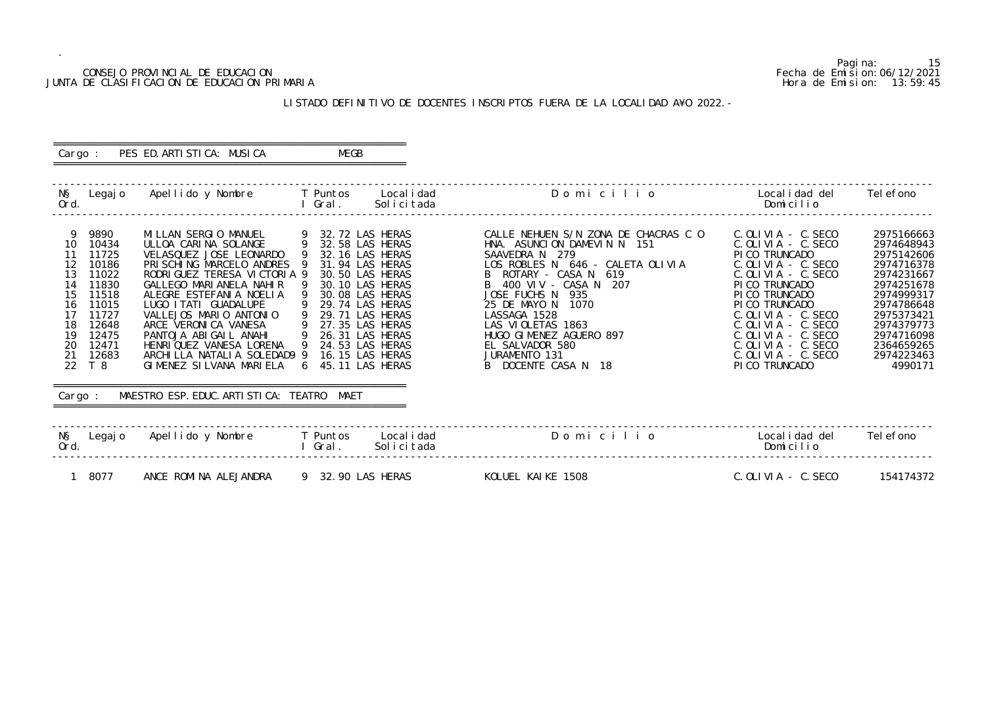## CONSEJO PROVINCIAL DE EDUCACION Fecha de Emision:06/12/2021 JUNTA DE CLASIFICACION DE EDUCACION PRIMARIA

Pagina: 15

| O                     | Localidad del Telefono<br>Domicilio                                                                                                                                                                                                                                                                                  |                                                                                                                                                                                               |
|-----------------------|----------------------------------------------------------------------------------------------------------------------------------------------------------------------------------------------------------------------------------------------------------------------------------------------------------------------|-----------------------------------------------------------------------------------------------------------------------------------------------------------------------------------------------|
| ACRAS C O<br>OLI VI A | $C.$ OLIVIA - C. SECO<br>$C.$ OLIVIA - C. SECO<br>PICO TRUNCADO<br>$C.$ OLIVIA - $C.$ SECO<br>$C.$ OLIVIA - C. SECO<br>PICO TRUNCADO<br>PICO TRUNCADO<br>PICO TRUNCADO<br>$C.$ OLIVIA - C. SECO<br>$C.$ OLIVIA - C. SECO<br>$C.$ OLIVIA - C. SECO<br>$C.$ OLIVIA - C. SECO<br>$C.$ OLIVIA - C. SECO<br>PICO TRUNCADO | 2975166663<br>2974648943<br>2975142606<br>2974716378<br>2974231667<br>2974251678<br>2974999317<br>2974786648<br>2975373421<br>2974379773<br>2974716098<br>2364659265<br>2974223463<br>4990171 |

|  | Local i dad del<br>Domicilio | Tel efono                                                                              |  |
|--|------------------------------|----------------------------------------------------------------------------------------|--|
|  |                              | $\lambda$ $\Gamma$ $\lambda$ $\lambda$ $\Gamma$ $\lambda$ $\Lambda$ $\Gamma$ $\Lambda$ |  |

## LISTADO DEFINITIVO DE DOCENTES INSCRIPTOS FUERA DE LA LOCALIDAD A¥O 2022.-

#### ========================================================== Cargo : PES ED. ARTISTICA: MUSICA ==========================================================

 ------------------------------------------------------------------------------------------------------------------------------------------------- N§ Legajo Apellido y Nombre T Puntos Localidad Domicili<br>Ord. Domicili Ord. I Gral. Solicitada Domicilio ------------------------------------------------------------------------------------------------------------------------------------------------- 9 9890 MILLAN SERGIO MANUEL 9 32.72 LAS HERAS CALLE NEHUEN S/N ZONA DE CHACRAS C O C.OLIVIA - C.SECO 2975166663 10 10434 ULLOA CARINA SOLANGE 9 32.58 LAS HERAS HNA. ASUNCION DAMEVIN N 151 C.OLIVIA - C.SECO 2974648943 11 11725 VELASQUEZ JOSE LEONARDO 9 32.16 LAS HERAS SAAVEDRA N 279<br>12 10186 PRISCHING MARCELO ANDRES 9 31.94 LAS HERAS LOS ROBLES N 646 - CALETA 12 10186 PRISCHING MARCELO ANDRES 9 31.94 LAS HERAS LOS ROBLES N 646 - CALETA OLIVIA CONSTRUIA CONSTRUIA O 20<br>13 11022 RODRIGUEZ TERESA VICTORIA 9 30.50 LAS HERAS B ROTARY - CASA N 619<br>14 11830 GALLEGO MARIANELA NAHIR 9 30 13 11022 RODRIGUEZ TERESA VICTORIA 9 30.50 LAS HERAS 14 11830 GALLEGO MARIANELA NAHIR 9 30.10 LAS HERAS 14 11830 GALLEGO MARIANELA NAHIR 9 30.10 LAS HERAS B 400 VIV - CASA<br>15 11518 ALEGRE ESTEFANIA NOELIA 9 30.08 LAS HERAS JOSE FUCHS N 935 15 11518 ALEGRE ESTEFANIA NOELIA 9 30.08 LAS HERAS JOSE FUCHS N 935 PICO TRUNCADO 2974999317 16 11015 LUGO ITATI GUADALUPE 9 29.74 LAS HERAS 25 DE MAYO N 1070 PICO TRUNCADO 2974786648 17 11727 VALLEJOS MARIO ANTONIO 9 29.71 LAS HERAS LASSAGA 1528 C.OLIVIA - C.SECO 2975373421 18 12648 ARCE VERONICA VANESA 9 27.35 LAS HERAS LAS VIOLETAS 1863 C.OLIVIA - C.SECO 2974379773 19 12475 PANTOJA ABIGAIL ANAHI 9 26.31 LAS HERAS HUGO GIMENEZ AGUERO 897<br>20 12471 HENRIQUEZ VANESA LORENA 9 24.53 LAS HERAS EL SALVADOR 580 20 12471 HENRIQUEZ VANESA LORENA 9 24.53 LAS HERAS EL SALVADOR 58<br>21 12683 ARCHILLA NATALIA SOLEDAD9 9 16.15 LAS HERAS JURAMENTO 131 21 12683 ARCHILLA NATALIA SOLEDAD9 9 16.15 LAS HERAS JURAMENTO 131<br>22 T 8 GIMENEZ SILVANA MARIELA 6 45.11 LAS HERAS B DOCENTE CASA N 18 6 I MENEZ SI LVANA MARIELA 6 45.11 LAS HERAS ========================================================== Cargo : MAESTRO ESP. EDUC. ARTISTICA: TEATRO MAET ========================================================== ------------------------------------------------------------------------------------------------------------------------------------------------- N§ Legajo Apellido y Nombre T Puntos Localidad Domicilio<br>Ord. Domicilio  $0rd.$  Solicitada Dominicada Dominica $\mathcal{O}(\mathcal{O})$  ------------------------------------------------------------------------------------------------------------------------------------------------- 1 8077 ANCE ROMINA ALEJANDRA 9 32.90 LAS HERAS KOLUEL KAIKE 1508 C.OLIVIA - C.SECO 154174372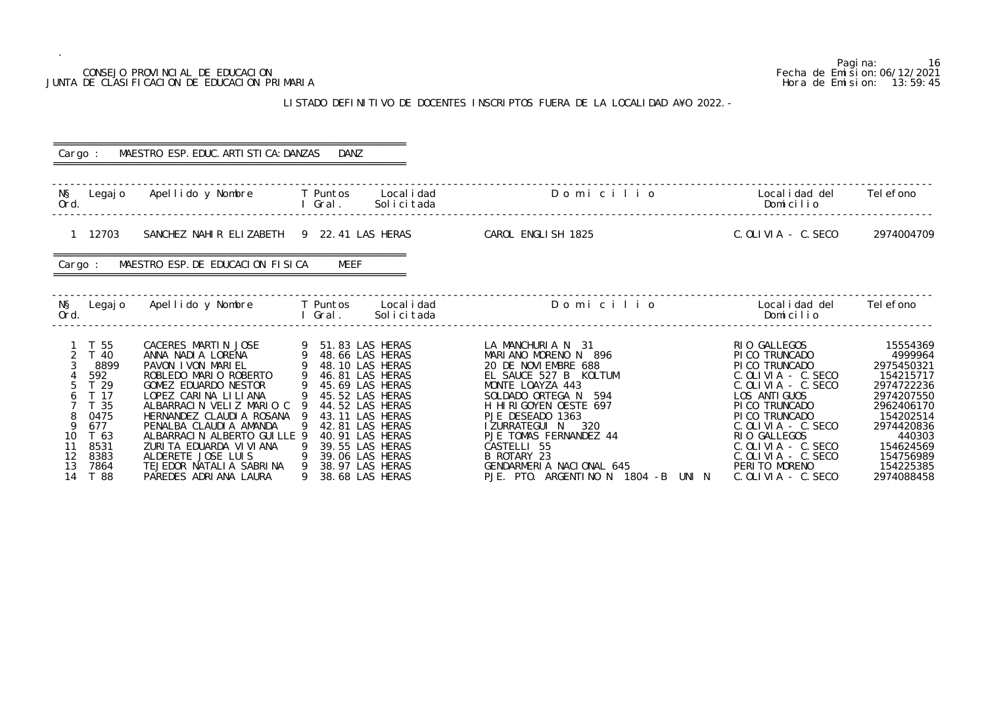| CONSEJO PROVINCIAL DE EDUCACION<br>JUNTA DE CLASIFICACION DE EDUCACION PRIMARIA                                                      |                                                                                                                                                                                                                                                                                                                                                                   | Pagi na:<br>-16<br>Fecha de Emi si on: 06/12/2021<br>Hora de Emision: 13:59:45                                                                                                                                                                                                              |                                                                                                                                                                                                                                                                                                                                     |                                                                                                                                                                                                                                                                                                      |                                                                                                                                                                                    |
|--------------------------------------------------------------------------------------------------------------------------------------|-------------------------------------------------------------------------------------------------------------------------------------------------------------------------------------------------------------------------------------------------------------------------------------------------------------------------------------------------------------------|---------------------------------------------------------------------------------------------------------------------------------------------------------------------------------------------------------------------------------------------------------------------------------------------|-------------------------------------------------------------------------------------------------------------------------------------------------------------------------------------------------------------------------------------------------------------------------------------------------------------------------------------|------------------------------------------------------------------------------------------------------------------------------------------------------------------------------------------------------------------------------------------------------------------------------------------------------|------------------------------------------------------------------------------------------------------------------------------------------------------------------------------------|
|                                                                                                                                      |                                                                                                                                                                                                                                                                                                                                                                   |                                                                                                                                                                                                                                                                                             | LISTADO DEFINITIVO DE DOCENTES INSCRIPTOS FUERA DE LA LOCALIDAD A¥O 2022. -                                                                                                                                                                                                                                                         |                                                                                                                                                                                                                                                                                                      |                                                                                                                                                                                    |
| Cargo :                                                                                                                              | MAESTRO ESP. EDUC. ARTI STI CA: DANZAS                                                                                                                                                                                                                                                                                                                            | DANZ                                                                                                                                                                                                                                                                                        |                                                                                                                                                                                                                                                                                                                                     |                                                                                                                                                                                                                                                                                                      |                                                                                                                                                                                    |
| NŞ<br>Legaj o<br>Ord.                                                                                                                | Apellido y Nombre                                                                                                                                                                                                                                                                                                                                                 | T Puntos<br>Local i dad<br>I Gral.<br>Solicitada                                                                                                                                                                                                                                            | Domicilio                                                                                                                                                                                                                                                                                                                           | Local i dad del<br>Domicilio                                                                                                                                                                                                                                                                         | Tel efono                                                                                                                                                                          |
| 1 12703                                                                                                                              | SANCHEZ NAHIR ELIZABETH 9 22.41 LAS HERAS                                                                                                                                                                                                                                                                                                                         |                                                                                                                                                                                                                                                                                             | CAROL ENGLISH 1825                                                                                                                                                                                                                                                                                                                  | C. OLIVIA - C. SECO                                                                                                                                                                                                                                                                                  | 2974004709                                                                                                                                                                         |
| Cargo :                                                                                                                              | MAESTRO ESP. DE EDUCACION FISICA                                                                                                                                                                                                                                                                                                                                  | MEEF                                                                                                                                                                                                                                                                                        |                                                                                                                                                                                                                                                                                                                                     |                                                                                                                                                                                                                                                                                                      |                                                                                                                                                                                    |
| NŞ<br>Legaj o<br>Ord.                                                                                                                | Apellido y Nombre                                                                                                                                                                                                                                                                                                                                                 | Local i dad<br>T Puntos<br>Gral.<br>Solicitada                                                                                                                                                                                                                                              | Domicilio                                                                                                                                                                                                                                                                                                                           | Local i dad del<br>Domicilio                                                                                                                                                                                                                                                                         | Tel efono                                                                                                                                                                          |
| 55<br>40<br>8899<br>592<br>T 29<br>T 17<br>T 35<br>0475<br>677<br>T 63<br>10<br>8531<br>11<br>12<br>8383<br>13<br>7864<br>14<br>T 88 | CACERES MARTIN JOSE<br>ANNA NADI A LORENA<br>PAVON I VON MARIEL<br>ROBLEDO MARIO ROBERTO<br>GOMEZ EDUARDO NESTOR<br>LOPEZ CARINA LILIANA<br>ALBARRACIN VELIZ MARIO C<br>HERNANDEZ CLAUDIA ROSANA 9<br>PENALBA CLAUDIA AMANDA<br>ALBARRACIN ALBERTO GUILLE 9<br>ZURITA EDUARDA VI VI ANA<br>ALDERETE JOSE LUIS<br>TEJEDOR NATALIA SABRINA<br>PAREDES ADRIANA LAURA | 51.83 LAS HERAS<br>9 48.66 LAS HERAS<br>48.10 LAS HERAS<br>46.81 LAS HERAS<br>45.69 LAS HERAS<br>9 45.52 LAS HERAS<br>9<br>44.52 LAS HERAS<br>43.11 LAS HERAS<br>-9<br>42.81 LAS HERAS<br>40.91 LAS HERAS<br>39.55 LAS HERAS<br>39.06 LAS HERAS<br>-9<br>38.97 LAS HERAS<br>38.68 LAS HERAS | LA MANCHURIA N 31<br>MARIANO MORENO N 896<br>20 DE NOVIEMBRE 688<br>EL SAUCE 527 B KOLTUM<br>MONTE LOAYZA 443<br>SOLDADO ORTEGA N 594<br>H HIRIGOYEN OESTE 697<br>PJE DESEADO 1363<br>I ZURRATEGUI N 320<br>PJE TOMAS FERNANDEZ 44<br>CASTELLI 55<br>B ROTARY 23<br>GENDARMERIA NACIONAL 645<br>PJE. PTO. ARGENTINO N 1804 -B UNI N | RIO GALLEGOS<br>PI CO TRUNCADO<br>PI CO TRUNCADO<br>$C.$ OLIVIA - C. SECO<br>$C.$ OLIVIA - $C.$ SECO<br>LOS ANTI GUOS<br>PICO TRUNCADO<br>PICO TRUNCADO<br>$C.$ OLIVIA - $C.$ SECO<br>RIO GALLEGOS<br>$C.$ OLIVIA - $C.$ SECO<br>$C.$ OLIVIA - $C.$ SECO<br>PERITO MORENO<br>$C.$ OLIVIA $-$ C. SECO | 15554369<br>4999964<br>2975450321<br>154215717<br>2974722236<br>2974207550<br>2962406170<br>154202514<br>2974420836<br>440303<br>154624569<br>154756989<br>154225385<br>2974088458 |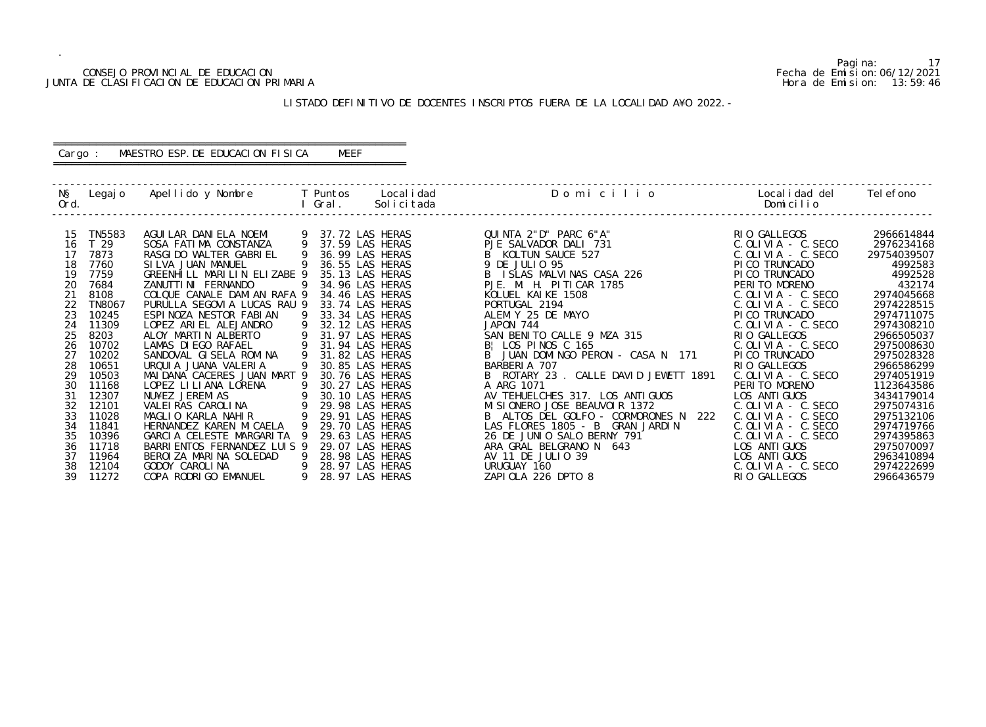## CONSEJO PROVINCIAL DE EDUCACION Fecha de Emision:06/12/2021 JUNTA DE CLASIFICACION DE EDUCACION PRIMARIA Hora de Emision: 13:59:46

## LISTADO DEFINITIVO DE DOCENTES INSCRIPTOS FUERA DE LA LOCALIDAD A¥O 2022.-

## ========================================================== Cargo : MAESTRO ESP.DE EDUCACION FISICA MEEF

==========================================================

| NŞ<br>Ord. | Legaj o         | Apellido y Nombre            |   | T Puntos<br>Gral. | Local i dad<br>Solicitada | Domicilio                               | Local i dad del<br>Domicilio | Tel efono   |
|------------|-----------------|------------------------------|---|-------------------|---------------------------|-----------------------------------------|------------------------------|-------------|
|            |                 |                              |   |                   |                           |                                         |                              |             |
| 15         | TN5583          | AGUI LAR DANI ELA NOEMI      |   |                   | 37.72 LAS HERAS           | QUINTA 2"D" PARC 6"A"                   | RIO GALLEGOS                 | 2966614844  |
| 16         | T <sub>29</sub> | SOSA FATIMA CONSTANZA        | 9 |                   | 37.59 LAS HERAS           | PJE SALVADOR DALI 731                   | $C.$ OLIVIA - $C.$ SECO      | 2976234168  |
| 17         | 7873            | RASGI DO WALTER GABRI EL     | 9 |                   | 36.99 LAS HERAS           | B KOLTUN SAUCE 527                      | $C.$ OLIVIA $-$ C. SECO      | 29754039507 |
| 18         | 7760            | SI LVA JUAN MANUEL           |   |                   | 36.55 LAS HERAS           | 9 DE JULIO 95                           | PI CO TRUNCADO               | 4992583     |
| 19         | 7759            | GREENHILL MARILIN ELIZABE 9  |   |                   | 35.13 LAS HERAS           | B ISLAS MALVINAS CASA 226               | PI CO TRUNCADO               | 4992528     |
| 20         | 7684            | ZANUTTI NI FERNANDO          |   |                   | 34.96 LAS HERAS           | PJE. M. H. PITICAR 1785                 | PERITO MORENO                | 432174      |
| 21         | 8108            | COLQUE CANALE DAMIAN RAFA 9  |   |                   | 34.46 LAS HERAS           | KOLUEL KAIKE 1508                       | $C.$ OLIVIA - $C.$ SECO      | 2974045668  |
| 22         | <b>TN8067</b>   | PURULLA SEGOVIA LUCAS RAU 9  |   |                   | 33.74 LAS HERAS           | PORTUGAL 2194                           | $C.$ OLIVIA - $C.$ SECO      | 2974228515  |
| 23         | 10245           | ESPINOZA NESTOR FABIAN       |   |                   | 33.34 LAS HERAS           | ALEM Y 25 DE MAYO                       | PI CO TRUNCADO               | 2974711075  |
| 24         | 11309           | LOPEZ ARIEL ALEJANDRO        | 9 |                   | 32.12 LAS HERAS           | JAPON 744                               | $C.$ OLIVIA - $C.$ SECO      | 2974308210  |
| 25         | 8203            | ALOY MARTIN ALBERTO          |   |                   | 31.97 LAS HERAS           | SAN BENITO CALLE 9 MZA 315              | RIO GALLEGOS                 | 2966505037  |
| 26         | 10702           | LAMAS DI EGO RAFAEL          |   |                   | 31.94 LAS HERAS           | B! LOS PINOS C 165                      | $C.$ OLIVIA - $C.$ SECO      | 2975008630  |
| 27         | 10202           | SANDOVAL GISELA ROMINA       |   |                   | 31.82 LAS HERAS           | B JUAN DOMINGO PERON - CASA N 171       | PI CO TRUNCADO               | 2975028328  |
| 28         | 10651           | URQUI A JUANA VALERIA        |   |                   | 30.85 LAS HERAS           | BARBERIA 707                            | RIO GALLEGOS                 | 2966586299  |
| 29         | 10503           | MAI DANA CACERES JUAN MART 9 |   |                   | 30.76 LAS HERAS           | B ROTARY 23 . CALLE DAVID JEWETT 1891   | $C.$ OLIVIA - $C.$ SECO      | 2974051919  |
| 30         | 11168           | LOPEZ LI LI ANA LORENA       |   |                   | 30.27 LAS HERAS           | A ARG 1071                              | PERITO MORENO                | 1123643586  |
| 31         | 12307           | NU¥EZ JEREMIAS               |   |                   | 30.10 LAS HERAS           | AV TEHUELCHES 317. LOS ANTIGUOS         | LOS ANTI GUOS                | 3434179014  |
| 32         | 12101           | VALEIRAS CAROLINA            |   |                   | 29.98 LAS HERAS           | MI SI ONERO JOSE BEAUVOIR 1372          | $C.$ OLIVIA - $C.$ SECO      | 2975074316  |
| 33         | 11028           | MAGLIO KARLA NAHIR           |   |                   | 29.91 LAS HERAS           | 222<br>B ALTOS DEL GOLFO - CORMORONES N | $C.$ OLIVIA - $C.$ SECO      | 2975132106  |
| 34         | 11841           | HERNANDEZ KAREN MI CAELA     |   |                   | 29.70 LAS HERAS           | LAS FLORES 1805 - B GRAN JARDIN         | $C.$ OLIVIA - $C.$ SECO      | 2974719766  |
| 35         | 10396           | GARCIA CELESTE MARGARITA     |   |                   | 29.63 LAS HERAS           | 26 DE JUNIO SALO BERNY 791              | $C.$ OLIVIA - $C.$ SECO      | 2974395863  |
| 36         | 11718           | BARRI ENTOS FERNANDEZ LUIS 9 |   |                   | 29.07 LAS HERAS           | ARA GRAL BELGRANO N 643                 | LOS ANTI GUOS                | 2975070097  |
| 37         | 11964           | BEROIZA MARINA SOLEDAD       | 9 |                   | 28.98 LAS HERAS           | AV 11 DE JULIO 39                       | LOS ANTI GUOS                | 2963410894  |
| 38         | 12104           | GODOY CAROLINA               |   |                   | 28.97 LAS HERAS           | URUGUAY 160                             | $C.$ OLIVIA - $C.$ SECO      | 2974222699  |
| 39         | 11272           | COPA RODRIGO EMANUEL         |   |                   | 28.97 LAS HERAS           | ZAPIOLA 226 DPTO 8                      | RIO GALLEGOS                 | 2966436579  |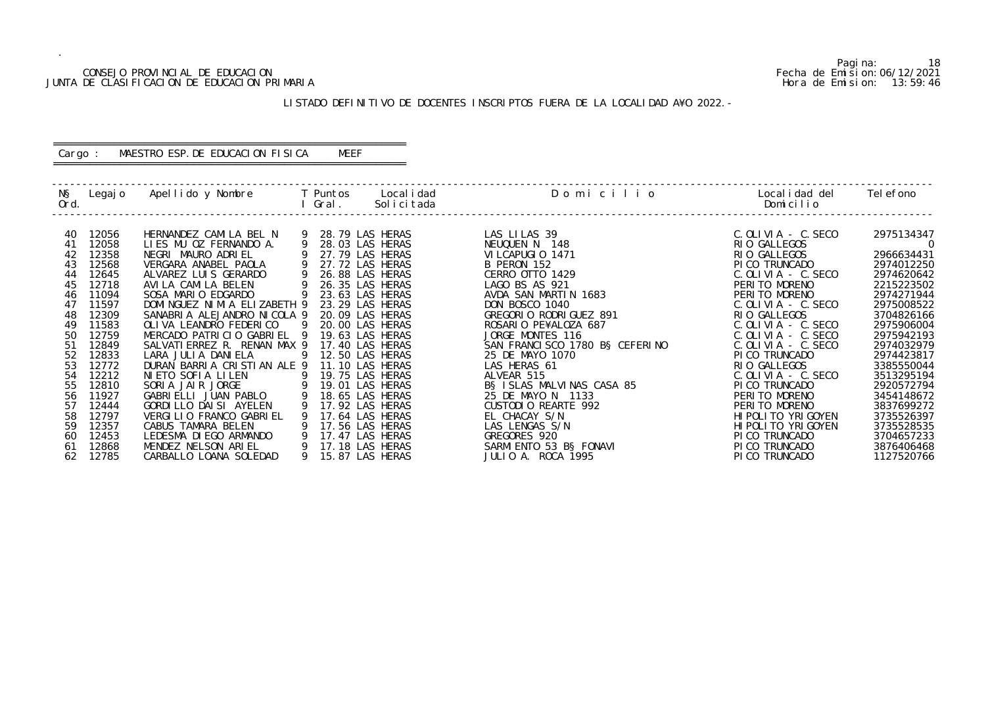## CONSEJO PROVINCIAL DE EDUCACION Fecha de Emision:06/12/2021 JUNTA DE CLASIFICACION DE EDUCACION PRIMARIA Hora de Emision: 13:59:46

## LISTADO DEFINITIVO DE DOCENTES INSCRIPTOS FUERA DE LA LOCALIDAD A¥O 2022.-

## ========================================================== Cargo : MAESTRO ESP.DE EDUCACION FISICA MEEF

==========================================================

| N§<br>Ord.           |                                  | Legajo Apellido y Nombre                                                                      | <b>T</b> Puntos<br>Gral. | Local i dad<br>Solicitada                                                | Domicilio                                                                              | Local i dad del<br>Domicilio                                               | Tel efono                                            |
|----------------------|----------------------------------|-----------------------------------------------------------------------------------------------|--------------------------|--------------------------------------------------------------------------|----------------------------------------------------------------------------------------|----------------------------------------------------------------------------|------------------------------------------------------|
| 40                   | 12056                            | HERNANDEZ CAMILA BEL N                                                                        | 9                        | 28.79 LAS HERAS                                                          | LAS LILAS 39                                                                           | $C.$ OLIVIA - $C.$ SECO                                                    | 2975134347                                           |
| 41                   | 12058                            | LIES MU OZ FERNANDO A.                                                                        |                          | 28.03 LAS HERAS                                                          | NEUQUEN N 148                                                                          | RIO GALLEGOS                                                               | - 0                                                  |
| 42                   | 12358                            | NEGRI MAURO ADRIEL                                                                            |                          | 27.79 LAS HERAS                                                          | VILCAPUGIO 1471                                                                        | RIO GALLEGOS                                                               | 2966634431                                           |
| 43                   | 12568                            | VERGARA ANABEL PAOLA                                                                          | 9                        | 27.72 LAS HERAS                                                          | B PERON 152                                                                            | PI CO TRUNCADO                                                             | 2974012250                                           |
| 44                   | 12645                            | ALVAREZ LUIS GERARDO                                                                          |                          | 26.88 LAS HERAS                                                          | CERRO OTTO 1429                                                                        | $C.$ OLIVIA - $C.$ SECO                                                    | 2974620642                                           |
| 45                   | 12718                            | AVILA CAMILA BELEN                                                                            |                          | 26.35 LAS HERAS                                                          | LAGO BS AS 921                                                                         | PERITO MORENO                                                              | 2215223502                                           |
| 46                   | 11094                            | SOSA MARIO EDGARDO                                                                            |                          | 23.63 LAS HERAS                                                          | AVDA SAN MARTIN 1683                                                                   | PERITO MORENO                                                              | 2974271944                                           |
| 47                   | 11597                            | DOMINGUEZ NIMIA ELIZABETH 9                                                                   |                          | 23.29 LAS HERAS                                                          | DON BOSCO 1040                                                                         | $C.$ OLIVIA - $C.$ SECO                                                    | 2975008522                                           |
| 48                   | 12309                            | SANABRIA ALEJANDRO NICOLA 9                                                                   | - 9                      | 20.09 LAS HERAS                                                          | GREGORIO RODRIGUEZ 891                                                                 | RIO GALLEGOS                                                               | 3704826166                                           |
| 49                   | 11583                            | OLI VA LEANDRO FEDERICO                                                                       |                          | 20.00 LAS HERAS                                                          | ROSARIO PE¥ALOZA 687                                                                   | $C.$ OLIVIA - $C.$ SECO                                                    | 2975906004                                           |
| 50                   | 12759                            | MERCADO PATRICIO GABRIEL 9                                                                    |                          | 19.63 LAS HERAS                                                          | JORGE MONTES 116                                                                       | $C.$ OLIVIA - $C.$ SECO                                                    | 2975942193                                           |
| 51                   | 12849                            | SALVATI ERREZ R. RENAN MAX 9                                                                  | 9                        | 17.40 LAS HERAS                                                          | SAN FRANCISCO 1780 BS CEFERINO                                                         | $C.$ OLIVIA - $C.$ SECO                                                    | 2974032979                                           |
| 52                   | 12833                            | LARA JULIA DANIELA                                                                            |                          | 12.50 LAS HERAS                                                          | 25 DE MAYO 1070                                                                        | PI CO TRUNCADO                                                             | 2974423817                                           |
| 53                   | 12772                            | DURAN BARRIA CRISTIAN ALE 9                                                                   |                          | 11.10 LAS HERAS                                                          | LAS HERAS 61                                                                           | RIO GALLEGOS                                                               | 3385550044                                           |
| 54<br>55             | 12212<br>12810                   | NIETO SOFIA LILEN<br>$\overline{9}$<br>SORIA JAIR JORGE                                       |                          | 19.75 LAS HERAS<br>19.01 LAS HERAS                                       | ALVEAR 515<br>BS ISLAS MALVINAS CASA 85                                                | $C.$ OLIVIA - C. SECO<br>PI CO TRUNCADO                                    | 3513295194<br>2920572794                             |
| 56                   | 11927                            | GABRIELLI JUAN PABLO                                                                          | 9                        | 18.65 LAS HERAS                                                          | 25 DE MAYO N 1133                                                                      | PERITO MORENO                                                              | 3454148672                                           |
| 57                   | 12444                            | GORDI LLO DAI SI AYELEN                                                                       | 9                        | 17.92 LAS HERAS                                                          | CUSTODIO REARTE 992                                                                    | PERITO MORENO                                                              | 3837699272                                           |
| 58                   | 12797                            | VERGILIO FRANCO GABRIEL                                                                       | -9                       | 17.64 LAS HERAS                                                          | EL CHACAY S/N                                                                          | HI POLI TO YRI GOYEN                                                       | 3735526397                                           |
| 59<br>60<br>61<br>62 | 12357<br>12453<br>12868<br>12785 | CABUS TAMARA BELEN<br>LEDESMA DI EGO ARMANDO<br>MENDEZ NELSON ARIEL<br>CARBALLO LOANA SOLEDAD | 9<br>9                   | 17.56 LAS HERAS<br>17.47 LAS HERAS<br>17.18 LAS HERAS<br>15.87 LAS HERAS | LAS LENGAS S/N<br>GREGORES 920<br>SARMI ENTO 53 B§ FONAVI<br><b>JULIO A. ROCA 1995</b> | HI POLI TO YRI GOYEN<br>PI CO TRUNCADO<br>PI CO TRUNCADO<br>PI CO TRUNCADO | 3735528535<br>3704657233<br>3876406468<br>1127520766 |

Pagina: 18<br>Fecha de Emision: 06/12/2021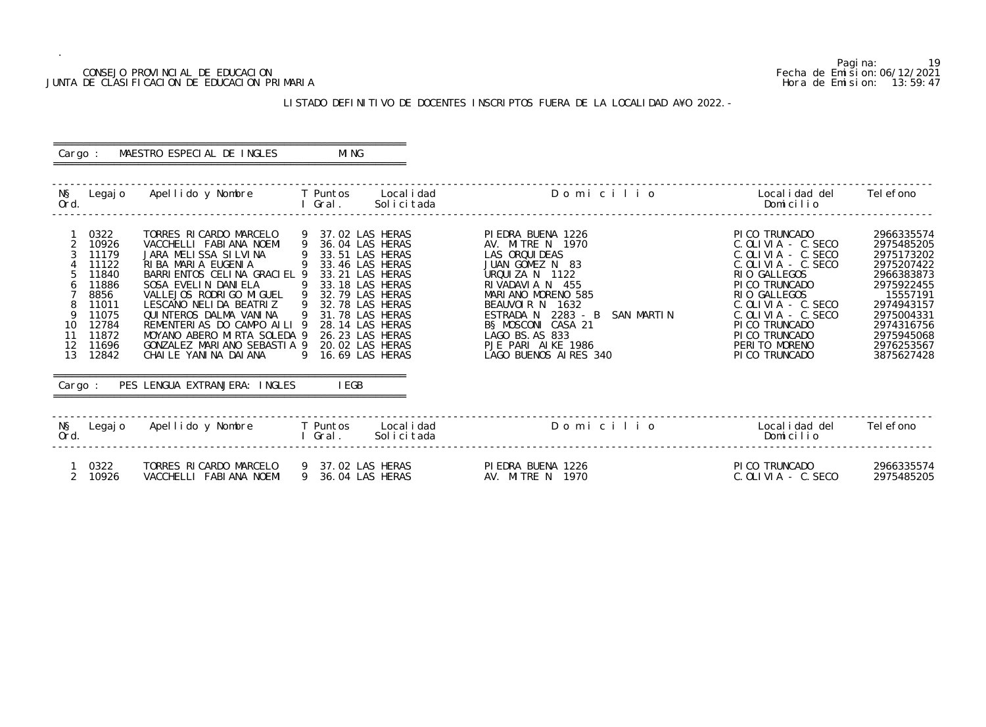## CONSEJO PROVINCIAL DE EDUCACION Fecha de Emision:06/12/2021 JUNTA DE CLASIFICACION DE EDUCACION PRIMARIA Hora de Emision: 13:59:47

## LISTADO DEFINITIVO DE DOCENTES INSCRIPTOS FUERA DE LA LOCALIDAD A¥O 2022.-

#### ========================================================== Cargo : MAESTRO ESPECIAL DE INGLES MING ==========================================================

| NŞ<br>Ord.                | Legaj o                                                                                                         | Apellido y Nombre                                                                                                                                                                                                                                                                                                                                             | T Puntos<br>Local i dad<br>Gral.<br>Solicitada                                                                                                                                                                                                                  | Domicilio                                                                                                                                                                                                                                                                               | Local i dad del<br>Domicilio                                                                                                                                                                                                                                                   | Tel efono                                                                                                                                                                        |
|---------------------------|-----------------------------------------------------------------------------------------------------------------|---------------------------------------------------------------------------------------------------------------------------------------------------------------------------------------------------------------------------------------------------------------------------------------------------------------------------------------------------------------|-----------------------------------------------------------------------------------------------------------------------------------------------------------------------------------------------------------------------------------------------------------------|-----------------------------------------------------------------------------------------------------------------------------------------------------------------------------------------------------------------------------------------------------------------------------------------|--------------------------------------------------------------------------------------------------------------------------------------------------------------------------------------------------------------------------------------------------------------------------------|----------------------------------------------------------------------------------------------------------------------------------------------------------------------------------|
| 9<br>10<br>11<br>12<br>13 | 0322<br>10926<br>11179<br>11122<br>11840<br>11886<br>8856<br>11011<br>11075<br>12784<br>11872<br>11696<br>12842 | TORRES RICARDO MARCELO<br>VACCHELLI FABIANA NOEMI<br>JARA MELISSA SILVINA<br>RIBA MARIA EUGENIA<br>BARRI ENTOS CELINA GRACI EL 9<br>SOSA EVELIN DANIELA<br>VALLEJOS RODRI GO MI GUEL<br>LESCANO NELIDA BEATRIZ<br>QUINTEROS DALMA VANINA<br>REMENTERIAS DO CAMPO AILI 9<br>MOYANO ABERO MIRTA SOLEDA 9<br>GONZALEZ MARIANO SEBASTIA 9<br>CHAILE YANINA DAIANA | 37.02 LAS HERAS<br>36.04 LAS HERAS<br>33.51 LAS HERAS<br>33.46 LAS HERAS<br>33.21 LAS HERAS<br>33.18 LAS HERAS<br>9<br>32.79 LAS HERAS<br>9<br>32.78 LAS HERAS<br>31.78 LAS HERAS<br>28.14 LAS HERAS<br>26.23 LAS HERAS<br>20.02 LAS HERAS<br>9 16.69 LAS HERAS | PI EDRA BUENA 1226<br>AV. MITRE N 1970<br>LAS ORQUIDEAS<br>JUAN GOMEZ N 83<br>URQUIZA N 1122<br>RIVADAVIA N 455<br>MARIANO MORENO 585<br>BEAUVOIR N<br>1632<br>ESTRADA N 2283 - B<br>SAN MARTIN<br>BS MOSCONI CASA 21<br>LAGO BS. AS 833<br>PJE PARI AIKE 1986<br>LAGO BUENOS AIRES 340 | PI CO TRUNCADO<br>$C.$ OLIVIA - $C.$ SECO<br>$C.$ OLIVIA - $C.$ SECO<br>$C.$ OLIVIA - $C.$ SECO<br>RIO GALLEGOS<br>PI CO TRUNCADO<br>RIO GALLEGOS<br>$C.$ OLIVIA - $C.$ SECO<br>$C.$ OLIVIA - $C.$ SECO<br>PI CO TRUNCADO<br>PI CO TRUNCADO<br>PERITO MORENO<br>PI CO TRUNCADO | 2966335574<br>2975485205<br>2975173202<br>2975207422<br>2966383873<br>2975922455<br>15557191<br>2974943157<br>2975004331<br>2974316756<br>2975945068<br>2976253567<br>3875627428 |
| Cargo:                    |                                                                                                                 | PES LENGUA EXTRANJERA: INGLES                                                                                                                                                                                                                                                                                                                                 | I EGB                                                                                                                                                                                                                                                           |                                                                                                                                                                                                                                                                                         |                                                                                                                                                                                                                                                                                |                                                                                                                                                                                  |
| NŞ<br>Ord.                | Legaj o                                                                                                         | Apellido y Nombre                                                                                                                                                                                                                                                                                                                                             | T Puntos<br>Local i dad<br>Solicitada<br>Gral.                                                                                                                                                                                                                  | Domicilio                                                                                                                                                                                                                                                                               | Local i dad del<br>Domicilio                                                                                                                                                                                                                                                   | Tel efono                                                                                                                                                                        |
| $\overline{2}$            | 0322<br>10926                                                                                                   | TORRES RICARDO MARCELO<br>VACCHELLI FABIANA NOEMI                                                                                                                                                                                                                                                                                                             | 9 37.02 LAS HERAS<br>9 36.04 LAS HERAS                                                                                                                                                                                                                          | PIEDRA BUENA 1226<br>AV. MITRE N 1970                                                                                                                                                                                                                                                   | PI CO TRUNCADO<br>$C.$ OLIVIA - $C.$ SECO                                                                                                                                                                                                                                      | 2966335574<br>2975485205                                                                                                                                                         |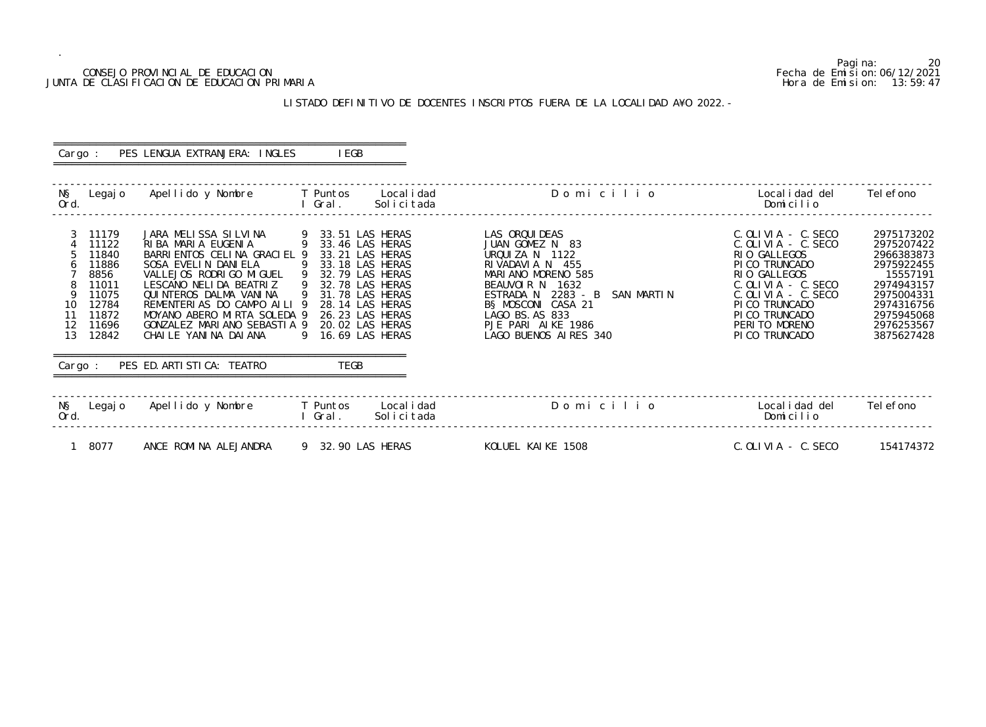## CONSEJO PROVINCIAL DE EDUCACION Fecha de Emision:06/12/2021 JUNTA DE CLASIFICACION DE EDUCACION PRIMARIA Hora de Emision: 13:59:47

## LISTADO DEFINITIVO DE DOCENTES INSCRIPTOS FUERA DE LA LOCALIDAD A¥O 2022.-

| Cargo :              |                                                                                                | PES LENGUA EXTRANJERA: INGLES                                                                                                                                                                                                                                                                                            | I EGB                                                                                                                                                                                              |                           |                                                                                                                                                                                                                                             |                                                                                                                                                                                                                                  |                                                                                                                                                      |
|----------------------|------------------------------------------------------------------------------------------------|--------------------------------------------------------------------------------------------------------------------------------------------------------------------------------------------------------------------------------------------------------------------------------------------------------------------------|----------------------------------------------------------------------------------------------------------------------------------------------------------------------------------------------------|---------------------------|---------------------------------------------------------------------------------------------------------------------------------------------------------------------------------------------------------------------------------------------|----------------------------------------------------------------------------------------------------------------------------------------------------------------------------------------------------------------------------------|------------------------------------------------------------------------------------------------------------------------------------------------------|
| NŞ<br>Ord.           | Legaj o                                                                                        | Apellido y Nombre                                                                                                                                                                                                                                                                                                        | <b>T</b> Puntos<br>Gral.                                                                                                                                                                           | Local i dad<br>Solicitada | Domicilio                                                                                                                                                                                                                                   | Local i dad del<br>Domicilio                                                                                                                                                                                                     | Tel efono                                                                                                                                            |
| 10<br>11<br>12<br>13 | 11179<br>11122<br>11840<br>11886<br>8856<br>11011<br>11075<br>12784<br>11872<br>11696<br>12842 | JARA MELISSA SILVINA<br>RIBA MARIA EUGENIA<br>BARRI ENTOS CELINA GRACI EL 9<br>SOSA EVELIN DANIELA<br>VALLEJOS RODRIGO MIGUEL 9 32.79 LAS HERAS<br>LESCANO NELIDA BEATRIZ<br>QUINTEROS DALMA VANINA<br>REMENTERIAS DO CAMPO AILI 9<br>MOYANO ABERO MIRTA SOLEDA 9<br>GONZALEZ MARIANO SEBASTIA 9<br>CHAILE YANINA DAIANA | 9 33.51 LAS HERAS<br>9 33.46 LAS HERAS<br>33.21 LAS HERAS<br>33.18 LAS HERAS<br>9 32.78 LAS HERAS<br>31.78 LAS HERAS<br>28.14 LAS HERAS<br>26.23 LAS HERAS<br>20.02 LAS HERAS<br>9 16.69 LAS HERAS |                           | LAS ORQUI DEAS<br>JUAN GOMEZ N 83<br>URQUIZA N 1122<br>RIVADAVIA N 455<br>MARIANO MORENO 585<br>BEAUVOIR N 1632<br>ESTRADA N 2283 - B<br>SAN MARTIN<br>B§ MOSCONI CASA 21<br>LAGO BS. AS 833<br>PJE PARI AIKE 1986<br>LAGO BUENOS AIRES 340 | $C.$ OLIVIA - $C.$ SECO<br>$C.$ OLIVIA - $C.$ SECO<br>RIO GALLEGOS<br>PICO TRUNCADO<br>RIO GALLEGOS<br>$C.$ OLIVIA - $C.$ SECO<br>$C.$ OLIVIA - $C.$ SECO<br>PI CO TRUNCADO<br>PI CO TRUNCADO<br>PERITO MORENO<br>PI CO TRUNCADO | 2975173202<br>2975207422<br>2966383873<br>2975922455<br>15557191<br>2974943157<br>2975004331<br>2974316756<br>2975945068<br>2976253567<br>3875627428 |
| Cargo :              |                                                                                                | PES ED. ARTI STI CA: TEATRO                                                                                                                                                                                                                                                                                              | <b>TEGB</b>                                                                                                                                                                                        |                           |                                                                                                                                                                                                                                             |                                                                                                                                                                                                                                  |                                                                                                                                                      |
| NŞ<br>Ord.           | Legaj o                                                                                        | Apellido y Nombre                                                                                                                                                                                                                                                                                                        | T Puntos<br>I Gral.                                                                                                                                                                                | Local i dad<br>Solicitada | Domicilio                                                                                                                                                                                                                                   | Local i dad del<br>Domicilio                                                                                                                                                                                                     | Tel efono                                                                                                                                            |
|                      | 8077                                                                                           | ANCE ROMINA ALEJANDRA                                                                                                                                                                                                                                                                                                    | 9 32.90 LAS HERAS                                                                                                                                                                                  |                           | KOLUEL KAIKE 1508                                                                                                                                                                                                                           | C. OLI VI A - C. SECO                                                                                                                                                                                                            | 154174372                                                                                                                                            |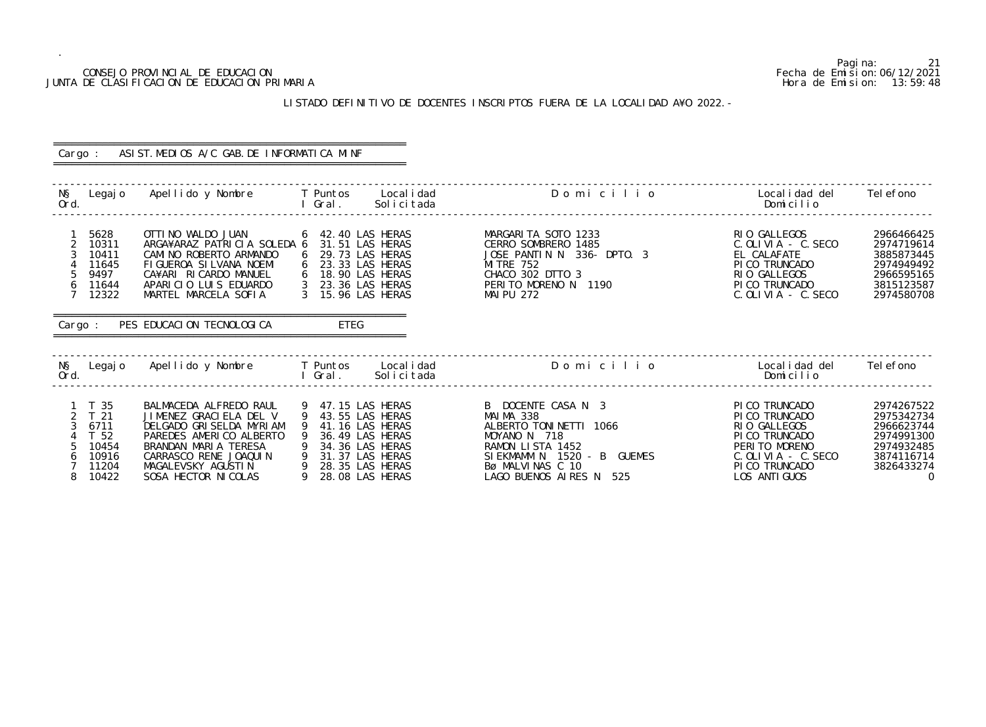## CONSEJO PROVINCIAL DE EDUCACION Fecha de Emision:06/12/2021 JUNTA DE CLASIFICACION DE EDUCACION PRIMARIA Hora de Emision: 13:59:48

## LISTADO DEFINITIVO DE DOCENTES INSCRIPTOS FUERA DE LA LOCALIDAD A¥O 2022.-

|                                                                                                              | Cargo: ASIST. MEDIOS A/C GAB. DE INFORMATICA MINF                                                                                                                                                                                                                                    |                                                                                                                                                     |                                                                                                                                                                            |                                                                                                                                                   |                                                                                                                  |
|--------------------------------------------------------------------------------------------------------------|--------------------------------------------------------------------------------------------------------------------------------------------------------------------------------------------------------------------------------------------------------------------------------------|-----------------------------------------------------------------------------------------------------------------------------------------------------|----------------------------------------------------------------------------------------------------------------------------------------------------------------------------|---------------------------------------------------------------------------------------------------------------------------------------------------|------------------------------------------------------------------------------------------------------------------|
| Ord.                                                                                                         | N§ Legajo Apellido y Nombre T Puntos Localidad<br><b>Example 2019 Contract Contract Contract Contract Contract Contract Contract Contract Contract Contract Contract Contract Contract Contract Contract Contract Contract Contract Contract Contract Contract Contract Contract</b> | Solicitada                                                                                                                                          | Domicilio                                                                                                                                                                  | Localidad del<br>Domicilio                                                                                                                        | Tel efono                                                                                                        |
| 5628<br>$\overline{2}$<br>10311<br>3<br>10411<br>11645<br>5<br>9497<br>6<br>11644<br>7 <sup>7</sup><br>12322 | OTTI NO WALDO JUAN<br>ARGA¥ARAZ PATRICIA SOLEDA 6 31.51 LAS HERAS<br>CAMINO ROBERTO ARMANDO<br>FIGUEROA SILVANA NOEMI<br>CA¥ARI RICARDO MANUEL<br>APARICIO LUIS EDUARDO<br>MARTEL MARCELA SOFIA<br>Cargo: PES EDUCACION TECNOLOGICA                                                  | 6 42.40 LAS HERAS<br>6 29.73 LAS HERAS<br>6 23.33 LAS HERAS<br>6 18.90 LAS HERAS<br>3 23.36 LAS HERAS<br>3 15.96 LAS HERAS<br>ETEG                  | MARGARITA SOTO 1233<br>CERRO SOMBRERO 1485<br>JOSE PANTIN N 336- DPTO. 3<br>MI TRE 752<br>CHACO 302 DTTO 3<br>PERITO MORENO N 1190<br>MAI PU 272                           | RIO GALLEGOS<br>C. OLIVIA - C. SECO<br>EL CALAFATE<br>PICO TRUNCADO<br>RIO GALLEGOS<br>PICO TRUNCADO<br>$C.$ OLIVIA - $C.$ SECO                   | 2966466425<br>2974719614<br>3885873445<br>2974949492<br>2966595165<br>3815123587<br>2974580708                   |
| Ord.                                                                                                         | N§ Legajo Apellido y Nombre T Puntos Localidad                                                                                                                                                                                                                                       | l Gral.<br>Solicitada                                                                                                                               | Domicilio de la contra del contra del contra del contra del contra del contra del contra del contra del contra                                                             | Localidad del      Telefono<br>Domicilio                                                                                                          |                                                                                                                  |
| 1 T 35<br>2 T 21<br>6711<br>$\mathcal{S}$<br>T 52<br>5<br>10454<br>10916<br>6<br>11204<br>10422<br>8         | BALMACEDA ALFREDO RAUL<br>JIMENEZ GRACIELA DEL V<br>DELGADO GRISELDA MYRIAM<br>PAREDES AMERICO ALBERTO<br>BRANDAN MARIA TERESA<br>CARRASCO RENE JOAQUIN<br>MAGALEVSKY AGUSTIN 9 28.35 LAS HERAS<br>SOSA HECTOR NI COLAS                                                              | 9 47.15 LAS HERAS<br>9 43.55 LAS HERAS<br>41.16 LAS HERAS<br>-9<br>9 36.49 LAS HERAS<br>9 34.36 LAS HERAS<br>9 31.37 LAS HERAS<br>9 28.08 LAS HERAS | B DOCENTE CASA N 3<br>MAIMA 338<br>ALBERTO TONINETTI 1066<br>MOYANO N 718<br>RAMON LISTA 1452<br>SIEKMAMM N 1520 - B GUEMES<br>Bø MALVINAS C 10<br>LAGO BUENOS AIRES N 525 | PI CO TRUNCADO<br>PI CO TRUNCADO<br>RIO GALLEGOS<br>PI CO TRUNCADO<br>PERITO MORENO<br>$C.$ OLIVIA - $C.$ SECO<br>PI CO TRUNCADO<br>LOS ANTI GUOS | 2974267522<br>2975342734<br>2966623744<br>2974991300<br>2974932485<br>3874116714<br>3826433274<br>$\overline{0}$ |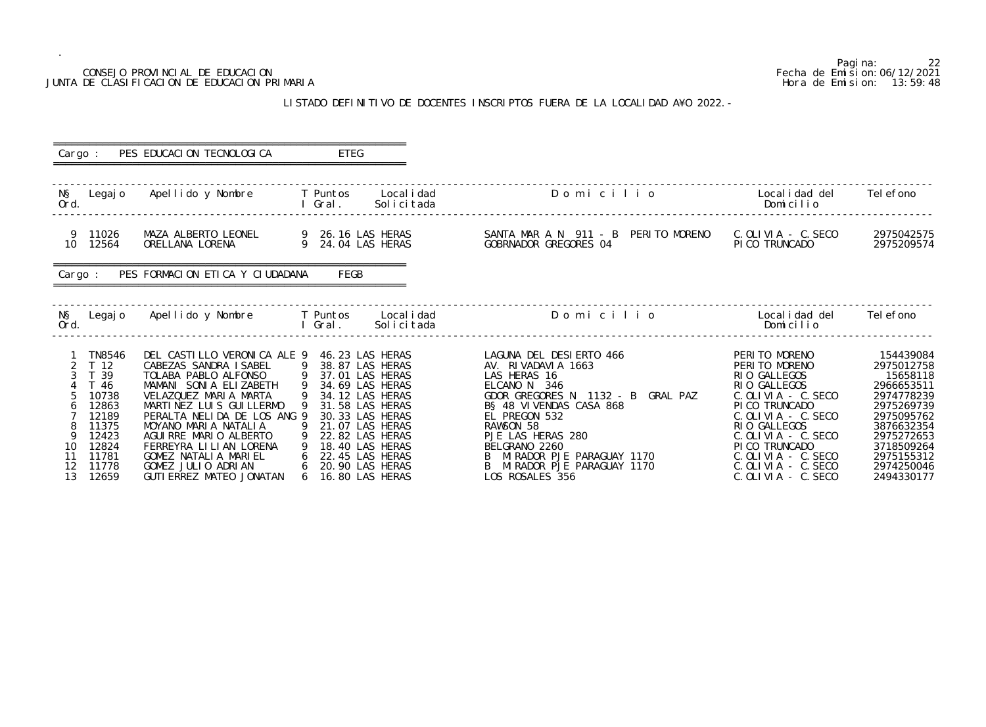# JUNTA DE CLASIFICACION DE EDUCACION PRIMARIA

.

## LISTADO DEFINITIVO DE DOCENTES INSCRIPTOS FUERA DE LA LOCALIDAD

|                | CONSEJO PROVINCIAL DE EDUCACION<br>JUNTA DE CLASIFICACION DE EDUCACION PRIMARIA                                              | LISTADO DEFINITIVO DE DOCENTES INSCRIPTOS FUERA DE LA LOCALIDAD A¥O 2022. -                                                                                                                                                                                                                                                                                                     | Pagi na:<br>22<br>Fecha de Emi si on: 06/12/2021<br>Hora de Emision: 13:59:48 |                       |                                                                                                                                                                                                                   |                                                                                                                                                                                                                                                                                                |                                                                                                                                                                                                                                                                                                                       |                                                                                                                                                                                   |
|----------------|------------------------------------------------------------------------------------------------------------------------------|---------------------------------------------------------------------------------------------------------------------------------------------------------------------------------------------------------------------------------------------------------------------------------------------------------------------------------------------------------------------------------|-------------------------------------------------------------------------------|-----------------------|-------------------------------------------------------------------------------------------------------------------------------------------------------------------------------------------------------------------|------------------------------------------------------------------------------------------------------------------------------------------------------------------------------------------------------------------------------------------------------------------------------------------------|-----------------------------------------------------------------------------------------------------------------------------------------------------------------------------------------------------------------------------------------------------------------------------------------------------------------------|-----------------------------------------------------------------------------------------------------------------------------------------------------------------------------------|
| Cargo :        |                                                                                                                              | PES EDUCACION TECNOLOGICA                                                                                                                                                                                                                                                                                                                                                       |                                                                               | <b>ETEG</b>           |                                                                                                                                                                                                                   |                                                                                                                                                                                                                                                                                                |                                                                                                                                                                                                                                                                                                                       |                                                                                                                                                                                   |
| NŞ<br>Ord.     | Legaj o                                                                                                                      | Apellido y Nombre                                                                                                                                                                                                                                                                                                                                                               |                                                                               | T Puntos<br>I Gral.   | Local i dad<br>Solicitada                                                                                                                                                                                         | Domicilio                                                                                                                                                                                                                                                                                      | Local i dad del<br>Domicilio                                                                                                                                                                                                                                                                                          | Tel efono                                                                                                                                                                         |
|                | 9 11026<br>10 12564                                                                                                          | MAZA ALBERTO LEONEL<br>ORELLANA LORENA                                                                                                                                                                                                                                                                                                                                          |                                                                               |                       | 9 26.16 LAS HERAS<br>9 24.04 LAS HERAS                                                                                                                                                                            | SANTA MAR A N 911 - B PERITO MORENO<br>GOBRNADOR GREGORES 04                                                                                                                                                                                                                                   | C. OLIVIA - C. SECO<br>PI CO TRUNCADO                                                                                                                                                                                                                                                                                 | 2975042575<br>2975209574                                                                                                                                                          |
| Cargo :        |                                                                                                                              | PES FORMACION ETICA Y CIUDADANA                                                                                                                                                                                                                                                                                                                                                 |                                                                               | FEGB                  |                                                                                                                                                                                                                   |                                                                                                                                                                                                                                                                                                |                                                                                                                                                                                                                                                                                                                       |                                                                                                                                                                                   |
| NŞ<br>Ord.     | Legaj o                                                                                                                      | Apellido y Nombre                                                                                                                                                                                                                                                                                                                                                               |                                                                               | T Puntos<br>l Gral. I | Local i dad<br>Solicitada                                                                                                                                                                                         | Domicilio                                                                                                                                                                                                                                                                                      | Local i dad del<br>Domicilio                                                                                                                                                                                                                                                                                          | Tel efono                                                                                                                                                                         |
| 10<br>11<br>12 | TN8546<br>T <sub>12</sub><br>39<br>- 46<br>10738<br>12863<br>12189<br>11375<br>12423<br>12824<br>11781<br>11778<br>12, 12650 | DEL CASTILLO VERONICA ALE 9 46.23 LAS HERAS<br>CABEZAS SANDRA ISABEL<br>TOLABA PABLO ALFONSO<br>MAMANI SONIA ELIZABETH<br>VELAZQUEZ MARIA MARTA<br>MARTINEZ LUIS GUILLERMO<br>PERALTA NELIDA DE LOS ANG 9<br>MOYANO MARIA NATALIA<br>AGUIRRE MARIO ALBERTO<br>FERREYRA LILIAN LORENA<br>GOMEZ NATALIA MARIEL<br>GOMEZ JULIO ADRIAN<br>CUTLEDDEZ MATEO IONATAN 6 16 RO LAS HEDAS | 9<br>9<br>6<br>6                                                              |                       | 9 38.87 LAS HERAS<br>9 37.01 LAS HERAS<br>34.69 LAS HERAS<br>34.12 LAS HERAS<br>31.58 LAS HERAS<br>30.33 LAS HERAS<br>21.07 LAS HERAS<br>22.82 LAS HERAS<br>18.40 LAS HERAS<br>22.45 LAS HERAS<br>20.90 LAS HERAS | LAGUNA DEL DESIERTO 466<br>AV. RIVADAVIA 1663<br>LAS HERAS 16<br>ELCANO N 346<br>GDOR GREGORES N 1132 - B GRAL PAZ<br>BS 48 VIVENDAS CASA 868<br>EL PREGON 532<br>RAWSON 58<br>PJE LAS HERAS 280<br>BELGRANO 2260<br>MIRADOR PJE PARAGUAY 1170<br>MIRADOR PJE PARAGUAY 1170<br>LOC DOCALES 254 | PERITO MORENO<br>PERITO MORENO<br>RIO GALLEGOS<br>RIO GALLEGOS<br>$C.$ OLIVIA - $C.$ SECO<br>PI CO TRUNCADO<br>$C.$ OLIVIA - $C.$ SECO<br>RIO GALLEGOS<br>$C.$ OLIVIA - $C.$ SECO<br>PI CO TRUNCADO<br>$C.$ OLIVIA - $C.$ SECO<br>$C.$ OLIVIA - $C.$ SECO<br>$C$ $\cap$ $\cup$ $\cup$ $\wedge$ $C$ $C$ $C$ $C$ $\cap$ | 154439084<br>2975012758<br>15658118<br>2966653511<br>2974778239<br>2975269739<br>2975095762<br>3876632354<br>2975272653<br>3718509264<br>2975155312<br>2974250046<br>$3101220177$ |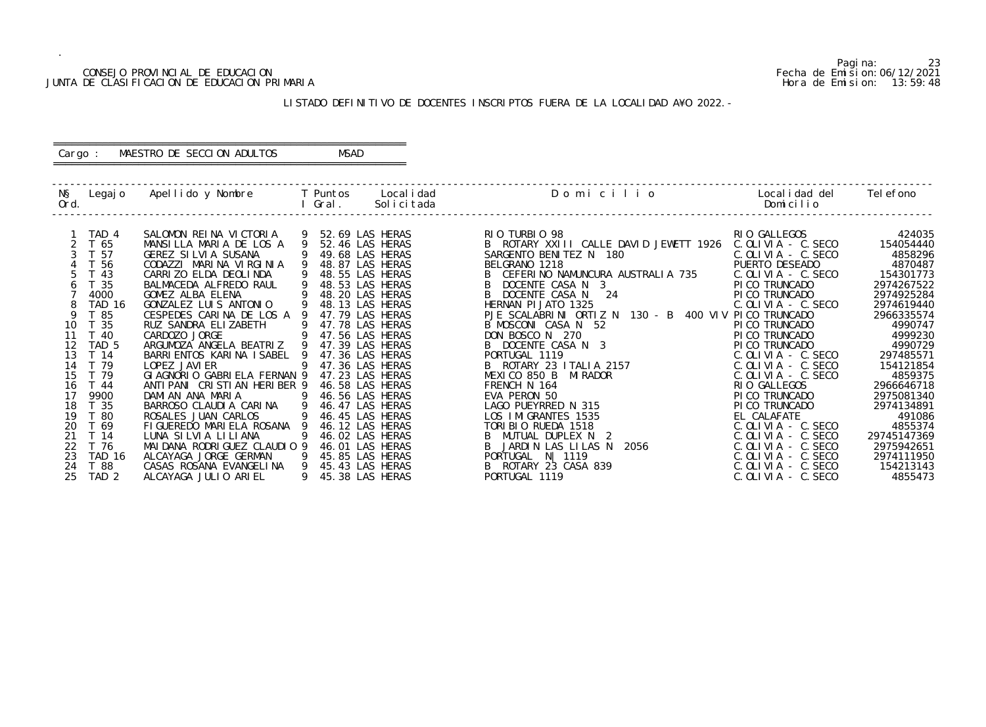## CONSEJO PROVINCIAL DE EDUCACION Fecha de Emision:06/12/2021 JUNTA DE CLASIFICACION DE EDUCACION PRIMARIA Hora de Emision: 13:59:48

## ========================================================== Cargo : MAESTRO DE SECCION ADULTOS MSAD

## LISTADO DEFINITIVO DE DOCENTES INSCRIPTOS FUERA DE LA LOCALIDAD A¥O 2022.-

==========================================================

| NŞ<br>Ord. | Legaj o          | Apellido y Nombre       T Puntos         |             | Gral. | Local i dad<br>Solicitada | Domicilio                                            | Localidad del<br>Domicilio | Tel efono   |
|------------|------------------|------------------------------------------|-------------|-------|---------------------------|------------------------------------------------------|----------------------------|-------------|
|            | TAD 4            | SALOMON REINA VICTORIA                   |             |       | 52.69 LAS HERAS           | RIO TURBIO 98                                        | RIO GALLEGOS               | 424035      |
|            | T 65             | MANSILLA MARIA DE LOS A                  | $\mathsf Q$ |       | 52.46 LAS HERAS           | B ROTARY XXIII CALLE DAVID JEWETT 1926               | $C.$ OLIVIA - $C.$ SECO    | 154054440   |
|            | T 57             | GEREZ SILVIA SUSANA                      |             |       | 49.68 LAS HERAS           | SARGENTO BENITEZ N 180                               | $C.$ OLIVIA - $C.$ SECO    | 4858296     |
|            | T 56             | CODAZZI MARINA VIRGINIA                  |             |       | 48.87 LAS HERAS           | BELGRANO 1218                                        | PUERTO DESEADO             | 4870487     |
|            | $T$ 43           | CARRIZO ELDA DEOLINDA                    |             |       | 48.55 LAS HERAS           | B CEFERINO NAMUNCURA AUSTRALIA 735                   | $C.$ OLIVIA - $C.$ SECO    | 154301773   |
|            | T 35             | BALMACEDA ALFREDO RAUL                   |             |       | 48.53 LAS HERAS           | DOCENTE CASA N 3                                     | PI CO TRUNCADO             | 2974267522  |
|            | 4000             | GOMEZ ALBA ELENA                         |             |       | 48.20 LAS HERAS           | B DOCENTE CASA N 24                                  | PI CO TRUNCADO             | 2974925284  |
|            | TAD 16           | GONZALEZ LUIS ANTONIO                    |             |       | 48.13 LAS HERAS           | HERNAN PI JATO 1325                                  | $C.$ OLIVIA - $C.$ SECO    | 2974619440  |
| 9          | T 85             | CESPEDES CARINA DE LOS A 9               |             |       | 47.79 LAS HERAS           | PJE SCALABRINI ORTIZ N 130 - B 400 VIV PICO TRUNCADO |                            | 2966335574  |
| 10         | T 35             | RUZ SANDRA ELIZABETH                     | -9          |       | 47.78 LAS HERAS           | B MOSCONI CASA N 52                                  | PI CO TRUNCADO             | 4990747     |
| 11         | $-40$            | CARDOZO JORGE                            |             |       | 47.56 LAS HERAS           | DON BOSCO N 270                                      | PI CO TRUNCADO             | 4999230     |
| 12         | TAD <sub>5</sub> | ARGUMOZA ANGELA BEATRIZ 9                |             |       | 47.39 LAS HERAS           | B DOCENTE CASA N 3                                   | PI CO TRUNCADO             | 4990729     |
| 13         | T 14             | BARRI ENTOS KARI NA I SABEL 9            |             |       | 47.36 LAS HERAS           | PORTUGAL 1119                                        | $C.$ OLIVIA - $C.$ SECO    | 297485571   |
| 14         | T 79             | LOPEZ JAVI ER                            |             |       | 47.36 LAS HERAS           | B ROTARY 23 I TALI A 2157                            | $C.$ OLIVIA - $C.$ SECO    | 154121854   |
| 15         | T 79             | GI AGNORIO GABRI ELA FERNAN 9            |             |       | 47.23 LAS HERAS           | MEXICO 850 B<br>MI RADOR                             | $C.$ OLIVIA - $C.$ SECO    | 4859375     |
| 16         | T 44             | ANTI PANI CRISTIAN HERIBER 9             |             |       | 46.58 LAS HERAS           | FRENCH N 164                                         | RIO GALLEGOS               | 2966646718  |
| 17         | 9900             | DAMIAN ANA MARIA                         |             |       | 46.56 LAS HERAS           | EVA PERON 50                                         | PI CO TRUNCADO             | 2975081340  |
| 18         | T 35             | BARROSO CLAUDIA CARINA<br>$\overline{9}$ |             |       | 46.47 LAS HERAS           | LAGO PUEYRRED N 315                                  | PI CO TRUNCADO             | 2974134891  |
| 19         | T 80             | ROSALES JUAN CARLOS                      |             |       | 46.45 LAS HERAS           | LOS IMIGRANTES 1535                                  | EL CALAFATE                | 491086      |
| 20         | T 69             | FIGUEREDO MARIELA ROSANA 9               |             |       | 46.12 LAS HERAS           | TORIBIO RUEDA 1518                                   | $C. OLI VIA - C. SECO$     | 4855374     |
| 21         | T 14             | LUNA SILVIA LILIANA                      |             |       | 46.02 LAS HERAS           | MUTUAL DUPLEX N 2                                    | $C.$ OLIVIA - $C.$ SECO    | 29745147369 |
| 22         | T 76             | MAI DANA RODRI GUEZ CLAUDIO 9            |             |       | 46.01 LAS HERAS           | B JARDIN LAS LILAS N<br>2056                         | $C.$ OLIVIA - $C.$ SECO    | 2975942651  |
| 23         | TAD 16           | ALCAYAGA JORGE GERMAN                    |             |       | 45.85 LAS HERAS           | PORTUGAL N   1119                                    | $C.$ OLIVIA - C. SECO      | 2974111950  |
| 24         | T 88             | CASAS ROSANA EVANGELINA                  | 9           |       | 45.43 LAS HERAS           | PORTUGAL IV <sub>L</sub><br>B ROTARY 23 CASA 839     | $C.$ OLIVIA - $C.$ SECO    | 154213143   |
| 25         | TAD <sub>2</sub> | ALCAYAGA JULIO ARIEL                     | 9           |       | 45.38 LAS HERAS           |                                                      | $C.$ OLIVIA - $C.$ SECO    | 4855473     |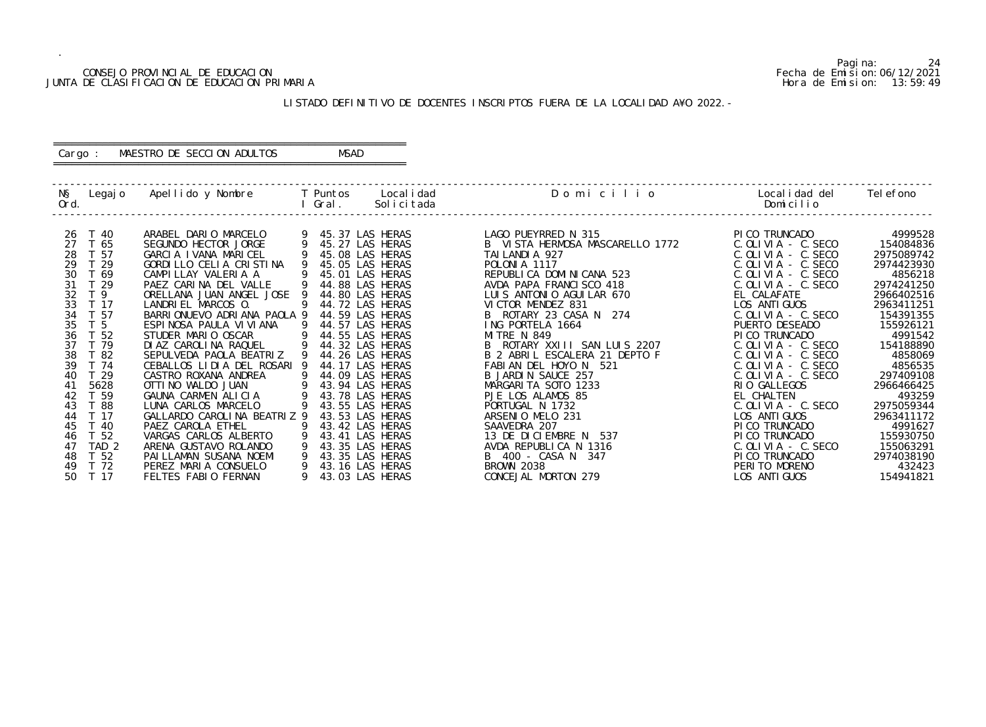## CONSEJO PROVINCIAL DE EDUCACION Fecha de Emision:06/12/2021 JUNTA DE CLASIFICACION DE EDUCACION PRIMARIA Hora de Emision: 13:59:49

## ========================================================== Cargo : MAESTRO DE SECCION ADULTOS MSAD

## LISTADO DEFINITIVO DE DOCENTES INSCRIPTOS FUERA DE LA LOCALIDAD A¥O 2022.-

==========================================================

| Ord.                                                                                                                                                                                                                    | N§ Legajo Apellido y Nombre T Puntos Localidad                                                                                                                                                                                                                                                                                                                                                | l Gral.                  | Solicitada                                                                                                                                                                                                                                                                                | Domicilio                                                                                                                                                                                                                                                                                                                                                                                  | Localidad del Telefono<br>Domicilio                                                                                                                                                                                                                                                                                                                  |                                                                                                                                                                                            |
|-------------------------------------------------------------------------------------------------------------------------------------------------------------------------------------------------------------------------|-----------------------------------------------------------------------------------------------------------------------------------------------------------------------------------------------------------------------------------------------------------------------------------------------------------------------------------------------------------------------------------------------|--------------------------|-------------------------------------------------------------------------------------------------------------------------------------------------------------------------------------------------------------------------------------------------------------------------------------------|--------------------------------------------------------------------------------------------------------------------------------------------------------------------------------------------------------------------------------------------------------------------------------------------------------------------------------------------------------------------------------------------|------------------------------------------------------------------------------------------------------------------------------------------------------------------------------------------------------------------------------------------------------------------------------------------------------------------------------------------------------|--------------------------------------------------------------------------------------------------------------------------------------------------------------------------------------------|
| T 40<br>26<br>27<br>T 65<br>28<br>T 57<br>29<br>T 29<br>30<br>T 69<br>31<br>T 29<br>32<br>T 9<br>33<br>T 17<br>34<br>T 57<br>35<br>T <sub>5</sub><br>36<br>T 52<br>37<br>T 79<br>38<br>T 82<br>39<br>T 74<br>T 29<br>40 | ARABEL DARIO MARCELO<br>SEGUNDO HECTOR JORGE<br>GARCIA IVANA MARICEL<br>GORDILLO CELIA CRISTINA<br>CAMPILLAY VALERIA A<br>PAEZ CARINA DEL VALLE<br>ORELLANA JUAN ANGEL JOSE<br>LANDRIEL MARCOS 0.<br>BARRIONUEVO ADRIANA PAOLA 9<br>ESPINOSA PAULA VI VI ANA<br>STUDER MARIO OSCAR<br>DI AZ CAROLINA RAQUEL<br>SEPULVEDA PAOLA BEATRIZ<br>CEBALLOS LIDIA DEL ROSARI 9<br>CASTRO ROXANA ANDREA | -9<br>9<br>9<br>- 9<br>9 | 45.37 LAS HERAS<br>45.27 LAS HERAS<br>45.08 LAS HERAS<br>45.05 LAS HERAS<br>45.01 LAS HERAS<br>44.88 LAS HERAS<br>44.80 LAS HERAS<br>44.72 LAS HERAS<br>44.59 LAS HERAS<br>44.57 LAS HERAS<br>44.55 LAS HERAS<br>44.32 LAS HERAS<br>44.26 LAS HERAS<br>44.17 LAS HERAS<br>44.09 LAS HERAS | LAGO PUEYRRED N 315<br>B VISTA HERMOSA MASCARELLO 1772<br>TAI LANDI A 927<br>POLONI A 1117<br>REPUBLI CA DOMI NI CANA 523<br>AVDA PAPA FRANCI SCO 418<br>LUIS ANTONIO AGUILAR 670<br>VICTOR MENDEZ 831<br>B ROTARY 23 CASA N 274<br>ING PORTELA 1664<br><b>MITRE N 849</b><br>B ROTARY XXIII SAN LUIS 2207<br>B 2 ABRIL ESCALERA 21 DEPTO F<br>FABIAN DEL HOYO N 521<br>B JARDIN SAUCE 257 | PICO TRUNCADO<br>$C.$ OLIVIA - $C.$ SECO<br>$C.$ OLIVIA - $C.$ SECO<br>$C.$ OLIVIA - $C.$ SECO<br>C. OLIVIA - C. SECO<br>$C.$ OLIVIA - $C.$ SECO<br>EL CALAFATE<br>LOS ANTI GUOS<br>$C.$ OLIVIA - $C.$ SECO<br>PUERTO DESEADO<br>PICO TRUNCADO<br>$C.$ OLIVIA - $C.$ SECO<br>C. OLIVIA - C. SECO<br>$C.$ OLIVIA - C. SECO<br>$C.$ OLIVIA - $C.$ SECO | 4999528<br>154084836<br>2975089742<br>2974423930<br>4856218<br>2974241250<br>2966402516<br>2963411251<br>154391355<br>155926121<br>4991542<br>154188890<br>4858069<br>4856535<br>297409108 |
| 5628<br>41<br>T 59<br>42<br>43<br>T 88<br>44<br>T 17<br>45<br>T 40<br>T <sub>52</sub><br>46<br>47<br>TAD <sub>2</sub><br>T <sub>52</sub><br>48<br>T 72<br>49<br>50<br>T 17                                              | OTTI NO WALDO JUAN<br>GAUNA CARMEN ALICIA<br>LUNA CARLOS MARCELO<br>GALLARDO CAROLINA BEATRIZ 9<br>PAEZ CAROLA ETHEL<br>VARGAS CARLOS ALBERTO<br>ARENA GUSTAVO ROLANDO<br>PAI LLAMAN SUSANA NOEMI<br>PEREZ MARIA CONSUELO<br>FELTES FABIO FERNAN                                                                                                                                              | 9<br>9<br>9              | 43.94 LAS HERAS<br>43.78 LAS HERAS<br>43.55 LAS HERAS<br>43.53 LAS HERAS<br>43.42 LAS HERAS<br>43.41 LAS HERAS<br>43.35 LAS HERAS<br>43.35 LAS HERAS<br>43.16 LAS HERAS<br>43.03 LAS HERAS                                                                                                | MARGARITA SOTO 1233<br>PJE LOS ALAMOS 85<br>PORTUGAL N 1732<br>ARSENIO MELO 231<br>SAAVEDRA 207<br>13 DE DICIEMBRE N 537<br>AVDA REPUBLICA N 1316<br>B 400 - CASA N 347<br><b>BROWN 2038</b><br>CONCEJAL MORTON 279                                                                                                                                                                        | RIO GALLEGOS<br>EL CHALTEN<br>$C.$ OLIVIA - $C.$ SECO<br>LOS ANTI GUOS<br>PI CO TRUNCADO<br>PI CO TRUNCADO<br>$C.$ OLIVIA - $C.$ SECO<br>PI CO TRUNCADO<br>PERITO MORENO<br>LOS ANTI GUOS                                                                                                                                                            | 2966466425<br>493259<br>2975059344<br>2963411172<br>4991627<br>155930750<br>155063291<br>2974038190<br>432423<br>154941821                                                                 |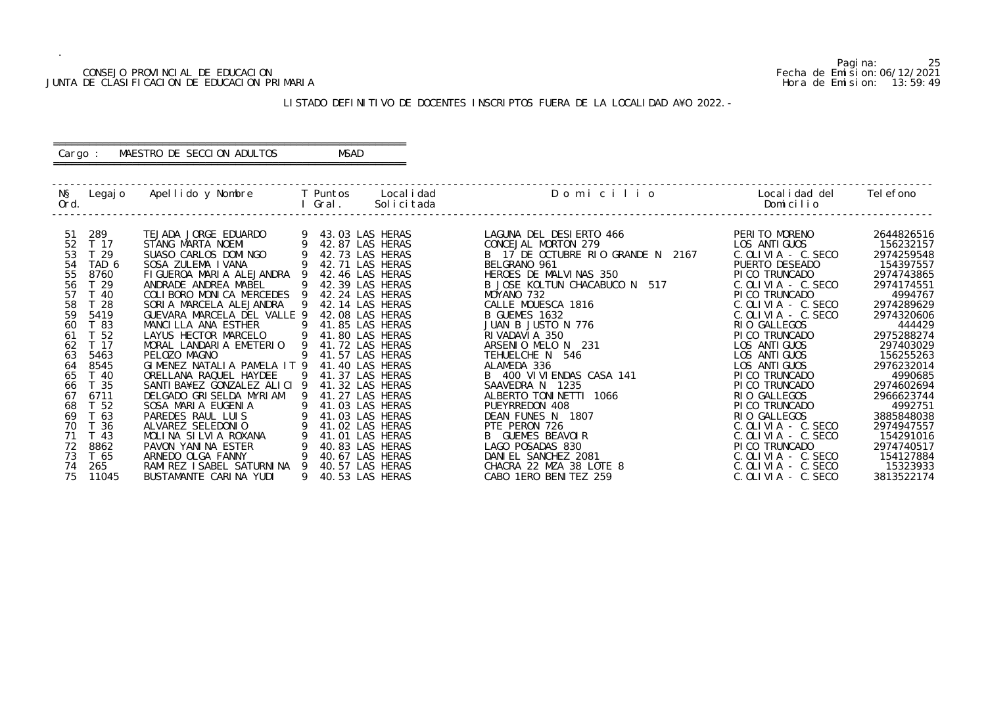## CONSEJO PROVINCIAL DE EDUCACION Fecha de Emision:06/12/2021 JUNTA DE CLASIFICACION DE EDUCACION PRIMARIA Hora de Emision: 13:59:49

## ========================================================== Cargo : MAESTRO DE SECCION ADULTOS MSAD

## LISTADO DEFINITIVO DE DOCENTES INSCRIPTOS FUERA DE LA LOCALIDAD A¥O 2022.-

==========================================================

| NŞ.  | Legaj o         | Apellido y Nombre            |   | T Puntos        | Local i dad | Domicilio                         | Local i dad del         | Tel efono  |
|------|-----------------|------------------------------|---|-----------------|-------------|-----------------------------------|-------------------------|------------|
| Ord. |                 |                              |   | Gral.           | Solicitada  |                                   | Domicilio               |            |
|      |                 |                              |   |                 |             |                                   |                         |            |
| 51   | 289             | TEJADA JORGE EDUARDO         |   | 43.03 LAS HERAS |             | LAGUNA DEL DESIERTO 466           | PERITO MORENO           | 2644826516 |
| 52   | T 17            | STANG MARTA NOEMI            |   | 42.87 LAS HERAS |             | CONCEJAL MORTON 279               | LOS ANTI GUOS           | 156232157  |
| 53   | T <sub>29</sub> | SUASO CARLOS DOMINGO         |   | 42.73 LAS HERAS |             | B 17 DE OCTUBRE RIO GRANDE N 2167 | $C.$ OLIVIA - C. SECO   | 2974259548 |
| 54   | TAD 6           | SOSA ZULEMA I VANA           |   | 42.71 LAS HERAS |             | BELGRANO 961                      | PUERTO DESEADO          | 154397557  |
| 55   | 8760            | FIGUEROA MARIA ALEJANDRA     |   | 42.46 LAS HERAS |             | HEROES DE MALVINAS 350            | PI CO TRUNCADO          | 2974743865 |
| 56   | T <sub>29</sub> | ANDRADE ANDREA MABEL         |   | 42.39 LAS HERAS |             | 517<br>B JOSE KOLTUN CHACABUCO N  | $C.$ OLIVIA - $C.$ SECO | 2974174551 |
| 57   | T 40            | COLIBORO MONICA MERCEDES     |   | 42.24 LAS HERAS |             | MOYANO 732                        | PI CO TRUNCADO          | 4994767    |
| 58   | T 28            | SORIA MARCELA ALEJANDRA      | 9 | 42.14 LAS HERAS |             | CALLE MOUESCA 1816                | $C.$ OLIVIA - $C.$ SECO | 2974289629 |
| 59   | 5419            | GUEVARA MARCELA DEL VALLE 9  |   | 42.08 LAS HERAS |             | B GUEMES 1632                     | $C.$ OLIVIA - $C.$ SECO | 2974320606 |
| 60   | T 83            | MANCLLLA ANA ESTHER          | 9 | 41.85 LAS HERAS |             | JUAN B JUSTO N 776                | RIO GALLEGOS            | 444429     |
| 61   | T 52            | LAYUS HECTOR MARCELO         | 9 | 41.80 LAS HERAS |             | RI VADAVI A 350                   | PI CO TRUNCADO          | 2975288274 |
| 62   | T 17            | MORAL LANDARIA EMETERIO      |   | 41.72 LAS HERAS |             | ARSENIO MELO N 231                | LOS ANTI GUOS           | 297403029  |
| 63   | 5463            | PELOZO MAGNO                 | 9 | 41.57 LAS HERAS |             | TEHUELCHE N 546                   | LOS ANTI GUOS           | 156255263  |
| 64   | 8545            | GIMENEZ NATALIA PAMELA IT 9  |   | 41.40 LAS HERAS |             | ALAMEDA 336                       | LOS ANTI GUOS           | 2976232014 |
| 65   | T 40            | ORELLANA RAQUEL HAYDEE       |   | 41.37 LAS HERAS |             | B 400 VI VI ENDAS CASA 141        | PI CO TRUNCADO          | 4990685    |
| 66   | T 35            | SANTI BA¥EZ GONZALEZ ALICI 9 |   | 41.32 LAS HERAS |             | SAAVEDRA N 1235                   | PI CO TRUNCADO          | 2974602694 |
| 67   | 6711            | DELGADO GRISELDA MYRIAM      |   | 41.27 LAS HERAS |             | ALBERTO TONINETTI 1066            | RIO GALLEGOS            | 2966623744 |
| 68   | T 52            | SOSA MARIA EUGENIA           |   | 41.03 LAS HERAS |             | PUEYRREDON 408                    | PI CO TRUNCADO          | 4992751    |
| 69   | 63              | PAREDES RAUL LUIS            |   | 41.03 LAS HERAS |             | DEAN FUNES N 1807                 | RIO GALLEGOS            | 3885848038 |
| 70   | T 36            | ALVAREZ SELEDONIO            |   | 41.02 LAS HERAS |             | PTE PERON 726                     | $C.$ OLIVIA - $C.$ SECO | 2974947557 |
| 71   | T 43            | MOLINA SILVIA ROXANA         |   | 41.01 LAS HERAS |             | <b>B</b> GUEMES BEAVOLR           | $C.$ OLIVIA - $C.$ SECO | 154291016  |
| 72   | 8862            | PAVON YANINA ESTER           |   | 40.83 LAS HERAS |             | LAGO POSADAS 830                  | PI CO TRUNCADO          | 2974740517 |
| 73   | T 65            | ARNEDO OLGA FANNY            |   | 40.67 LAS HERAS |             | DANIEL SANCHEZ 2081               | $C.$ OLIVIA - $C.$ SECO | 154127884  |
| 74   | 265             | RAMI REZ I SABEL SATURNI NA  |   | 40.57 LAS HERAS |             | CHACRA 22 MZA 38 LOTE 8           | $C.$ OLIVIA - $C.$ SECO | 15323933   |
| 75   | 11045           | BUSTAMANTE CARINA YUDI       |   | 40.53 LAS HERAS |             | CABO 1ERO BENITEZ 259             | $C.$ OLIVIA - $C.$ SECO | 3813522174 |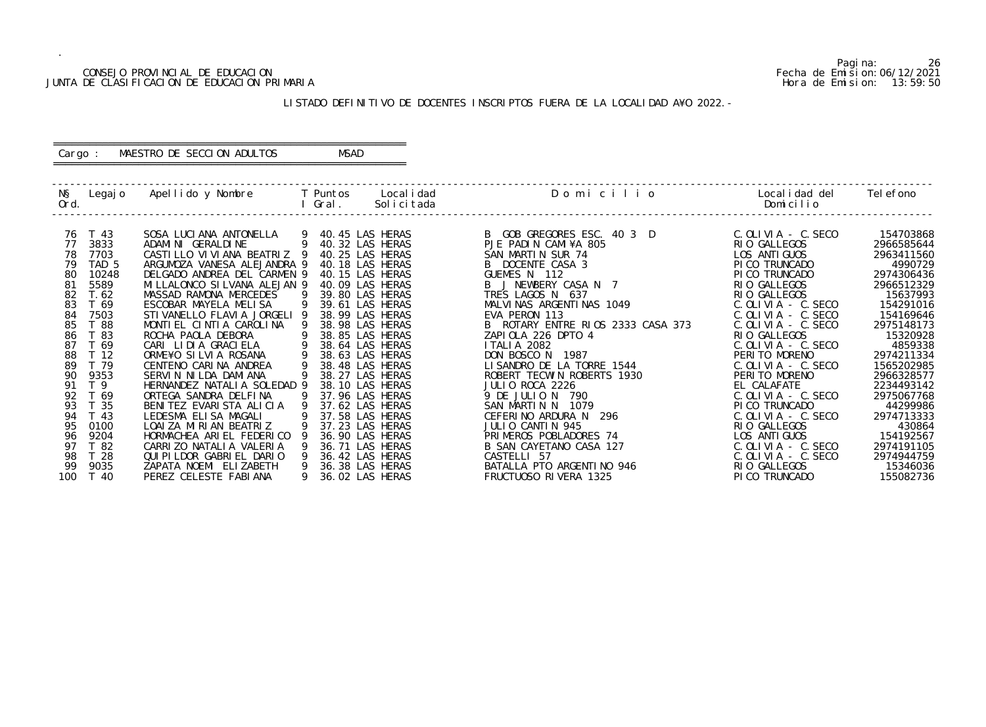## CONSEJO PROVINCIAL DE EDUCACION Fecha de Emision:06/12/2021 JUNTA DE CLASIFICACION DE EDUCACION PRIMARIA Hora de Emision: 13:59:50

## ========================================================== Cargo : MAESTRO DE SECCION ADULTOS MSAD

## LISTADO DEFINITIVO DE DOCENTES INSCRIPTOS FUERA DE LA LOCALIDAD A¥O 2022.-

==========================================================

|          |                                                                                                                                                                                                                                                                                             |                                                                                                                                                                                                                                                                                                                                                                                                                                                                                                                                            |    | I Gral. | Legajo Apellido y Nombre T Puntos Localidad<br>Solicitada                                                                                                                                                                                                                                                                                                               | Domicilio                                                                                                                                                                                                                                                                                                                                                                                                                                                                     | Localidad del<br>Domicilio                                                                                                                                                                                                                                                                                                                                                                                 | Tel efono                                                                                                                                                                                                                                               |
|----------|---------------------------------------------------------------------------------------------------------------------------------------------------------------------------------------------------------------------------------------------------------------------------------------------|--------------------------------------------------------------------------------------------------------------------------------------------------------------------------------------------------------------------------------------------------------------------------------------------------------------------------------------------------------------------------------------------------------------------------------------------------------------------------------------------------------------------------------------------|----|---------|-------------------------------------------------------------------------------------------------------------------------------------------------------------------------------------------------------------------------------------------------------------------------------------------------------------------------------------------------------------------------|-------------------------------------------------------------------------------------------------------------------------------------------------------------------------------------------------------------------------------------------------------------------------------------------------------------------------------------------------------------------------------------------------------------------------------------------------------------------------------|------------------------------------------------------------------------------------------------------------------------------------------------------------------------------------------------------------------------------------------------------------------------------------------------------------------------------------------------------------------------------------------------------------|---------------------------------------------------------------------------------------------------------------------------------------------------------------------------------------------------------------------------------------------------------|
| 77<br>88 | T 43<br>76<br>3833<br>78<br>7703<br>TAD <sub>5</sub><br>79<br>10248<br>80<br>81<br>5589<br>82<br>T. 62<br>83<br>T 69<br>84<br>7503<br>85<br>T 88<br>T 83<br>86<br>87<br>T 69<br>T <sub>12</sub><br>89<br>T 79<br>9353<br>90<br>T <sub>9</sub><br>91<br>92<br>T 69<br>93<br>35<br>T 43<br>94 | SOSA LUCIANA ANTONELLA<br>$\overline{9}$<br>ADAMINI GERALDINE<br>CASTILLO VIVIANA BEATRIZ 9<br>ARGUMOZA VANESA ALEJANDRA 9<br>DELGADO ANDREA DEL CARMEN 9<br>MI LLALONCO SI LVANA ALEJAN 9<br>MASSAD RAMONA MERCEDES<br>ESCOBAR MAYELA MELISA<br>STI VANELLO FLAVI A JORGELI 9<br>MONTIEL CINTIA CAROLINA<br>ROCHA PAOLA DEBORA<br>CARI LIDIA GRACIELA<br>ORME¥O SILVIA ROSANA<br>CENTENO CARINA ANDREA<br>SERVIN NILDA DAMIANA<br>HERNANDEZ NATALIA SOLEDAD 9<br>ORTEGA SANDRA DELFINA<br>BENITEZ EVARISTA ALICIA<br>LEDESMA ELISA MAGALI | -9 |         | 9 40.45 LAS HERAS<br>40.32 LAS HERAS<br>40.25 LAS HERAS<br>40.18 LAS HERAS<br>40.15 LAS HERAS<br>40.09 LAS HERAS<br>39.80 LAS HERAS<br>39.61 LAS HERAS<br>38.99 LAS HERAS<br>38.98 LAS HERAS<br>38.85 LAS HERAS<br>38.64 LAS HERAS<br>38.63 LAS HERAS<br>38.48 LAS HERAS<br>38.27 LAS HERAS<br>38.10 LAS HERAS<br>37.96 LAS HERAS<br>37.62 LAS HERAS<br>37.58 LAS HERAS | B GOB GREGORES ESC. 40 3 D<br>PJE PADIN CAMI¥A 805<br>SAN MARTIN SUR 74<br>B DOCENTE CASA 3<br>GUEMES N 112<br>B J NEWBERY CASA N 7<br>TRES LAGOS N 637<br>MALVINAS ARGENTINAS 1049<br>FVA PERON 113<br>EVA PERON 113<br>B ROTARY ENTRE RIOS 2333 CASA 373<br>ZAPIOLA 226 DPTO 4<br><b>ITALIA 2082</b><br>DON BOSCO N 1987<br>LISANDRO DE LA TORRE 1544<br>ROBERT TECWIN ROBERTS 1930<br>JULIO ROCA 2226<br>9 DE JULIO N 790<br>SAN MARTIN N 1079<br>CEFERINO ARDURA N<br>296 | $C.$ OLIVIA - $C.$ SECO<br>RIO GALLEGOS<br>LOS ANTI GUOS<br>PI CO TRUNCADO<br>PI CO TRUNCADO<br>RIO GALLEGOS<br>RIO GALLEGOS<br>$C.$ OLIVIA - $C.$ SECO<br>$C.$ OLIVIA - $C.$ SECO<br>$C.$ OLIVIA - $C.$ SECO<br>RIO GALLEGOS<br>$C.$ OLIVIA - $C.$ SECO<br>PERITO MORENO<br>$C.$ OLIVIA - $C.$ SECO<br>PERITO MORENO<br>EL CALAFATE<br>$C.$ OLIVIA - C. SECO<br>PI CO TRUNCADO<br>$C.$ OLIVIA - $C.$ SECO | 154703868<br>2966585644<br>2963411560<br>4990729<br>2974306436<br>2966512329<br>15637993<br>154291016<br>154169646<br>2975148173<br>15320928<br>4859338<br>2974211334<br>1565202985<br>2966328577<br>2234493142<br>2975067768<br>44299986<br>2974713333 |
|          | 95<br>0100<br>9204<br>96<br>97<br>T 82                                                                                                                                                                                                                                                      | LOAI ZA MIRIAN BEATRIZ<br>HORMACHEA ARIEL FEDERICO<br>CARRIZO NATALIA VALERIA                                                                                                                                                                                                                                                                                                                                                                                                                                                              |    |         | 37.23 LAS HERAS<br>36.90 LAS HERAS<br>36.71 LAS HERAS                                                                                                                                                                                                                                                                                                                   | JULIO CANTIN 945<br>PRIMEROS POBLADORES 74<br>B SAN CAYETANO CASA 127                                                                                                                                                                                                                                                                                                                                                                                                         | RIO GALLEGOS<br>LOS ANTI GUOS<br>$C.$ OLIVIA - C. SECO                                                                                                                                                                                                                                                                                                                                                     | 430864<br>154192567<br>2974191105                                                                                                                                                                                                                       |
| 100      | 98<br>T <sub>28</sub><br>99<br>9035<br>T 40                                                                                                                                                                                                                                                 | QUI PI LDOR GABRI EL DARIO<br>ZAPATA NOEMI ELIZABETH<br>PEREZ CELESTE FABIANA                                                                                                                                                                                                                                                                                                                                                                                                                                                              | 9  |         | 36.42 LAS HERAS<br>36.38 LAS HERAS<br>36.02 LAS HERAS                                                                                                                                                                                                                                                                                                                   | CASTELLI 57<br>BATALLA PTO ARGENTINO 946<br>FRUCTUOSO RIVERA 1325                                                                                                                                                                                                                                                                                                                                                                                                             | C. OLIVIA - C. SECO<br>RIO GALLEGOS<br>PI CO TRUNCADO                                                                                                                                                                                                                                                                                                                                                      | 2974944759<br>15346036<br>155082736                                                                                                                                                                                                                     |

Pagina: 26<br>Fecha de Emision: 06/12/2021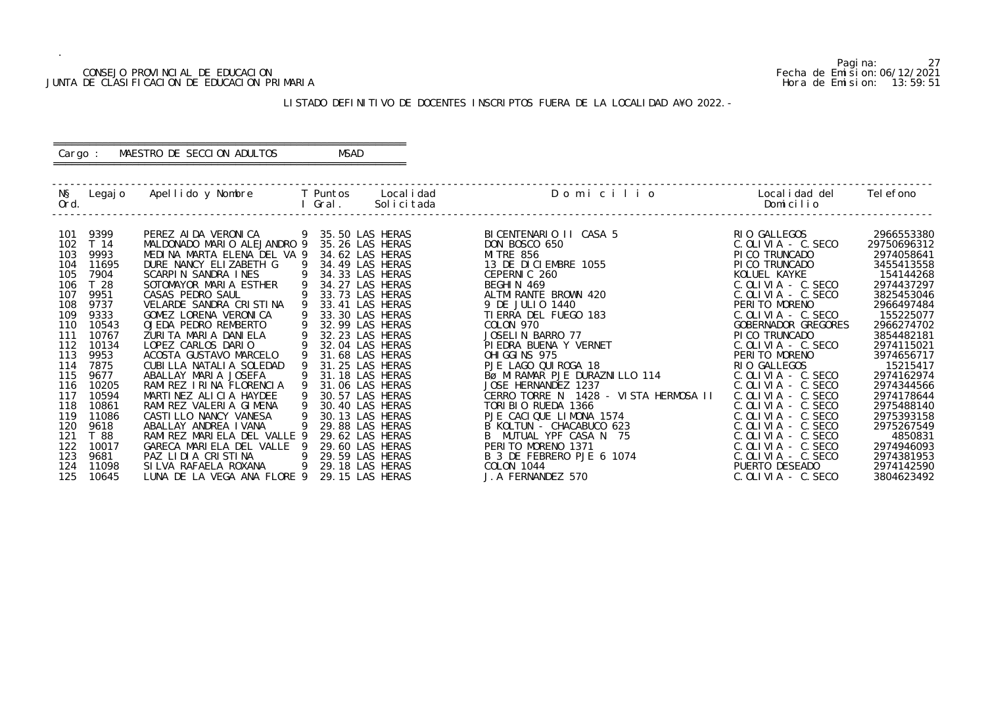## CONSEJO PROVINCIAL DE EDUCACION Fecha de Emision:06/12/2021 JUNTA DE CLASIFICACION DE EDUCACION PRIMARIA Hora de Emision: 13:59:51

## ========================================================== Cargo : MAESTRO DE SECCION ADULTOS MSAD

## LISTADO DEFINITIVO DE DOCENTES INSCRIPTOS FUERA DE LA LOCALIDAD A¥O 2022.-

==========================================================

| 9399<br>RIO GALLEGOS<br>PEREZ AI DA VERONICA<br>9 35.50 LAS HERAS<br>BICENTENARIO II CASA 5<br>101<br>MALDONADO MARIO ALEJANDRO 9<br>35.26 LAS HERAS<br>T 14<br>DON BOSCO 650<br>102<br>9993<br>103<br>MEDINA MARTA ELENA DEL VA 9<br>34.62 LAS HERAS<br><b>MI TRE 856</b><br>PI CO TRUNCADO<br>13 DE DICIEMBRE 1055<br>11695<br>DURE NANCY ELIZABETH G<br>-9<br>34.49 LAS HERAS<br>PICO TRUNCADO<br>104<br>7904<br>SCARPIN SANDRA INES<br>9<br>34.33 LAS HERAS<br>CEPERNIC 260<br>KOLUEL KAYKE<br>105<br>T 28<br>106<br>SOTOMAYOR MARIA ESTHER<br>34.27 LAS HERAS<br>BEGHIN 469<br>9951<br>CASAS PEDRO SAUL<br>33.73 LAS HERAS<br>ALTMI RANTE BROWN 420<br>107                                                                                                                                                                                                                                                                                                                                                                                                                                                                                                                                                                                                                                                                                                                                                                                                                                                                                                                                       | $C.$ OLIVIA - $C.$ SECO                                                                                                                                                                                                                                                                                                                                                          | 2966553380<br>29750696312<br>2974058641<br>3455413558                                                                                                                                                                                                                         |
|-------------------------------------------------------------------------------------------------------------------------------------------------------------------------------------------------------------------------------------------------------------------------------------------------------------------------------------------------------------------------------------------------------------------------------------------------------------------------------------------------------------------------------------------------------------------------------------------------------------------------------------------------------------------------------------------------------------------------------------------------------------------------------------------------------------------------------------------------------------------------------------------------------------------------------------------------------------------------------------------------------------------------------------------------------------------------------------------------------------------------------------------------------------------------------------------------------------------------------------------------------------------------------------------------------------------------------------------------------------------------------------------------------------------------------------------------------------------------------------------------------------------------------------------------------------------------------------------------------|----------------------------------------------------------------------------------------------------------------------------------------------------------------------------------------------------------------------------------------------------------------------------------------------------------------------------------------------------------------------------------|-------------------------------------------------------------------------------------------------------------------------------------------------------------------------------------------------------------------------------------------------------------------------------|
| 9737<br>VELARDE SANDRA CRISTINA<br>108<br>33.41 LAS HERAS<br>PERITO MORENO<br>9 DE JULIO 1440<br>9333<br>GOMEZ LORENA VERONICA<br>33.30 LAS HERAS<br>109<br>TI ERRA DEL FUEGO 183<br>10543<br>OJEDA PEDRO REMBERTO<br>110<br>32.99 LAS HERAS<br>COLON 970<br>32.23 LAS HERAS<br>10767<br>ZURITA MARIA DANIELA<br>JOSELIN BARRO 77<br>PI CO TRUNCADO<br>111<br>112<br>10134<br>LOPEZ CARLOS DARIO<br>32.04 LAS HERAS<br>PIEDRA BUENA Y VERNET<br>113<br>9953<br>ACOSTA GUSTAVO MARCELO<br>OHI GGI NS 975<br>PERITO MORENO<br>31.68 LAS HERAS<br>114<br>7875<br>CUBILLA NATALIA SOLEDAD<br>31.25 LAS HERAS<br>PJE LAGO QUI ROGA 18<br>RIO GALLEGOS<br>BØ MIRAMAR PJE DURAZNILLO 114<br>9677<br>115<br>ABALLAY MARIA JOSEFA<br>31.18 LAS HERAS<br>10205<br>RAMIREZ IRINA FLORENCIA<br>31.06 LAS HERAS<br>JOSE HERNANDEZ 1237<br>116<br>10594<br>MARTINEZ ALICIA HAYDEE<br>CERRO TORRE N 1428 - VISTA HERMOSA II<br>117<br>9<br>30.57 LAS HERAS<br>RAMI REZ VALERIA GIMENA<br>30.40 LAS HERAS<br>TORIBIO RUEDA 1366<br>118<br>10861<br>11086<br>9<br>30.13 LAS HERAS<br>PJE CACIQUE LIMONA 1574<br>119<br>CASTI LLO NANCY VANESA<br>120<br>9618<br>ABALLAY ANDREA IVANA<br>29.88 LAS HERAS<br>B KOLTUN - CHACABUCO 623<br>121<br>T 88<br>RAMI REZ MARI ELA DEL VALLE 9<br>29.62 LAS HERAS<br>B MUTUAL YPF CASA N 75<br>122<br>10017<br>GARECA MARIELA DEL VALLE 9<br>29.60 LAS HERAS<br>PERITO MORENO 1371<br>123<br>9681<br>PAZ LIDIA CRISTINA<br>- 9<br>29.59 LAS HERAS<br>B 3 DE FEBRERO PJE 6 1074<br>PUERTO DESEADO<br>11098<br>SI LVA RAFAELA ROXANA<br>- 9<br>29.18 LAS HERAS<br>COLON 1044<br>124 | $C.$ OLIVIA - $C.$ SECO<br>$C.$ OLIVIA - C. SECO<br>$C.$ OLIVIA - $C.$ SECO<br>GOBERNADOR GREGORES<br>$C.$ OLIVIA - $C.$ SECO<br>$C.$ OLIVIA - $C.$ SECO<br>$C.$ OLIVIA - $C.$ SECO<br>$C.$ OLIVIA - $C.$ SECO<br>$C.$ OLIVIA - $C.$ SECO<br>$C.$ OLIVIA - $C.$ SECO<br>$C.$ OLIVIA - $C.$ SECO<br>$C.$ OLIVIA - $C.$ SECO<br>$C.$ OLIVIA - $C.$ SECO<br>$C.$ OLIVIA - $C.$ SECO | 154144268<br>2974437297<br>3825453046<br>2966497484<br>155225077<br>2966274702<br>3854482181<br>2974115021<br>3974656717<br>15215417<br>2974162974<br>2974344566<br>2974178644<br>2975488140<br>2975393158<br>2975267549<br>4850831<br>2974946093<br>2974381953<br>2974142590 |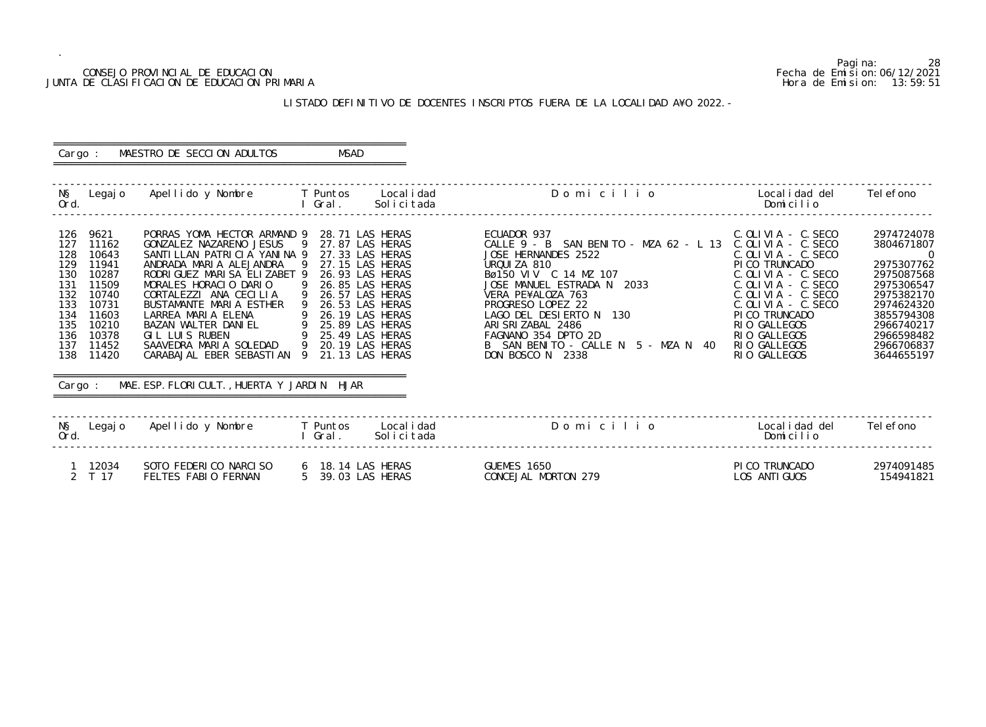## CONSEJO PROVINCIAL DE EDUCACION Fecha de Emision:06/12/2021 JUNTA DE CLASIFICACION DE EDUCACION PRIMARIA Hora de Emision: 13:59:51

## ========================================================== Cargo : MAESTRO DE SECCION ADULTOS MSAD

## LISTADO DEFINITIVO DE DOCENTES INSCRIPTOS FUERA DE LA LOCALIDAD A¥O 2022.-

==========================================================

|                                                                                         |                                                                                                                             |                                                                                                                                                                                                                                                                                                                                                                                                      |                 |                                                                                                                                                                                                                                                                |            | N§ Legajo ApellidoyNombre TPuntos Localidad   Domicilio<br>Ord.     I Gral. Solicitada                                                                                                                                                                                                                                                          | Localidad del Telefono<br>Domicilio                                                                                                                                                                                                                    |                                                                                                                                                                                        |
|-----------------------------------------------------------------------------------------|-----------------------------------------------------------------------------------------------------------------------------|------------------------------------------------------------------------------------------------------------------------------------------------------------------------------------------------------------------------------------------------------------------------------------------------------------------------------------------------------------------------------------------------------|-----------------|----------------------------------------------------------------------------------------------------------------------------------------------------------------------------------------------------------------------------------------------------------------|------------|-------------------------------------------------------------------------------------------------------------------------------------------------------------------------------------------------------------------------------------------------------------------------------------------------------------------------------------------------|--------------------------------------------------------------------------------------------------------------------------------------------------------------------------------------------------------------------------------------------------------|----------------------------------------------------------------------------------------------------------------------------------------------------------------------------------------|
| 126<br>127<br>128<br>129<br>130<br>131<br>132<br>133<br>134<br>135<br>136<br>137<br>138 | 9621<br>11162<br>10643<br>11941<br>10287<br>11509<br>10740<br>10731<br>11603<br>10210<br>10378<br>11452<br>11420<br>Cargo : | PORRAS YOMA HECTOR ARMAND 9<br>GONZALEZ NAZARENO JESUS<br>SANTILLAN PATRICIA YANINA 9<br>ANDRADA MARIA ALEJANDRA<br>RODRI GUEZ MARI SA ELIZABET 9<br>MORALES HORACIO DARIO<br>CORTALEZZI ANA CECILIA<br>BUSTAMANTE MARIA ESTHER<br>LARREA MARIA ELENA<br>BAZAN WALTER DANIEL<br>GIL LUIS RUBEN<br>SAAVEDRA MARIA SOLEDAD<br>CARABAJAL EBER SEBASTIAN 9<br>MAE. ESP. FLORICULT., HUERTA Y JARDIN HJAR | - 9<br>- 9<br>9 | 28.71 LAS HERAS<br>27.87 LAS HERAS<br>27.33 LAS HERAS<br>27.15 LAS HERAS<br>26.93 LAS HERAS<br>26.85 LAS HERAS<br>26.57 LAS HERAS<br>26.53 LAS HERAS<br>26.19 LAS HERAS<br>VIEL 9 25.89 LAS HERAS<br>9 25.49 LAS HERAS<br>9 20.19 LAS HERAS<br>21.13 LAS HERAS |            | ECUADOR 937<br>CALLE 9 - B SAN BENITO - MZA 62 - L 13 C.OLIVIA - C.SECO<br>JOSE HERNANDES 2522<br>URQUIZA 810<br>Bø150 VIV C 14 MZ 107<br>JOSE MANUEL ESTRADA N 2033<br>VERA PE¥ALOZA 763<br>PROGRESO LOPEZ 22<br>LAGO DEL DESIERTO N 130<br>ARISRIZABAL 2486<br>FAGNANO 354 DPTO 2D<br>B SAN BENITO - CALLE N 5 - MZA N 40<br>DON BOSCO N 2338 | C. OLIVIA - C. SECO<br>C. OLIVIA - C. SECO<br>PI CO TRUNCADO<br>C. OLIVIA - C. SECO<br>$C.$ OLIVIA - $C.$ SECO<br>$C.$ OLIVIA - $C.$ SECO<br>$C.$ OLIVIA - $C.$ SECO<br>PI CO TRUNCADO<br>RIO GALLEGOS<br>RIO GALLEGOS<br>RIO GALLEGOS<br>RIO GALLEGOS | 2974724078<br>3804671807<br>$\overline{0}$<br>2975307762<br>2975087568<br>2975306547<br>2975382170<br>2974624320<br>3855794308<br>2966740217<br>2966598482<br>2966706837<br>3644655197 |
| Ord.                                                                                    |                                                                                                                             | N§ Legajo Apellido y Nombre T Puntos Localidad                                                                                                                                                                                                                                                                                                                                                       |                 | I Gral.                                                                                                                                                                                                                                                        | Solicitada | Domicilio                                                                                                                                                                                                                                                                                                                                       | Localidad del<br>Domicilio                                                                                                                                                                                                                             | Tel efono                                                                                                                                                                              |
|                                                                                         | 1 12034<br>2 T 17                                                                                                           | SOTO FEDERICO NARCISO<br>FELTES FABIO FERNAN                                                                                                                                                                                                                                                                                                                                                         |                 | 6 18.14 LAS HERAS<br>5 39.03 LAS HERAS                                                                                                                                                                                                                         |            | GUEMES 1650<br>CONCEJAL MORTON 279                                                                                                                                                                                                                                                                                                              | PI CO TRUNCADO<br>LOS ANTI GUOS                                                                                                                                                                                                                        | 2974091485<br>154941821                                                                                                                                                                |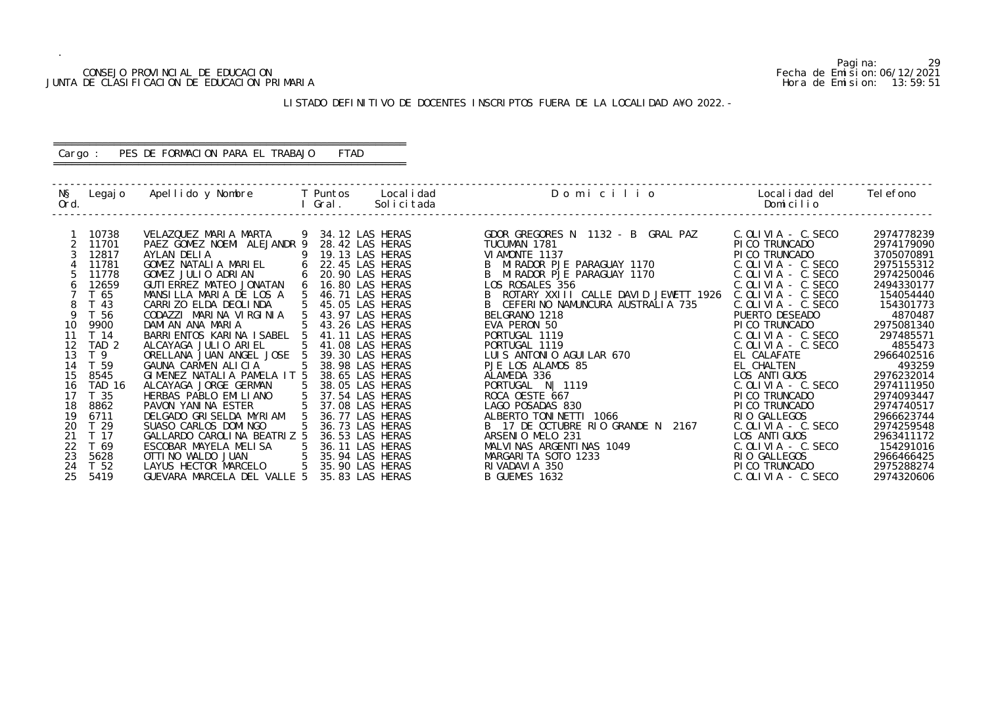## CONSEJO PROVINCIAL DE EDUCACION Fecha de Emision:06/12/2021 JUNTA DE CLASIFICACION DE EDUCACION PRIMARIA Hora de Emision: 13:59:51

## LISTADO DEFINITIVO DE DOCENTES INSCRIPTOS FUERA DE LA LOCALIDAD A¥O 2022.-

## ========================================================== Cargo : PES DE FORMACION PARA EL TRABAJO FTAD

==========================================================

| NŞ<br>Ord.  | Legaj o               | Apellido y Nombre         T Puntos     Localidad   |   | Gral.             | Solicitada                         | Domicilio                            | Localidad del<br>Domicilio  | Tel efono            |
|-------------|-----------------------|----------------------------------------------------|---|-------------------|------------------------------------|--------------------------------------|-----------------------------|----------------------|
|             | 10738                 | VELAZQUEZ MARIA MARTA                              |   | 9 34.12 LAS HERAS |                                    | GDOR GREGORES N 1132 - B GRAL PAZ    | C. OLIVIA - C. SECO         | 2974778239           |
|             | 11701                 | PAEZ GOMEZ NOEMI ALEJANDR 9                        |   |                   | 28.42 LAS HERAS                    | TUCUMAN 1781                         | PI CO TRUNCADO              | 2974179090           |
|             | 12817                 | AYLAN DELIA                                        |   |                   | 19.13 LAS HERAS                    | VI AMONTE 1137                       | PI CO TRUNCADO              | 3705070891           |
|             | 11781                 | GOMEZ NATALIA MARIEL                               | 6 |                   | 22.45 LAS HERAS                    | MI RADOR PJE PARAGUAY 1170           | $C.$ OLIVIA - $C.$ SECO     | 2975155312           |
|             | 11778                 | GOMEZ JULIO ADRIAN                                 | 6 |                   | 20.90 LAS HERAS                    | MIRADOR PJE PARAGUAY 1170            | $C.$ OLIVIA - $C.$ SECO     | 2974250046           |
| 6           | 12659                 | GUTI ERREZ MATEO JONATAN                           | 6 |                   | 16.80 LAS HERAS                    | LOS ROSALES 356                      | C. OLIVIA - C. SECO         | 2494330177           |
|             | T 65                  | MANSILLA MARIA DE LOS A                            |   |                   | 46.71 LAS HERAS                    | ROTARY XXIII CALLE DAVID JEWETT 1926 | $C.$ OLIVIA - $C.$ SECO     | 154054440            |
| 8           | T 43                  | CARRIZO ELDA DEOLINDA                              |   |                   | 45.05 LAS HERAS                    | CEFERINO NAMUNCURA AUSTRALIA 735     | $C.$ OLIVIA - $C.$ SECO     | 154301773            |
| $\mathsf Q$ | T 56                  | CODAZZI MARINA VIRGINIA                            |   |                   | 43.97 LAS HERAS                    | BELGRANO 1218                        | PUERTO DESEADO              | 4870487              |
| 10          | 9900                  | DAMIAN ANA MARIA                                   |   |                   | 43.26 LAS HERAS                    | EVA PERON 50                         | PI CO TRUNCADO              | 2975081340           |
| 11          | T 14                  | BARRI ENTOS KARI NA I SABEL                        |   |                   | 41.11 LAS HERAS                    | PORTUGAL 1119                        | $C.$ OLIVIA - $C.$ SECO     | 297485571            |
| 12          | TAD <sub>2</sub>      | ALCAYAGA JULIO ARIEL                               |   |                   | 41.08 LAS HERAS                    | PORTUGAL 1119                        | $C.$ OLIVIA - $C.$ SECO     | 4855473              |
| 13<br>14    | T <sub>9</sub>        | ORELLANA JUAN ANGEL JOSE                           |   |                   | 39.30 LAS HERAS                    | LUIS ANTONIO AGUILAR 670             | EL CALAFATE                 | 2966402516           |
| 15          | T 59                  | GAUNA CARMEN ALICIA<br>GIMENEZ NATALIA PAMELA IT 5 |   |                   | 38.98 LAS HERAS                    | PJE LOS ALAMOS 85                    | EL CHALTEN<br>LOS ANTI GUOS | 493259<br>2976232014 |
| 16          | 8545<br><b>TAD 16</b> | ALCAYAGA JORGE GERMAN                              |   |                   | 38.65 LAS HERAS<br>38.05 LAS HERAS | ALAMEDA 336<br>PORTUGAL N   1119     | $C.$ OLIVIA - $C.$ SECO     | 2974111950           |
| 17          | T 35                  | HERBAS PABLO EMILIANO                              | 5 |                   | 37.54 LAS HERAS                    | ROCA OESTE 667                       | PI CO TRUNCADO              | 2974093447           |
| 18          | 8862                  | PAVON YANINA ESTER                                 |   |                   | 37.08 LAS HERAS                    | LAGO POSADAS 830                     | PI CO TRUNCADO              | 2974740517           |
| 19          | 6711                  | DELGADO GRISELDA MYRIAM                            |   |                   | 36.77 LAS HERAS                    | ALBERTO TONINETTI 1066               | RIO GALLEGOS                | 2966623744           |
| 20          | T <sub>29</sub>       | SUASO CARLOS DOMINGO                               |   |                   | 36.73 LAS HERAS                    | B 17 DE OCTUBRE RIO GRANDE N 2167    | $C.$ OLIVIA - $C.$ SECO     | 2974259548           |
| 21          | T 17                  | GALLARDO CAROLINA BEATRIZ 5                        |   |                   | 36.53 LAS HERAS                    | ARSENIO MELO 231                     | LOS ANTI GUOS               | 2963411172           |
| 22          | T 69                  | ESCOBAR MAYELA MELISA                              |   |                   | 36.11 LAS HERAS                    | MALVINAS ARGENTINAS 1049             | $C.$ OLIVIA - $C.$ SECO     | 154291016            |
| 23          | 5628                  | OTTI NO WALDO JUAN                                 | 5 |                   | 35.94 LAS HERAS                    | MARGARITA SOTO 1233                  | RIO GALLEGOS                | 2966466425           |
| 24          | T 52                  | $5\overline{5}$<br>LAYUS HECTOR MARCELO            |   |                   | 35.90 LAS HERAS                    | RI VADAVI A 350                      | PI CO TRUNCADO              | 2975288274           |
| 25          | 5419                  | GUEVARA MARCELA DEL VALLE 5                        |   |                   | 35.83 LAS HERAS                    | B GUEMES 1632                        | $C.$ OLIVIA - $C.$ SECO     | 2974320606           |
|             |                       |                                                    |   |                   |                                    |                                      |                             |                      |